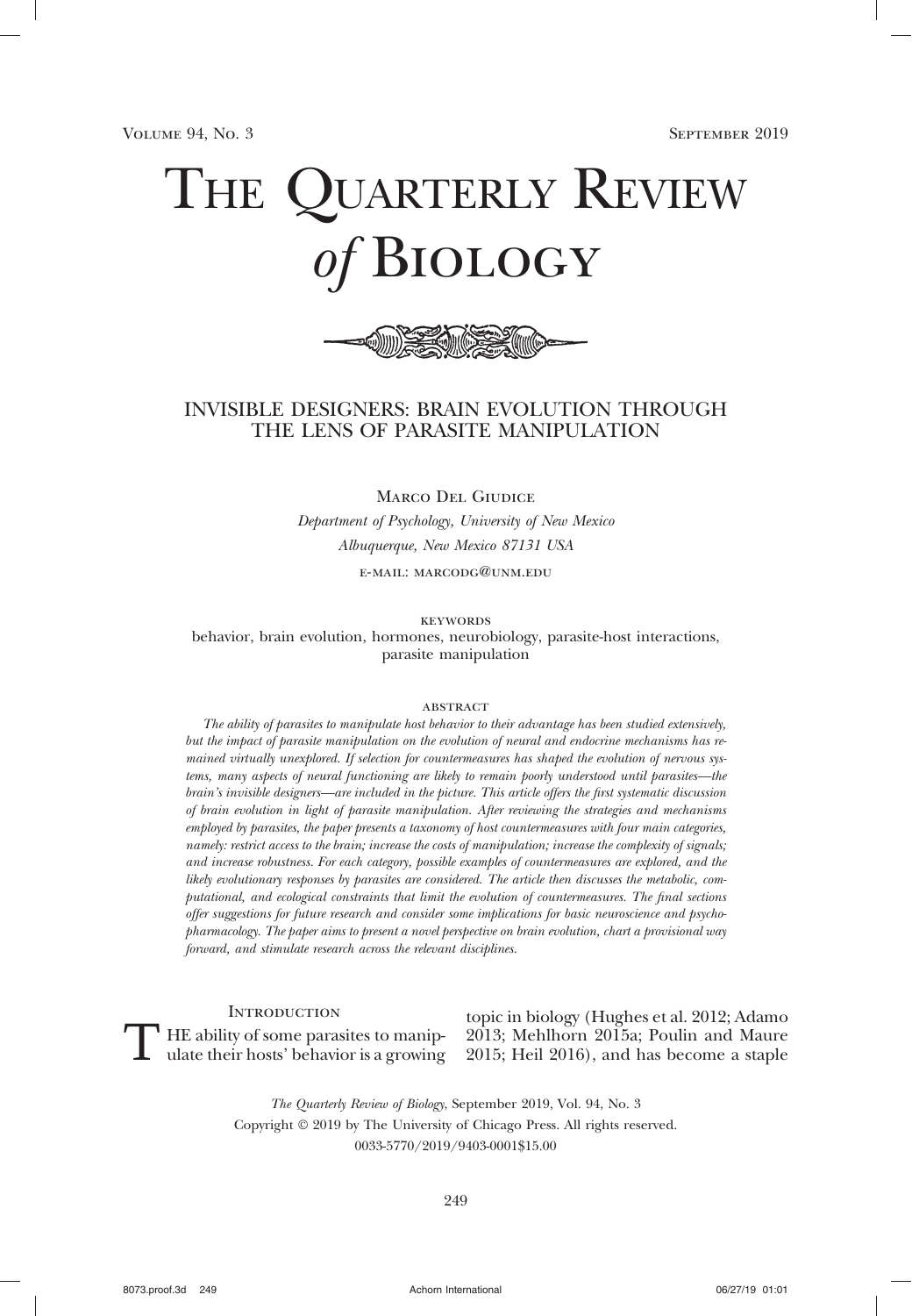# THE QUARTERLY REVIEW of Biology



# INVISIBLE DESIGNERS: BRAIN EVOLUTION THROUGH THE LENS OF PARASITE MANIPULATION

MARCO DEL GIUDICE Department of Psychology, University of New Mexico Albuquerque, New Mexico 87131 USA

e-mail: marcodg@unm.edu

**KEYWORDS** 

behavior, brain evolution, hormones, neurobiology, parasite-host interactions, parasite manipulation

#### **ABSTRACT**

The ability of parasites to manipulate host behavior to their advantage has been studied extensively, but the impact of parasite manipulation on the evolution of neural and endocrine mechanisms has remained virtually unexplored. If selection for countermeasures has shaped the evolution of nervous systems, many aspects of neural functioning are likely to remain poorly understood until parasites—the brain's invisible designers—are included in the picture. This article offers the first systematic discussion of brain evolution in light of parasite manipulation. After reviewing the strategies and mechanisms employed by parasites, the paper presents a taxonomy of host countermeasures with four main categories, namely: restrict access to the brain; increase the costs of manipulation; increase the complexity of signals; and increase robustness. For each category, possible examples of countermeasures are explored, and the likely evolutionary responses by parasites are considered. The article then discusses the metabolic, computational, and ecological constraints that limit the evolution of countermeasures. The final sections offer suggestions for future research and consider some implications for basic neuroscience and psychopharmacology. The paper aims to present a novel perspective on brain evolution, chart a provisional way forward, and stimulate research across the relevant disciplines.

#### **INTRODUCTION**

HE ability of some parasites to manipulate their hosts' behavior is a growing

topic in biology (Hughes et al. 2012; Adamo 2013; Mehlhorn 2015a; Poulin and Maure 2015; Heil 2016), and has become a staple

The Quarterly Review of Biology, September 2019, Vol. 94, No. 3 Copyright © 2019 by The University of Chicago Press. All rights reserved. 0033-5770/2019/9403-0001\$15.00

#### 249

8073.proof.3d 249 Achorn International 06/27/19 01:01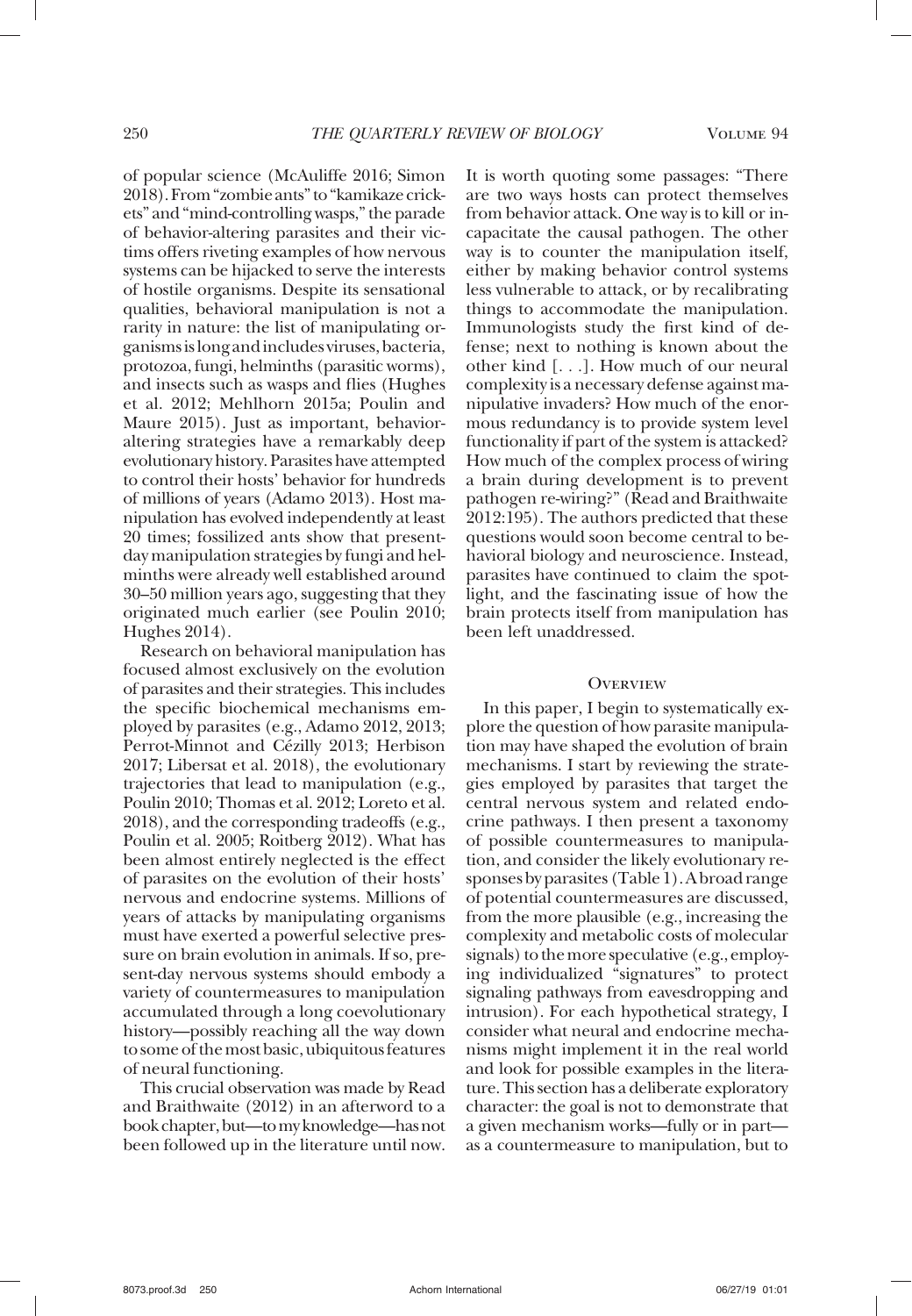of popular science (McAuliffe 2016; Simon 2018). From"zombieants"to"kamikaze crickets" and "mind-controlling wasps,"the parade of behavior-altering parasites and their victims offers riveting examples of how nervous systems can be hijacked to serve the interests of hostile organisms. Despite its sensational qualities, behavioral manipulation is not a rarity in nature: the list of manipulating organismsislongandincludes viruses, bacteria, protozoa, fungi, helminths (parasitic worms), and insects such as wasps and flies (Hughes et al. 2012; Mehlhorn 2015a; Poulin and Maure 2015). Just as important, behavioraltering strategies have a remarkably deep evolutionary history. Parasites have attempted to control their hosts' behavior for hundreds of millions of years (Adamo 2013). Host manipulation has evolved independently at least 20 times; fossilized ants show that presentday manipulation strategies by fungi and helminths were already well established around 30–50 million years ago, suggesting that they originated much earlier (see Poulin 2010; Hughes 2014).

Research on behavioral manipulation has focused almost exclusively on the evolution of parasites and their strategies. This includes the specific biochemical mechanisms employed by parasites (e.g., Adamo 2012, 2013; Perrot-Minnot and Cézilly 2013; Herbison 2017; Libersat et al. 2018), the evolutionary trajectories that lead to manipulation (e.g., Poulin 2010; Thomas et al. 2012; Loreto et al. 2018), and the corresponding tradeoffs (e.g., Poulin et al. 2005; Roitberg 2012). What has been almost entirely neglected is the effect of parasites on the evolution of their hosts' nervous and endocrine systems. Millions of years of attacks by manipulating organisms must have exerted a powerful selective pressure on brain evolution in animals. If so, present-day nervous systems should embody a variety of countermeasures to manipulation accumulated through a long coevolutionary history—possibly reaching all the way down to some of themost basic, ubiquitous features of neural functioning.

This crucial observation was made by Read and Braithwaite (2012) in an afterword to a book chapter, but—tomy knowledge—hasnot been followed up in the literature until now.

It is worth quoting some passages: "There are two ways hosts can protect themselves from behavior attack. One way is to kill or incapacitate the causal pathogen. The other way is to counter the manipulation itself, either by making behavior control systems less vulnerable to attack, or by recalibrating things to accommodate the manipulation. Immunologists study the first kind of defense; next to nothing is known about the other kind [...]. How much of our neural complexity is a necessary defense against manipulative invaders? How much of the enormous redundancy is to provide system level functionality if part of the system is attacked? How much of the complex process of wiring a brain during development is to prevent pathogen re-wiring?" (Read and Braithwaite 2012:195). The authors predicted that these questions would soon become central to behavioral biology and neuroscience. Instead, parasites have continued to claim the spotlight, and the fascinating issue of how the brain protects itself from manipulation has been left unaddressed.

#### **OVERVIEW**

In this paper, I begin to systematically explore the question of how parasite manipulation may have shaped the evolution of brain mechanisms. I start by reviewing the strategies employed by parasites that target the central nervous system and related endocrine pathways. I then present a taxonomy of possible countermeasures to manipulation, and consider the likely evolutionary responses by parasites (Table 1).A broad range of potential countermeasures are discussed, from the more plausible (e.g., increasing the complexity and metabolic costs of molecular signals) to themore speculative (e.g., employing individualized "signatures" to protect signaling pathways from eavesdropping and intrusion). For each hypothetical strategy, I consider what neural and endocrine mechanisms might implement it in the real world and look for possible examples in the literature. This section has a deliberate exploratory character: the goal is not to demonstrate that a given mechanism works—fully or in part as a countermeasure to manipulation, but to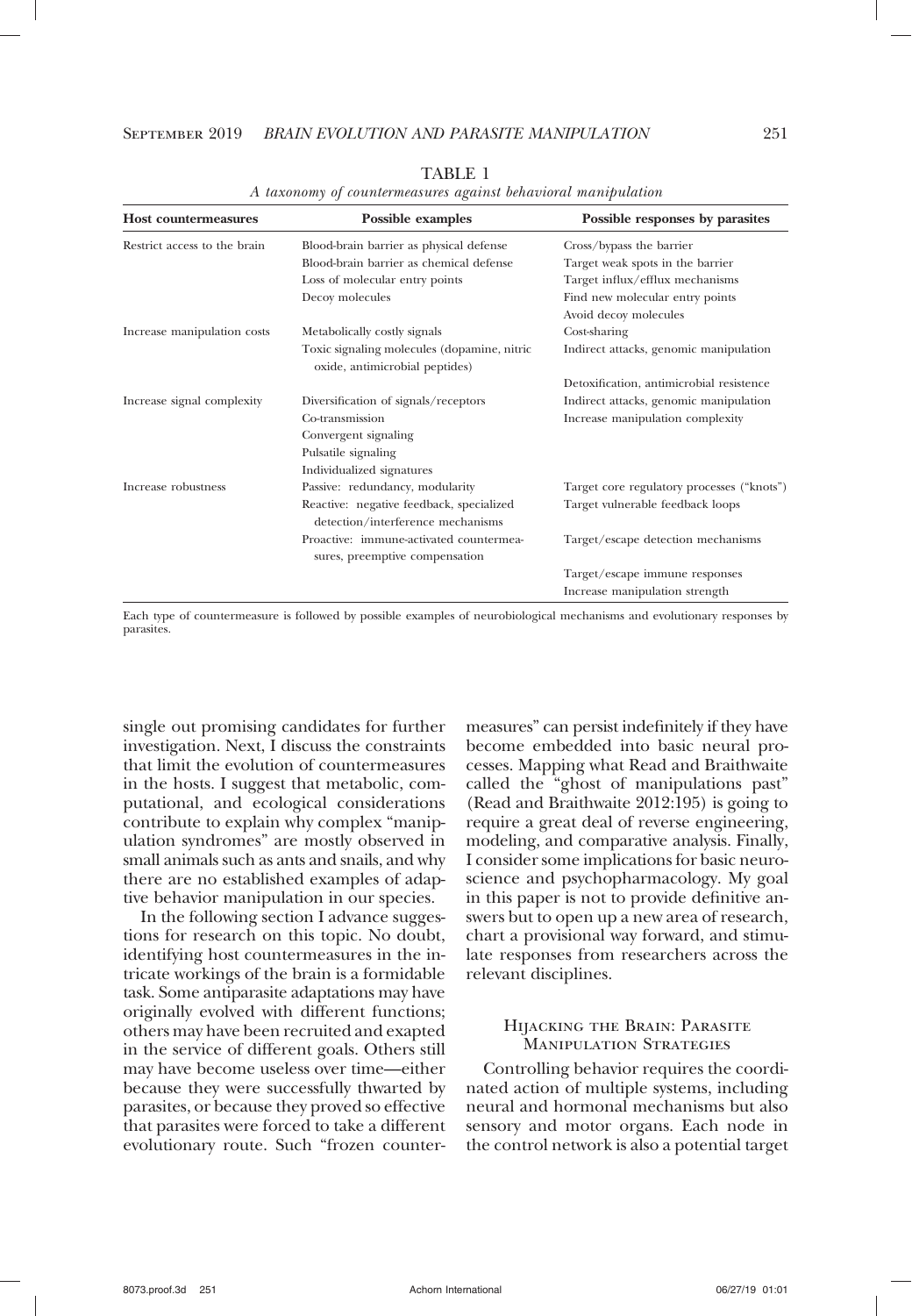| <b>Host countermeasures</b>  | <b>Possible examples</b>                                                      | Possible responses by parasites            |
|------------------------------|-------------------------------------------------------------------------------|--------------------------------------------|
| Restrict access to the brain | Blood-brain barrier as physical defense                                       | Cross/bypass the barrier                   |
|                              | Blood-brain barrier as chemical defense                                       | Target weak spots in the barrier           |
|                              | Loss of molecular entry points                                                | Target influx/efflux mechanisms            |
|                              | Decoy molecules                                                               | Find new molecular entry points            |
|                              |                                                                               | Avoid decoy molecules                      |
| Increase manipulation costs  | Metabolically costly signals                                                  | Cost-sharing                               |
|                              | Toxic signaling molecules (dopamine, nitric<br>oxide, antimicrobial peptides) | Indirect attacks, genomic manipulation     |
|                              |                                                                               | Detoxification, antimicrobial resistence   |
| Increase signal complexity   | Diversification of signals/receptors                                          | Indirect attacks, genomic manipulation     |
|                              | Co-transmission                                                               | Increase manipulation complexity           |
|                              | Convergent signaling                                                          |                                            |
|                              | Pulsatile signaling                                                           |                                            |
|                              | Individualized signatures                                                     |                                            |
| Increase robustness          | Passive: redundancy, modularity                                               | Target core regulatory processes ("knots") |
|                              | Reactive: negative feedback, specialized<br>detection/interference mechanisms | Target vulnerable feedback loops           |
|                              | Proactive: immune-activated countermea-<br>sures, preemptive compensation     | Target/escape detection mechanisms         |
|                              |                                                                               | Target/escape immune responses             |
|                              |                                                                               | Increase manipulation strength             |

TABLE 1

A taxonomy of countermeasures against behavioral manipulation

Each type of countermeasure is followed by possible examples of neurobiological mechanisms and evolutionary responses by parasites.

single out promising candidates for further investigation. Next, I discuss the constraints that limit the evolution of countermeasures in the hosts. I suggest that metabolic, computational, and ecological considerations contribute to explain why complex "manipulation syndromes" are mostly observed in small animals such as ants and snails, and why there are no established examples of adaptive behavior manipulation in our species.

In the following section I advance suggestions for research on this topic. No doubt, identifying host countermeasures in the intricate workings of the brain is a formidable task. Some antiparasite adaptations may have originally evolved with different functions; others may have been recruited and exapted in the service of different goals. Others still may have become useless over time—either because they were successfully thwarted by parasites, or because they proved so effective that parasites were forced to take a different evolutionary route. Such "frozen counter-

measures" can persist indefinitely if they have become embedded into basic neural processes. Mapping what Read and Braithwaite called the "ghost of manipulations past" (Read and Braithwaite 2012:195) is going to require a great deal of reverse engineering, modeling, and comparative analysis. Finally, I consider some implications for basic neuroscience and psychopharmacology. My goal in this paper is not to provide definitive answers but to open up a new area of research, chart a provisional way forward, and stimulate responses from researchers across the relevant disciplines.

# Hijacking the Brain: Parasite Manipulation Strategies

Controlling behavior requires the coordinated action of multiple systems, including neural and hormonal mechanisms but also sensory and motor organs. Each node in the control network is also a potential target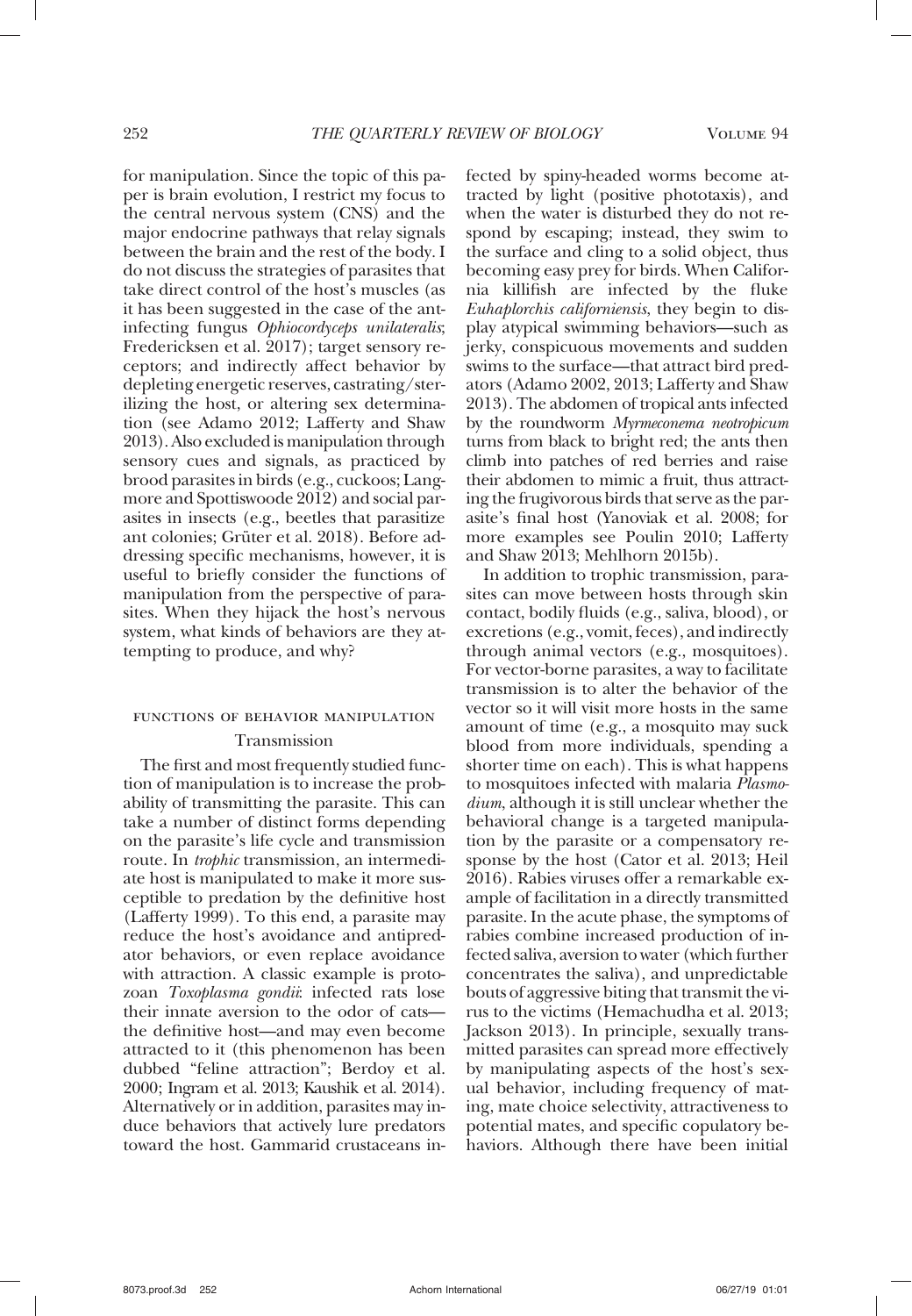for manipulation. Since the topic of this paper is brain evolution, I restrict my focus to the central nervous system (CNS) and the major endocrine pathways that relay signals between the brain and the rest of the body. I do not discuss the strategies of parasites that take direct control of the host's muscles (as it has been suggested in the case of the antinfecting fungus Ophiocordyceps unilateralis; Fredericksen et al. 2017); target sensory receptors; and indirectly affect behavior by depleting energetic reserves, castrating/sterilizing the host, or altering sex determination (see Adamo 2012; Lafferty and Shaw 2013). Also excluded is manipulation through sensory cues and signals, as practiced by brood parasites in birds (e.g., cuckoos; Langmore and Spottiswoode 2012) and social parasites in insects (e.g., beetles that parasitize ant colonies; Grüter et al. 2018). Before addressing specific mechanisms, however, it is useful to briefly consider the functions of manipulation from the perspective of parasites. When they hijack the host's nervous system, what kinds of behaviors are they attempting to produce, and why?

# functions of behavior manipulation Transmission

The first and most frequently studied function of manipulation is to increase the probability of transmitting the parasite. This can take a number of distinct forms depending on the parasite's life cycle and transmission route. In trophic transmission, an intermediate host is manipulated to make it more susceptible to predation by the definitive host (Lafferty 1999). To this end, a parasite may reduce the host's avoidance and antipredator behaviors, or even replace avoidance with attraction. A classic example is protozoan Toxoplasma gondii: infected rats lose their innate aversion to the odor of cats the definitive host—and may even become attracted to it (this phenomenon has been dubbed "feline attraction"; Berdoy et al. 2000; Ingram et al. 2013; Kaushik et al. 2014). Alternatively or in addition, parasites may induce behaviors that actively lure predators toward the host. Gammarid crustaceans in-

fected by spiny-headed worms become attracted by light (positive phototaxis), and when the water is disturbed they do not respond by escaping; instead, they swim to the surface and cling to a solid object, thus becoming easy prey for birds. When California killifish are infected by the fluke Euhaplorchis californiensis, they begin to display atypical swimming behaviors—such as jerky, conspicuous movements and sudden swims to the surface—that attract bird predators (Adamo 2002, 2013; Lafferty and Shaw 2013). The abdomen of tropical ants infected by the roundworm Myrmeconema neotropicum turns from black to bright red; the ants then climb into patches of red berries and raise their abdomen to mimic a fruit, thus attracting the frugivorous birds that serve as the parasite's final host (Yanoviak et al. 2008; for more examples see Poulin 2010; Lafferty and Shaw 2013; Mehlhorn 2015b).

In addition to trophic transmission, parasites can move between hosts through skin contact, bodily fluids (e.g., saliva, blood), or excretions (e.g., vomit, feces), and indirectly through animal vectors (e.g., mosquitoes). For vector-borne parasites, a way to facilitate transmission is to alter the behavior of the vector so it will visit more hosts in the same amount of time (e.g., a mosquito may suck blood from more individuals, spending a shorter time on each). This is what happens to mosquitoes infected with malaria Plasmodium, although it is still unclear whether the behavioral change is a targeted manipulation by the parasite or a compensatory response by the host (Cator et al. 2013; Heil 2016). Rabies viruses offer a remarkable example of facilitation in a directly transmitted parasite. In the acute phase, the symptoms of rabies combine increased production of infected saliva, aversion to water (which further concentrates the saliva), and unpredictable bouts of aggressive biting that transmit the virus to the victims (Hemachudha et al. 2013; Jackson 2013). In principle, sexually transmitted parasites can spread more effectively by manipulating aspects of the host's sexual behavior, including frequency of mating, mate choice selectivity, attractiveness to potential mates, and specific copulatory behaviors. Although there have been initial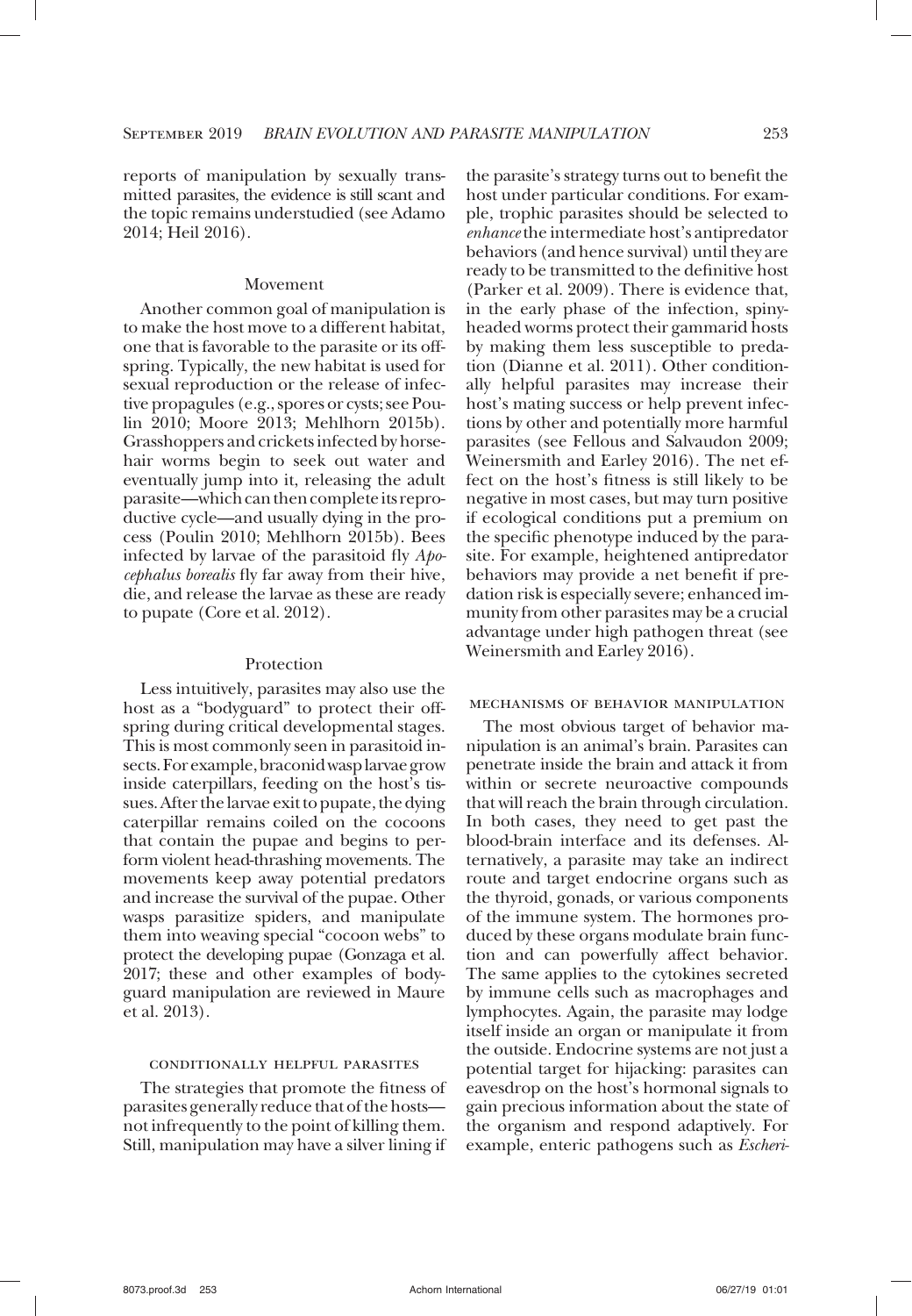reports of manipulation by sexually transmitted parasites, the evidence is still scant and the topic remains understudied (see Adamo 2014; Heil 2016).

#### Movement

Another common goal of manipulation is to make the host move to a different habitat, one that is favorable to the parasite or its offspring. Typically, the new habitat is used for sexual reproduction or the release of infective propagules (e.g., spores or cysts; see Poulin 2010; Moore 2013; Mehlhorn 2015b). Grasshoppers and crickets infected by horsehair worms begin to seek out water and eventually jump into it, releasing the adult parasite—which can then complete its reproductive cycle—and usually dying in the process (Poulin 2010; Mehlhorn 2015b). Bees infected by larvae of the parasitoid fly Apocephalus borealis fly far away from their hive, die, and release the larvae as these are ready to pupate (Core et al. 2012).

#### Protection

Less intuitively, parasites may also use the host as a "bodyguard" to protect their offspring during critical developmental stages. This is most commonly seen in parasitoid insects. For example, braconidwasplarvae grow inside caterpillars, feeding on the host's tissues. After the larvae exit to pupate, the dying caterpillar remains coiled on the cocoons that contain the pupae and begins to perform violent head-thrashing movements. The movements keep away potential predators and increase the survival of the pupae. Other wasps parasitize spiders, and manipulate them into weaving special "cocoon webs" to protect the developing pupae (Gonzaga et al. 2017; these and other examples of bodyguard manipulation are reviewed in Maure et al. 2013).

#### conditionally helpful parasites

The strategies that promote the fitness of parasites generally reduce that of the hosts not infrequently to the point of killing them. Still, manipulation may have a silver lining if the parasite's strategy turns out to benefit the host under particular conditions. For example, trophic parasites should be selected to enhance the intermediate host's antipredator behaviors (and hence survival) until they are ready to be transmitted to the definitive host (Parker et al. 2009). There is evidence that, in the early phase of the infection, spinyheaded worms protect their gammarid hosts by making them less susceptible to predation (Dianne et al. 2011). Other conditionally helpful parasites may increase their host's mating success or help prevent infections by other and potentially more harmful parasites (see Fellous and Salvaudon 2009; Weinersmith and Earley 2016). The net effect on the host's fitness is still likely to be negative in most cases, but may turn positive if ecological conditions put a premium on the specific phenotype induced by the parasite. For example, heightened antipredator behaviors may provide a net benefit if predation risk is especially severe; enhanced immunity from other parasites may be a crucial advantage under high pathogen threat (see Weinersmith and Earley 2016).

#### mechanisms of behavior manipulation

The most obvious target of behavior manipulation is an animal's brain. Parasites can penetrate inside the brain and attack it from within or secrete neuroactive compounds that will reach the brain through circulation. In both cases, they need to get past the blood-brain interface and its defenses. Alternatively, a parasite may take an indirect route and target endocrine organs such as the thyroid, gonads, or various components of the immune system. The hormones produced by these organs modulate brain function and can powerfully affect behavior. The same applies to the cytokines secreted by immune cells such as macrophages and lymphocytes. Again, the parasite may lodge itself inside an organ or manipulate it from the outside. Endocrine systems are not just a potential target for hijacking: parasites can eavesdrop on the host's hormonal signals to gain precious information about the state of the organism and respond adaptively. For example, enteric pathogens such as Escheri-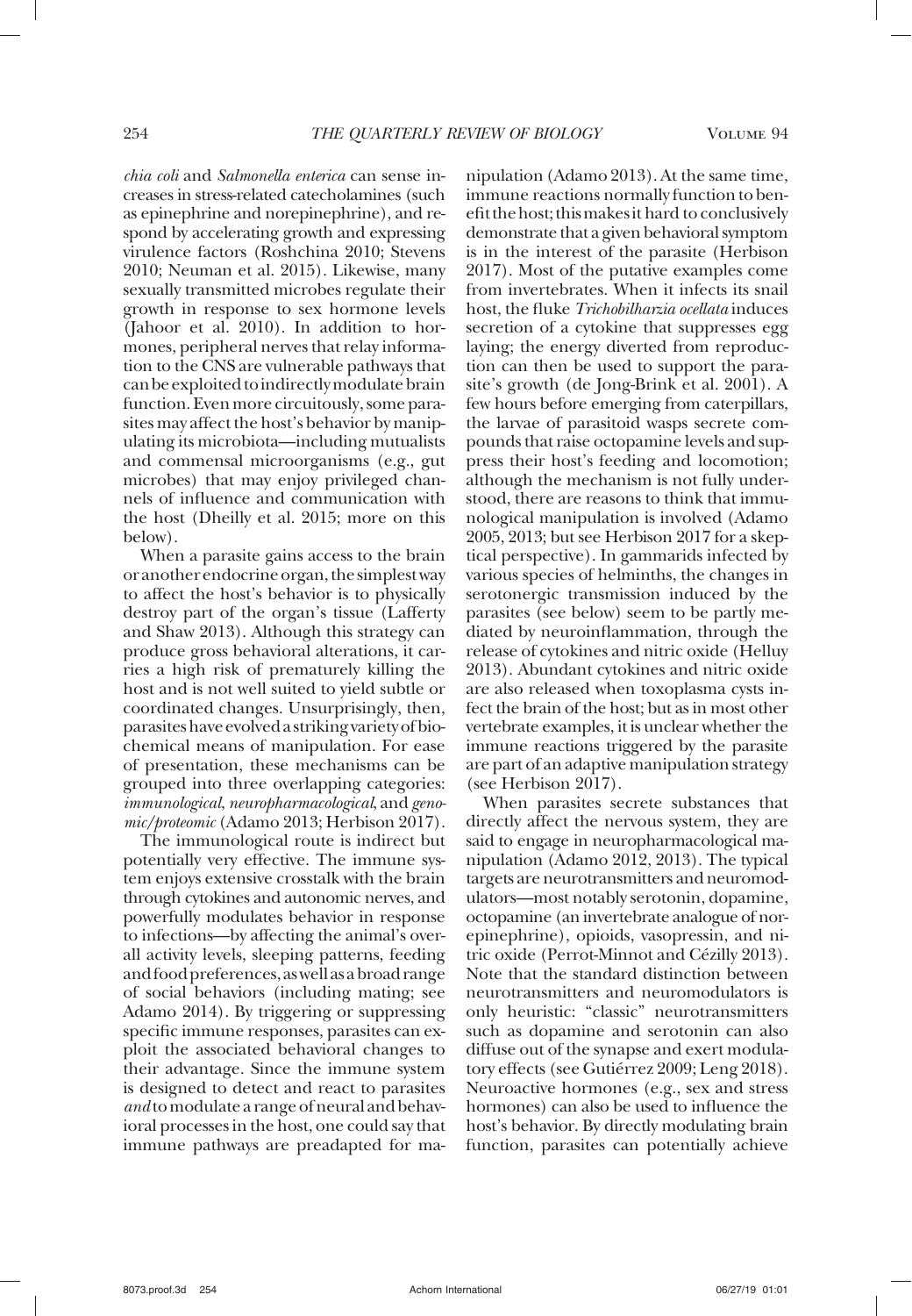chia coli and Salmonella enterica can sense increases in stress-related catecholamines (such as epinephrine and norepinephrine), and respond by accelerating growth and expressing virulence factors (Roshchina 2010; Stevens 2010; Neuman et al. 2015). Likewise, many sexually transmitted microbes regulate their growth in response to sex hormone levels (Jahoor et al. 2010). In addition to hormones, peripheral nerves that relay information to the CNS are vulnerable pathways that canbe exploited toindirectlymodulate brain function. Even more circuitously, some parasites may affect the host's behavior by manipulating its microbiota—including mutualists and commensal microorganisms (e.g., gut microbes) that may enjoy privileged channels of influence and communication with the host (Dheilly et al. 2015; more on this below).

When a parasite gains access to the brain or another endocrine organ, the simplest way to affect the host's behavior is to physically destroy part of the organ's tissue (Lafferty and Shaw 2013). Although this strategy can produce gross behavioral alterations, it carries a high risk of prematurely killing the host and is not well suited to yield subtle or coordinated changes. Unsurprisingly, then, parasites have evolveda striking variety of biochemical means of manipulation. For ease of presentation, these mechanisms can be grouped into three overlapping categories: immunological, neuropharmacological, and genomic/proteomic (Adamo 2013; Herbison 2017).

The immunological route is indirect but potentially very effective. The immune system enjoys extensive crosstalk with the brain through cytokines and autonomic nerves, and powerfully modulates behavior in response to infections—by affecting the animal's overall activity levels, sleeping patterns, feeding and foodpreferences,aswell asa broad range of social behaviors (including mating; see Adamo 2014). By triggering or suppressing specific immune responses, parasites can exploit the associated behavioral changes to their advantage. Since the immune system is designed to detect and react to parasites and to modulate a range of neural and behavioral processes in the host, one could say that immune pathways are preadapted for manipulation (Adamo 2013). At the same time, immune reactions normally function to benefit thehost; thismakesit hard to conclusively demonstrate that a given behavioral symptom is in the interest of the parasite (Herbison 2017). Most of the putative examples come from invertebrates. When it infects its snail host, the fluke Trichobilharzia ocellata induces secretion of a cytokine that suppresses egg laying; the energy diverted from reproduction can then be used to support the parasite's growth (de Jong-Brink et al. 2001). A few hours before emerging from caterpillars, the larvae of parasitoid wasps secrete compounds that raise octopamine levels and suppress their host's feeding and locomotion; although the mechanism is not fully understood, there are reasons to think that immunological manipulation is involved (Adamo 2005, 2013; but see Herbison 2017 for a skeptical perspective). In gammarids infected by various species of helminths, the changes in serotonergic transmission induced by the parasites (see below) seem to be partly mediated by neuroinflammation, through the release of cytokines and nitric oxide (Helluy 2013). Abundant cytokines and nitric oxide are also released when toxoplasma cysts infect the brain of the host; but as in most other vertebrate examples, it is unclear whether the immune reactions triggered by the parasite are part of an adaptive manipulation strategy (see Herbison 2017).

When parasites secrete substances that directly affect the nervous system, they are said to engage in neuropharmacological manipulation (Adamo 2012, 2013). The typical targets are neurotransmitters and neuromodulators—most notably serotonin, dopamine, octopamine (an invertebrate analogue of norepinephrine), opioids, vasopressin, and nitric oxide (Perrot-Minnot and Cézilly 2013). Note that the standard distinction between neurotransmitters and neuromodulators is only heuristic: "classic" neurotransmitters such as dopamine and serotonin can also diffuse out of the synapse and exert modulatory effects (see Gutiérrez 2009; Leng 2018). Neuroactive hormones (e.g., sex and stress hormones) can also be used to influence the host's behavior. By directly modulating brain function, parasites can potentially achieve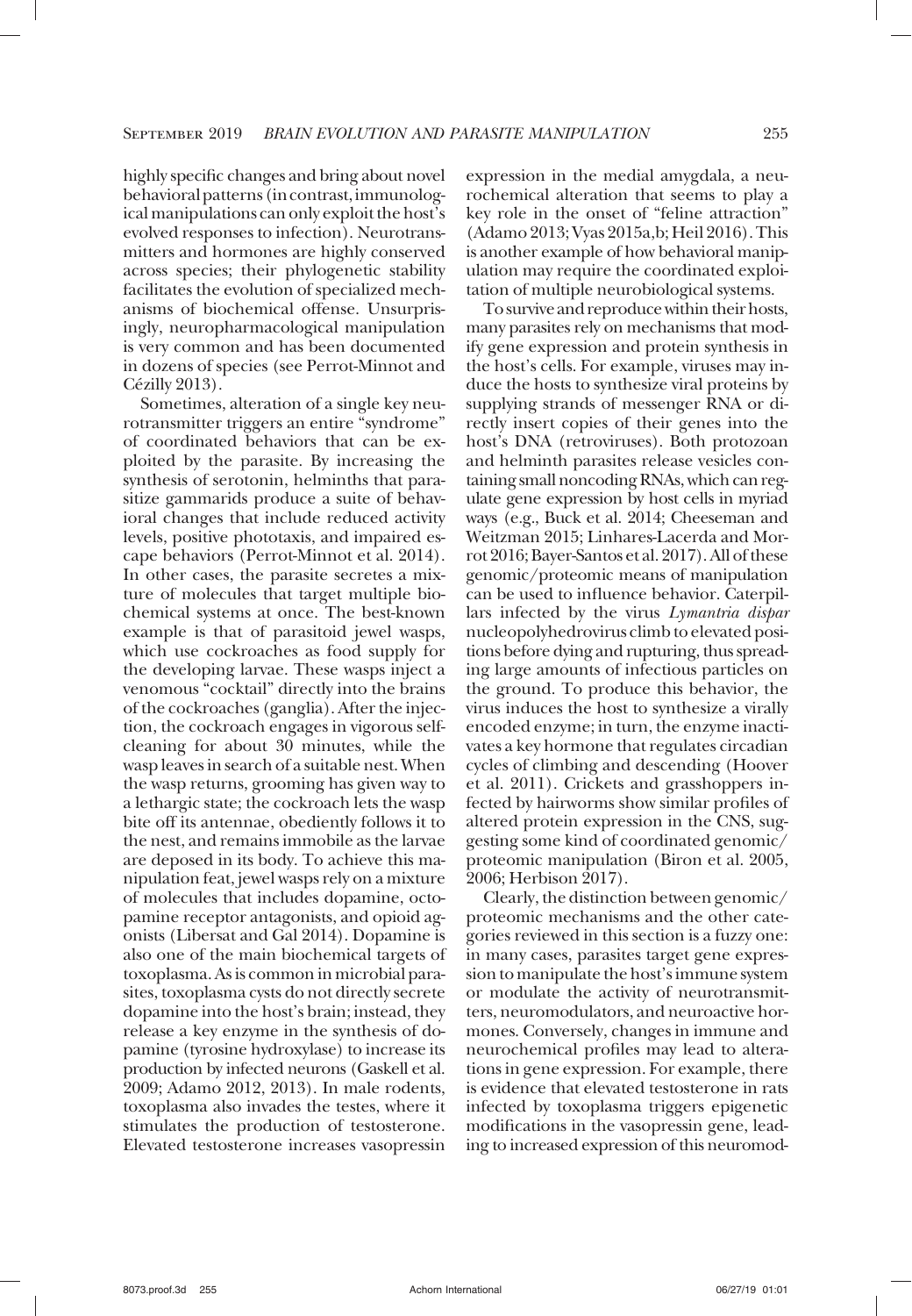highly specific changes and bring about novel behavioral patterns (incontrast,immunological manipulations can only exploit the host's evolved responses to infection). Neurotransmitters and hormones are highly conserved across species; their phylogenetic stability facilitates the evolution of specialized mechanisms of biochemical offense. Unsurprisingly, neuropharmacological manipulation is very common and has been documented in dozens of species (see Perrot-Minnot and Cézilly 2013).

Sometimes, alteration of a single key neurotransmitter triggers an entire "syndrome" of coordinated behaviors that can be exploited by the parasite. By increasing the synthesis of serotonin, helminths that parasitize gammarids produce a suite of behavioral changes that include reduced activity levels, positive phototaxis, and impaired escape behaviors (Perrot-Minnot et al. 2014). In other cases, the parasite secretes a mixture of molecules that target multiple biochemical systems at once. The best-known example is that of parasitoid jewel wasps, which use cockroaches as food supply for the developing larvae. These wasps inject a venomous "cocktail" directly into the brains of the cockroaches (ganglia). After the injection, the cockroach engages in vigorous selfcleaning for about 30 minutes, while the wasp leaves in search of a suitable nest. When the wasp returns, grooming has given way to a lethargic state; the cockroach lets the wasp bite off its antennae, obediently follows it to the nest, and remains immobile as the larvae are deposed in its body. To achieve this manipulation feat, jewel wasps rely on a mixture of molecules that includes dopamine, octopamine receptor antagonists, and opioid agonists (Libersat and Gal 2014). Dopamine is also one of the main biochemical targets of toxoplasma. As is common in microbial parasites, toxoplasma cysts do not directly secrete dopamine into the host's brain; instead, they release a key enzyme in the synthesis of dopamine (tyrosine hydroxylase) to increase its production by infected neurons (Gaskell et al. 2009; Adamo 2012, 2013). In male rodents, toxoplasma also invades the testes, where it stimulates the production of testosterone. Elevated testosterone increases vasopressin

expression in the medial amygdala, a neurochemical alteration that seems to play a key role in the onset of "feline attraction" (Adamo 2013; Vyas 2015a,b; Heil 2016). This is another example of how behavioral manipulation may require the coordinated exploitation of multiple neurobiological systems.

To survive and reproduce within their hosts, many parasites rely on mechanisms that modify gene expression and protein synthesis in the host's cells. For example, viruses may induce the hosts to synthesize viral proteins by supplying strands of messenger RNA or directly insert copies of their genes into the host's DNA (retroviruses). Both protozoan and helminth parasites release vesicles containing small noncoding RNAs, which can regulate gene expression by host cells in myriad ways (e.g., Buck et al. 2014; Cheeseman and Weitzman 2015; Linhares-Lacerda and Morrot 2016; Bayer-Santos et al. 2017). All of these genomic/proteomic means of manipulation can be used to influence behavior. Caterpillars infected by the virus Lymantria dispar nucleopolyhedrovirus climb to elevated positions before dying and rupturing, thus spreading large amounts of infectious particles on the ground. To produce this behavior, the virus induces the host to synthesize a virally encoded enzyme; in turn, the enzyme inactivates a key hormone that regulates circadian cycles of climbing and descending (Hoover et al. 2011). Crickets and grasshoppers infected by hairworms show similar profiles of altered protein expression in the CNS, suggesting some kind of coordinated genomic/ proteomic manipulation (Biron et al. 2005, 2006; Herbison 2017).

Clearly, the distinction between genomic/ proteomic mechanisms and the other categories reviewed in this section is a fuzzy one: in many cases, parasites target gene expression to manipulate the host's immune system or modulate the activity of neurotransmitters, neuromodulators, and neuroactive hormones. Conversely, changes in immune and neurochemical profiles may lead to alterations in gene expression. For example, there is evidence that elevated testosterone in rats infected by toxoplasma triggers epigenetic modifications in the vasopressin gene, leading to increased expression of this neuromod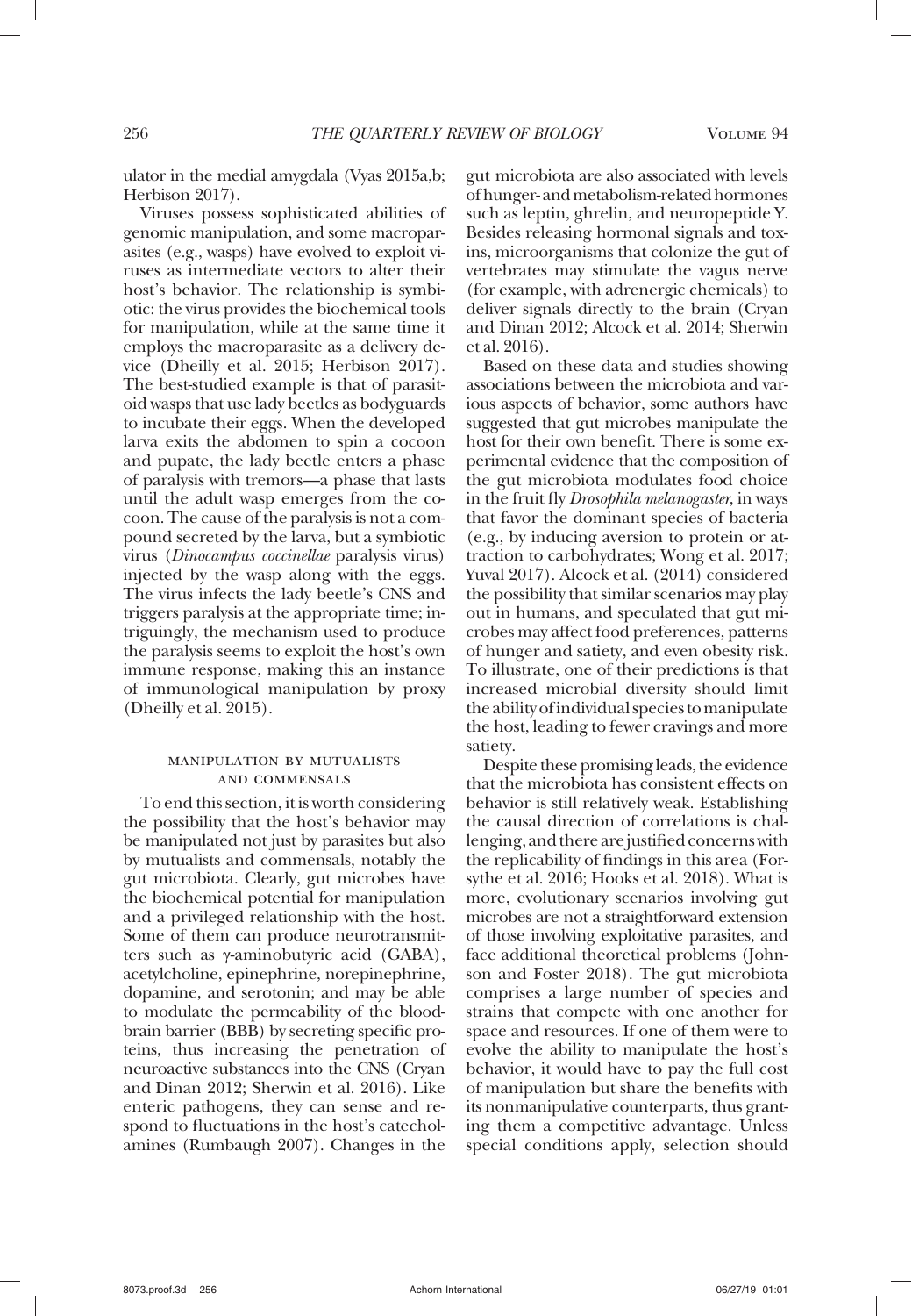ulator in the medial amygdala (Vyas 2015a,b; Herbison 2017).

Viruses possess sophisticated abilities of genomic manipulation, and some macroparasites (e.g., wasps) have evolved to exploit viruses as intermediate vectors to alter their host's behavior. The relationship is symbiotic: the virus provides the biochemical tools for manipulation, while at the same time it employs the macroparasite as a delivery device (Dheilly et al. 2015; Herbison 2017). The best-studied example is that of parasitoid wasps that use lady beetles as bodyguards to incubate their eggs. When the developed larva exits the abdomen to spin a cocoon and pupate, the lady beetle enters a phase of paralysis with tremors—a phase that lasts until the adult wasp emerges from the cocoon. The cause of the paralysis is not a compound secreted by the larva, but a symbiotic virus (Dinocampus coccinellae paralysis virus) injected by the wasp along with the eggs. The virus infects the lady beetle's CNS and triggers paralysis at the appropriate time; intriguingly, the mechanism used to produce the paralysis seems to exploit the host's own immune response, making this an instance of immunological manipulation by proxy (Dheilly et al. 2015).

#### manipulation by mutualists and commensals

To end this section, it is worth considering the possibility that the host's behavior may be manipulated not just by parasites but also by mutualists and commensals, notably the gut microbiota. Clearly, gut microbes have the biochemical potential for manipulation and a privileged relationship with the host. Some of them can produce neurotransmitters such as γ-aminobutyric acid (GABA), acetylcholine, epinephrine, norepinephrine, dopamine, and serotonin; and may be able to modulate the permeability of the bloodbrain barrier (BBB) by secreting specific proteins, thus increasing the penetration of neuroactive substances into the CNS (Cryan and Dinan 2012; Sherwin et al. 2016). Like enteric pathogens, they can sense and respond to fluctuations in the host's catecholamines (Rumbaugh 2007). Changes in the

gut microbiota are also associated with levels of hunger- andmetabolism-related hormones such as leptin, ghrelin, and neuropeptide Y. Besides releasing hormonal signals and toxins, microorganisms that colonize the gut of vertebrates may stimulate the vagus nerve (for example, with adrenergic chemicals) to deliver signals directly to the brain (Cryan and Dinan 2012; Alcock et al. 2014; Sherwin et al. 2016).

Based on these data and studies showing associations between the microbiota and various aspects of behavior, some authors have suggested that gut microbes manipulate the host for their own benefit. There is some experimental evidence that the composition of the gut microbiota modulates food choice in the fruit fly Drosophila melanogaster, in ways that favor the dominant species of bacteria (e.g., by inducing aversion to protein or attraction to carbohydrates; Wong et al. 2017; Yuval 2017). Alcock et al. (2014) considered the possibility that similar scenarios may play out in humans, and speculated that gut microbes may affect food preferences, patterns of hunger and satiety, and even obesity risk. To illustrate, one of their predictions is that increased microbial diversity should limit the ability ofindividual species tomanipulate the host, leading to fewer cravings and more satiety.

Despite these promising leads, the evidence that the microbiota has consistent effects on behavior is still relatively weak. Establishing the causal direction of correlations is challenging, and there are justified concernswith the replicability of findings in this area (Forsythe et al. 2016; Hooks et al. 2018). What is more, evolutionary scenarios involving gut microbes are not a straightforward extension of those involving exploitative parasites, and face additional theoretical problems (Johnson and Foster 2018). The gut microbiota comprises a large number of species and strains that compete with one another for space and resources. If one of them were to evolve the ability to manipulate the host's behavior, it would have to pay the full cost of manipulation but share the benefits with its nonmanipulative counterparts, thus granting them a competitive advantage. Unless special conditions apply, selection should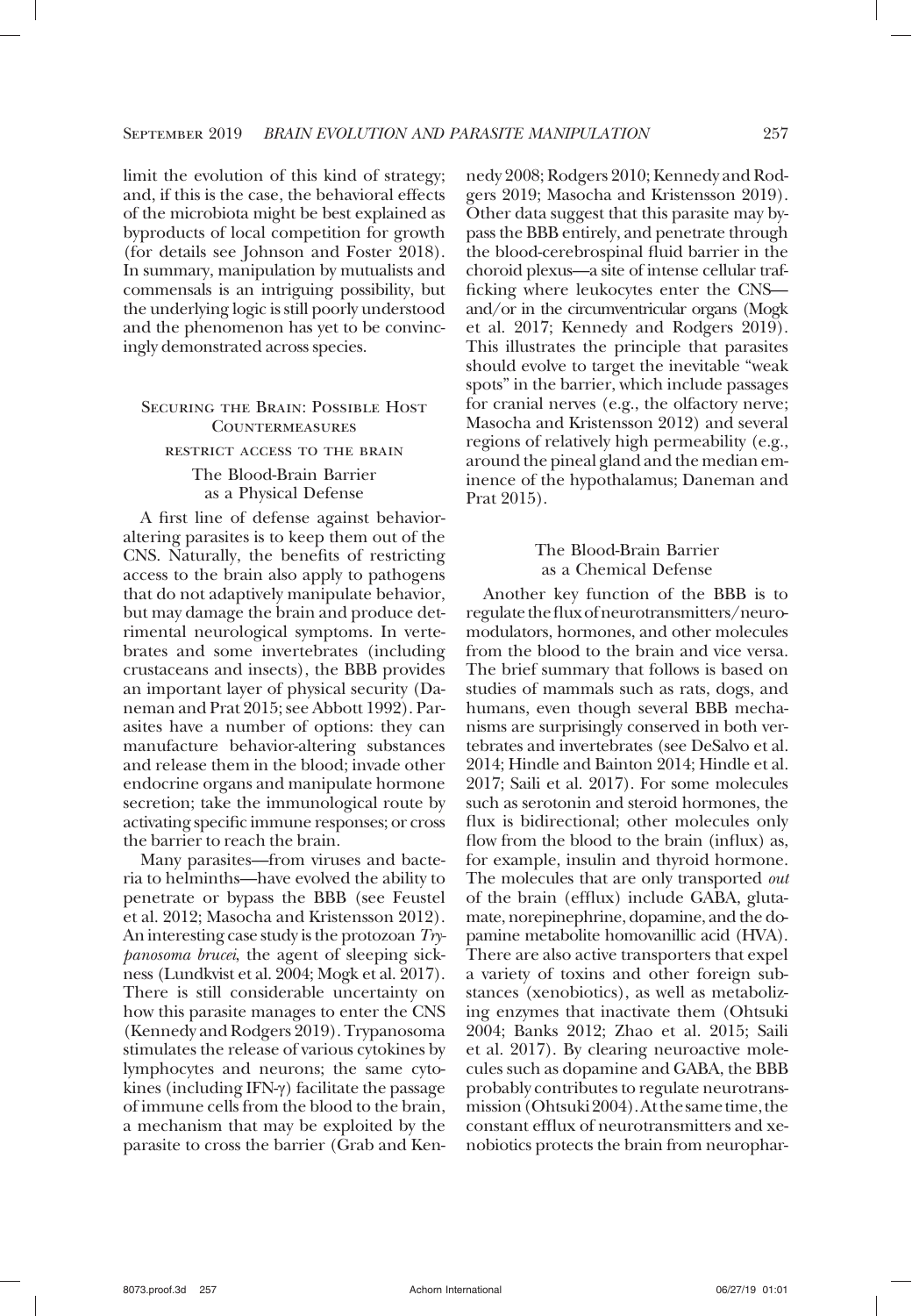limit the evolution of this kind of strategy; and, if this is the case, the behavioral effects of the microbiota might be best explained as byproducts of local competition for growth (for details see Johnson and Foster 2018). In summary, manipulation by mutualists and commensals is an intriguing possibility, but the underlying logic is still poorly understood and the phenomenon has yet to be convincingly demonstrated across species.

# Securing the Brain: Possible Host **COUNTERMEASURES**

# restrict access to the brain

The Blood-Brain Barrier as a Physical Defense

A first line of defense against behavioraltering parasites is to keep them out of the CNS. Naturally, the benefits of restricting access to the brain also apply to pathogens that do not adaptively manipulate behavior, but may damage the brain and produce detrimental neurological symptoms. In vertebrates and some invertebrates (including crustaceans and insects), the BBB provides an important layer of physical security (Daneman and Prat 2015; see Abbott 1992). Parasites have a number of options: they can manufacture behavior-altering substances and release them in the blood; invade other endocrine organs and manipulate hormone secretion; take the immunological route by activating specific immune responses; or cross the barrier to reach the brain.

Many parasites—from viruses and bacteria to helminths—have evolved the ability to penetrate or bypass the BBB (see Feustel et al. 2012; Masocha and Kristensson 2012). An interesting case study is the protozoan Trypanosoma brucei, the agent of sleeping sickness (Lundkvist et al. 2004; Mogk et al. 2017). There is still considerable uncertainty on how this parasite manages to enter the CNS (Kennedy and Rodgers 2019). Trypanosoma stimulates the release of various cytokines by lymphocytes and neurons; the same cytokines (including IFN-γ) facilitate the passage of immune cells from the blood to the brain, a mechanism that may be exploited by the parasite to cross the barrier (Grab and Kennedy 2008; Rodgers 2010; Kennedy and Rodgers 2019; Masocha and Kristensson 2019). Other data suggest that this parasite may bypass the BBB entirely, and penetrate through the blood-cerebrospinal fluid barrier in the choroid plexus—a site of intense cellular trafficking where leukocytes enter the CNS and/or in the circumventricular organs (Mogk et al. 2017; Kennedy and Rodgers 2019). This illustrates the principle that parasites should evolve to target the inevitable "weak spots" in the barrier, which include passages for cranial nerves (e.g., the olfactory nerve; Masocha and Kristensson 2012) and several regions of relatively high permeability (e.g., around the pineal gland and the median eminence of the hypothalamus; Daneman and Prat 2015).

# The Blood-Brain Barrier as a Chemical Defense

Another key function of the BBB is to regulate theflux ofneurotransmitters/neuromodulators, hormones, and other molecules from the blood to the brain and vice versa. The brief summary that follows is based on studies of mammals such as rats, dogs, and humans, even though several BBB mechanisms are surprisingly conserved in both vertebrates and invertebrates (see DeSalvo et al. 2014; Hindle and Bainton 2014; Hindle et al. 2017; Saili et al. 2017). For some molecules such as serotonin and steroid hormones, the flux is bidirectional; other molecules only flow from the blood to the brain (influx) as, for example, insulin and thyroid hormone. The molecules that are only transported *out* of the brain (efflux) include GABA, glutamate, norepinephrine, dopamine, and the dopamine metabolite homovanillic acid (HVA). There are also active transporters that expel a variety of toxins and other foreign substances (xenobiotics), as well as metabolizing enzymes that inactivate them (Ohtsuki 2004; Banks 2012; Zhao et al. 2015; Saili et al. 2017). By clearing neuroactive molecules such as dopamine and GABA, the BBB probably contributes to regulate neurotransmission(Ohtsuki 2004).At the same time, the constant efflux of neurotransmitters and xenobiotics protects the brain from neurophar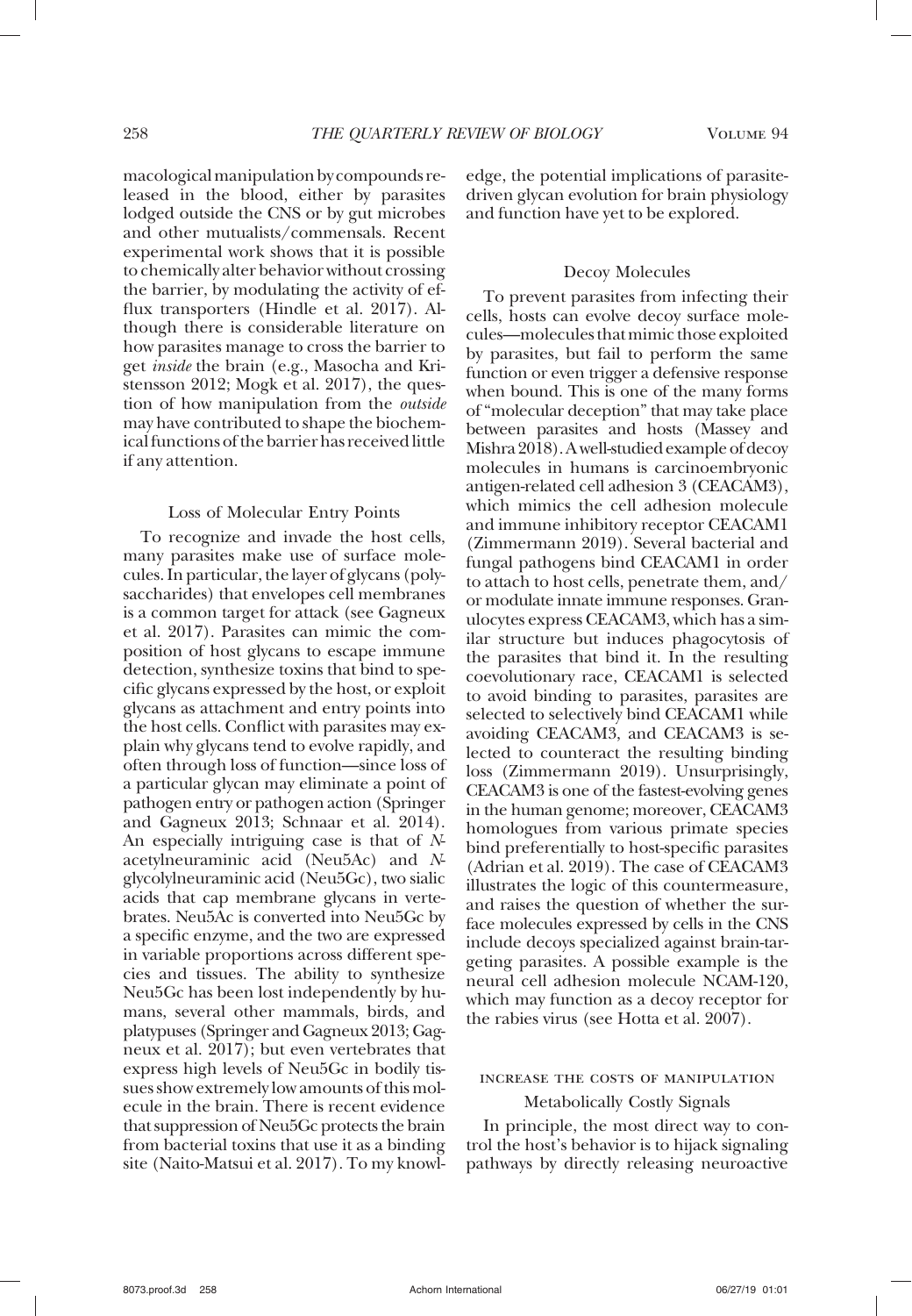macologicalmanipulation by compounds released in the blood, either by parasites lodged outside the CNS or by gut microbes and other mutualists/commensals. Recent experimental work shows that it is possible to chemically alter behavior without crossing the barrier, by modulating the activity of efflux transporters (Hindle et al. 2017). Although there is considerable literature on how parasites manage to cross the barrier to get inside the brain (e.g., Masocha and Kristensson 2012; Mogk et al. 2017), the question of how manipulation from the outside may have contributed to shape the biochemical functions of the barrier has received little if any attention.

#### Loss of Molecular Entry Points

To recognize and invade the host cells, many parasites make use of surface molecules. In particular, the layer of glycans (polysaccharides) that envelopes cell membranes is a common target for attack (see Gagneux et al. 2017). Parasites can mimic the composition of host glycans to escape immune detection, synthesize toxins that bind to specific glycans expressed by the host, or exploit glycans as attachment and entry points into the host cells. Conflict with parasites may explain why glycans tend to evolve rapidly, and often through loss of function—since loss of a particular glycan may eliminate a point of pathogen entry or pathogen action (Springer and Gagneux 2013; Schnaar et al. 2014). An especially intriguing case is that of Nacetylneuraminic acid (Neu5Ac) and Nglycolylneuraminic acid (Neu5Gc), two sialic acids that cap membrane glycans in vertebrates. Neu5Ac is converted into Neu5Gc by a specific enzyme, and the two are expressed in variable proportions across different species and tissues. The ability to synthesize Neu5Gc has been lost independently by humans, several other mammals, birds, and platypuses (Springer and Gagneux 2013; Gagneux et al. 2017); but even vertebrates that express high levels of Neu5Gc in bodily tissues show extremely low amounts of this molecule in the brain. There is recent evidence that suppression of Neu5Gc protects the brain from bacterial toxins that use it as a binding site (Naito-Matsui et al. 2017). To my knowledge, the potential implications of parasitedriven glycan evolution for brain physiology and function have yet to be explored.

#### Decoy Molecules

To prevent parasites from infecting their cells, hosts can evolve decoy surface molecules—molecules thatmimic those exploited by parasites, but fail to perform the same function or even trigger a defensive response when bound. This is one of the many forms of "molecular deception" that may take place between parasites and hosts (Massey and Mishra 2018). A well-studied example of decoy molecules in humans is carcinoembryonic antigen-related cell adhesion 3 (CEACAM3), which mimics the cell adhesion molecule and immune inhibitory receptor CEACAM1 (Zimmermann 2019). Several bacterial and fungal pathogens bind CEACAM1 in order to attach to host cells, penetrate them, and/ or modulate innate immune responses. Granulocytes express CEACAM3, which has a similar structure but induces phagocytosis of the parasites that bind it. In the resulting coevolutionary race, CEACAM1 is selected to avoid binding to parasites, parasites are selected to selectively bind CEACAM1 while avoiding CEACAM3, and CEACAM3 is selected to counteract the resulting binding loss (Zimmermann 2019). Unsurprisingly, CEACAM3 is one of the fastest-evolving genes in the human genome; moreover, CEACAM3 homologues from various primate species bind preferentially to host-specific parasites (Adrian et al. 2019). The case of CEACAM3 illustrates the logic of this countermeasure, and raises the question of whether the surface molecules expressed by cells in the CNS include decoys specialized against brain-targeting parasites. A possible example is the neural cell adhesion molecule NCAM-120, which may function as a decoy receptor for the rabies virus (see Hotta et al. 2007).

# increase the costs of manipulation

### Metabolically Costly Signals

In principle, the most direct way to control the host's behavior is to hijack signaling pathways by directly releasing neuroactive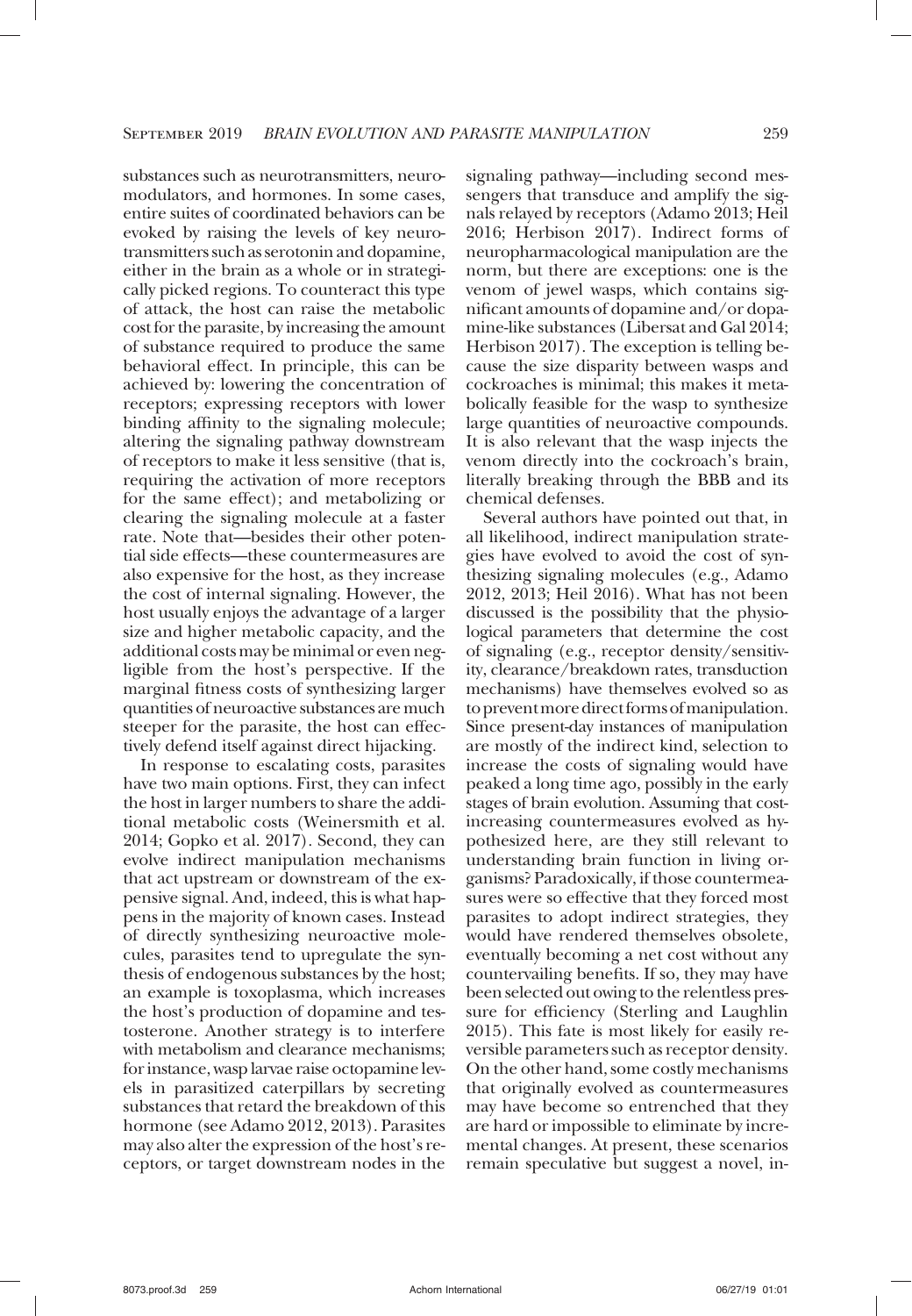substances such as neurotransmitters, neuromodulators, and hormones. In some cases, entire suites of coordinated behaviors can be evoked by raising the levels of key neurotransmitters such as serotonin and dopamine, either in the brain as a whole or in strategically picked regions. To counteract this type of attack, the host can raise the metabolic cost for the parasite, by increasing the amount of substance required to produce the same behavioral effect. In principle, this can be achieved by: lowering the concentration of receptors; expressing receptors with lower binding affinity to the signaling molecule; altering the signaling pathway downstream of receptors to make it less sensitive (that is, requiring the activation of more receptors for the same effect); and metabolizing or clearing the signaling molecule at a faster rate. Note that—besides their other potential side effects—these countermeasures are also expensive for the host, as they increase the cost of internal signaling. However, the host usually enjoys the advantage of a larger size and higher metabolic capacity, and the additional costs may be minimal or even negligible from the host's perspective. If the marginal fitness costs of synthesizing larger quantities of neuroactive substances are much steeper for the parasite, the host can effectively defend itself against direct hijacking.

In response to escalating costs, parasites have two main options. First, they can infect the host in larger numbers to share the additional metabolic costs (Weinersmith et al. 2014; Gopko et al. 2017). Second, they can evolve indirect manipulation mechanisms that act upstream or downstream of the expensive signal. And, indeed, this is what happens in the majority of known cases. Instead of directly synthesizing neuroactive molecules, parasites tend to upregulate the synthesis of endogenous substances by the host; an example is toxoplasma, which increases the host's production of dopamine and testosterone. Another strategy is to interfere with metabolism and clearance mechanisms; for instance, wasp larvae raise octopamine levels in parasitized caterpillars by secreting substances that retard the breakdown of this hormone (see Adamo 2012, 2013). Parasites may also alter the expression of the host's receptors, or target downstream nodes in the

signaling pathway—including second messengers that transduce and amplify the signals relayed by receptors (Adamo 2013; Heil 2016; Herbison 2017). Indirect forms of neuropharmacological manipulation are the norm, but there are exceptions: one is the venom of jewel wasps, which contains significant amounts of dopamine and/or dopamine-like substances (Libersat and Gal 2014; Herbison 2017). The exception is telling because the size disparity between wasps and cockroaches is minimal; this makes it metabolically feasible for the wasp to synthesize large quantities of neuroactive compounds. It is also relevant that the wasp injects the venom directly into the cockroach's brain, literally breaking through the BBB and its chemical defenses.

Several authors have pointed out that, in all likelihood, indirect manipulation strategies have evolved to avoid the cost of synthesizing signaling molecules (e.g., Adamo 2012, 2013; Heil 2016). What has not been discussed is the possibility that the physiological parameters that determine the cost of signaling (e.g., receptor density/sensitivity, clearance/breakdown rates, transduction mechanisms) have themselves evolved so as to preventmoredirect forms ofmanipulation. Since present-day instances of manipulation are mostly of the indirect kind, selection to increase the costs of signaling would have peaked a long time ago, possibly in the early stages of brain evolution. Assuming that costincreasing countermeasures evolved as hypothesized here, are they still relevant to understanding brain function in living organisms? Paradoxically, if those countermeasures were so effective that they forced most parasites to adopt indirect strategies, they would have rendered themselves obsolete, eventually becoming a net cost without any countervailing benefits. If so, they may have been selected out owing to the relentless pressure for efficiency (Sterling and Laughlin 2015). This fate is most likely for easily reversible parameters such as receptor density. On the other hand, some costly mechanisms that originally evolved as countermeasures may have become so entrenched that they are hard or impossible to eliminate by incremental changes. At present, these scenarios remain speculative but suggest a novel, in-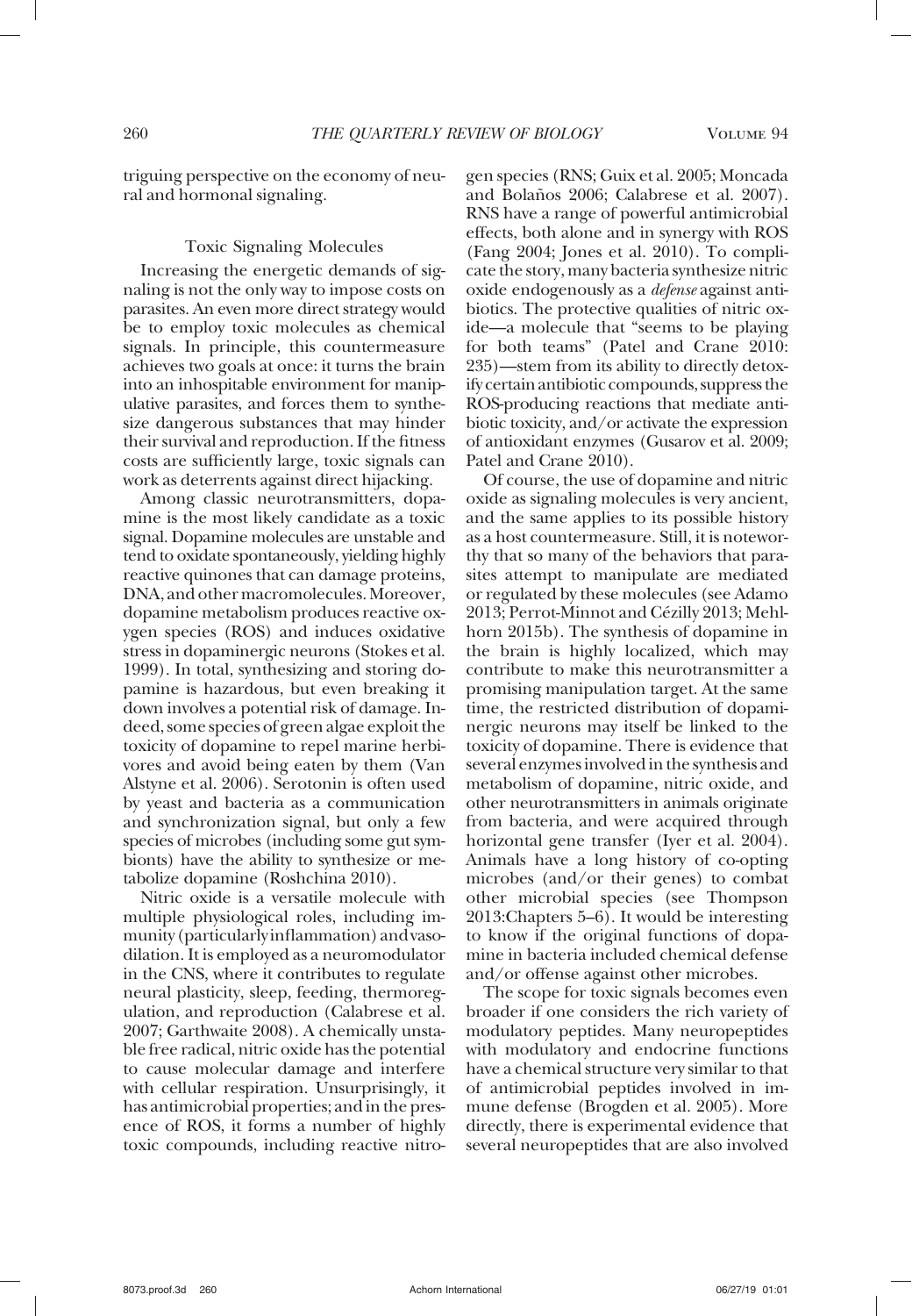triguing perspective on the economy of neural and hormonal signaling.

#### Toxic Signaling Molecules

Increasing the energetic demands of signaling is not the only way to impose costs on parasites. An even more direct strategy would be to employ toxic molecules as chemical signals. In principle, this countermeasure achieves two goals at once: it turns the brain into an inhospitable environment for manipulative parasites, and forces them to synthesize dangerous substances that may hinder their survival and reproduction. If the fitness costs are sufficiently large, toxic signals can work as deterrents against direct hijacking.

Among classic neurotransmitters, dopamine is the most likely candidate as a toxic signal. Dopamine molecules are unstable and tend to oxidate spontaneously, yielding highly reactive quinones that can damage proteins, DNA, and other macromolecules. Moreover, dopamine metabolism produces reactive oxygen species (ROS) and induces oxidative stress in dopaminergic neurons (Stokes et al. 1999). In total, synthesizing and storing dopamine is hazardous, but even breaking it down involves a potential risk of damage. Indeed, some species of green algae exploit the toxicity of dopamine to repel marine herbivores and avoid being eaten by them (Van Alstyne et al. 2006). Serotonin is often used by yeast and bacteria as a communication and synchronization signal, but only a few species of microbes (including some gut symbionts) have the ability to synthesize or metabolize dopamine (Roshchina 2010).

Nitric oxide is a versatile molecule with multiple physiological roles, including immunity (particularly inflammation) and vasodilation. It is employed as a neuromodulator in the CNS, where it contributes to regulate neural plasticity, sleep, feeding, thermoregulation, and reproduction (Calabrese et al. 2007; Garthwaite 2008). A chemically unstable free radical, nitric oxide has the potential to cause molecular damage and interfere with cellular respiration. Unsurprisingly, it has antimicrobial properties; and in the presence of ROS, it forms a number of highly toxic compounds, including reactive nitrogen species (RNS; Guix et al. 2005; Moncada and Bolaños 2006; Calabrese et al. 2007). RNS have a range of powerful antimicrobial effects, both alone and in synergy with ROS (Fang 2004; Jones et al. 2010). To complicate the story, many bacteria synthesize nitric oxide endogenously as a defense against antibiotics. The protective qualities of nitric oxide—a molecule that "seems to be playing for both teams" (Patel and Crane 2010: 235)—stem from its ability to directly detoxify certain antibiotic compounds, suppress the ROS-producing reactions that mediate antibiotic toxicity, and/or activate the expression of antioxidant enzymes (Gusarov et al. 2009; Patel and Crane 2010).

Of course, the use of dopamine and nitric oxide as signaling molecules is very ancient, and the same applies to its possible history as a host countermeasure. Still, it is noteworthy that so many of the behaviors that parasites attempt to manipulate are mediated or regulated by these molecules (see Adamo 2013; Perrot-Minnot and Cézilly 2013; Mehlhorn 2015b). The synthesis of dopamine in the brain is highly localized, which may contribute to make this neurotransmitter a promising manipulation target. At the same time, the restricted distribution of dopaminergic neurons may itself be linked to the toxicity of dopamine. There is evidence that several enzymes involved in the synthesis and metabolism of dopamine, nitric oxide, and other neurotransmitters in animals originate from bacteria, and were acquired through horizontal gene transfer (Iyer et al. 2004). Animals have a long history of co-opting microbes (and/or their genes) to combat other microbial species (see Thompson 2013:Chapters 5–6). It would be interesting to know if the original functions of dopamine in bacteria included chemical defense and/or offense against other microbes.

The scope for toxic signals becomes even broader if one considers the rich variety of modulatory peptides. Many neuropeptides with modulatory and endocrine functions have a chemical structure very similar to that of antimicrobial peptides involved in immune defense (Brogden et al. 2005). More directly, there is experimental evidence that several neuropeptides that are also involved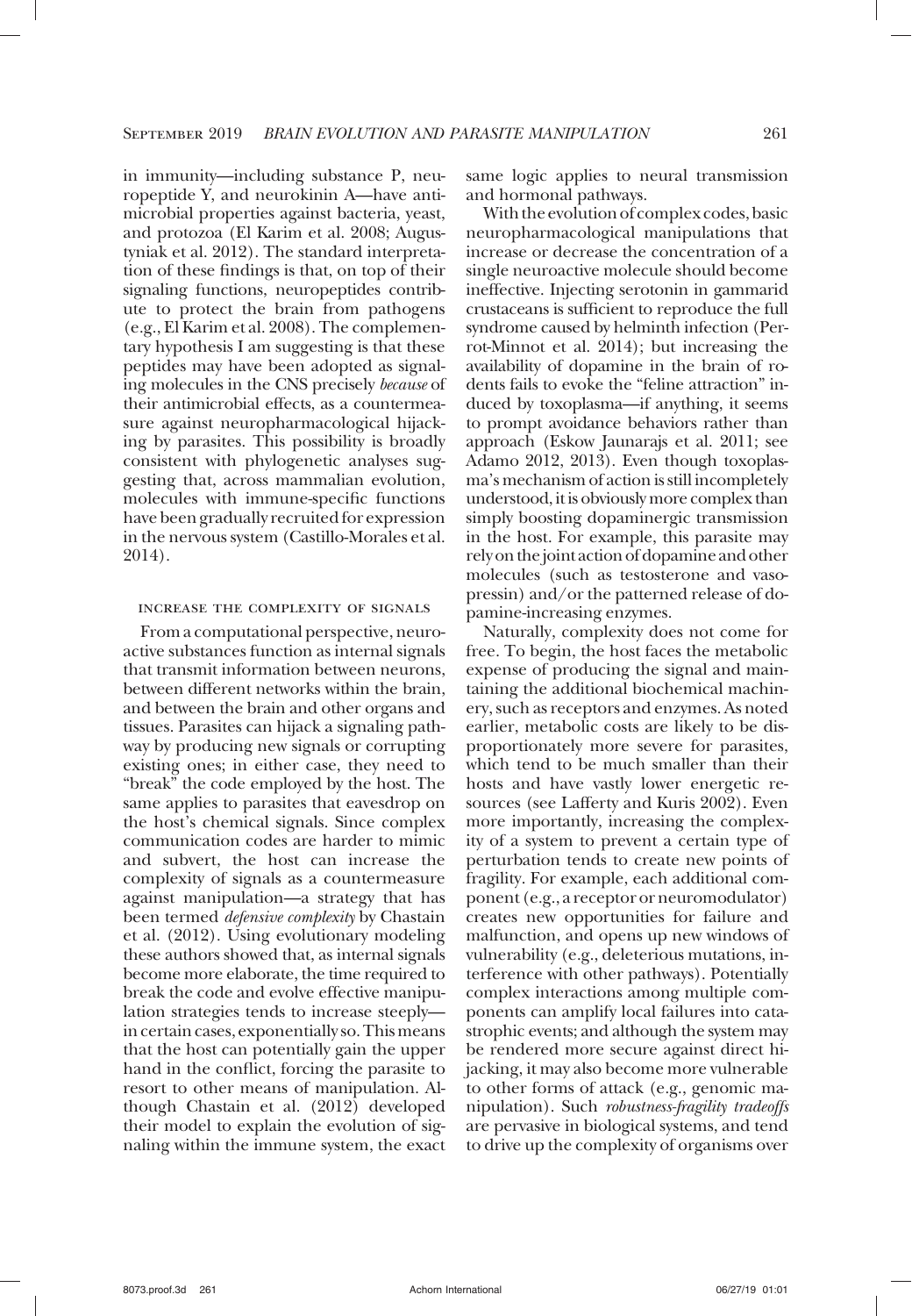in immunity—including substance P, neuropeptide Y, and neurokinin A—have antimicrobial properties against bacteria, yeast, and protozoa (El Karim et al. 2008; Augustyniak et al. 2012). The standard interpretation of these findings is that, on top of their signaling functions, neuropeptides contribute to protect the brain from pathogens (e.g., El Karim et al. 2008). The complementary hypothesis I am suggesting is that these peptides may have been adopted as signaling molecules in the CNS precisely because of their antimicrobial effects, as a countermeasure against neuropharmacological hijacking by parasites. This possibility is broadly consistent with phylogenetic analyses suggesting that, across mammalian evolution, molecules with immune-specific functions have been gradually recruited for expression in the nervous system (Castillo-Morales et al. 2014).

#### increase the complexity of signals

From a computational perspective, neuroactive substances function as internal signals that transmit information between neurons, between different networks within the brain, and between the brain and other organs and tissues. Parasites can hijack a signaling pathway by producing new signals or corrupting existing ones; in either case, they need to "break" the code employed by the host. The same applies to parasites that eavesdrop on the host's chemical signals. Since complex communication codes are harder to mimic and subvert, the host can increase the complexity of signals as a countermeasure against manipulation—a strategy that has been termed defensive complexity by Chastain et al. (2012). Using evolutionary modeling these authors showed that, as internal signals become more elaborate, the time required to break the code and evolve effective manipulation strategies tends to increase steeply in certain cases, exponentially so. This means that the host can potentially gain the upper hand in the conflict, forcing the parasite to resort to other means of manipulation. Although Chastain et al. (2012) developed their model to explain the evolution of signaling within the immune system, the exact same logic applies to neural transmission and hormonal pathways.

With the evolution of complex codes, basic neuropharmacological manipulations that increase or decrease the concentration of a single neuroactive molecule should become ineffective. Injecting serotonin in gammarid crustaceans is sufficient to reproduce the full syndrome caused by helminth infection (Perrot-Minnot et al. 2014); but increasing the availability of dopamine in the brain of rodents fails to evoke the "feline attraction" induced by toxoplasma—if anything, it seems to prompt avoidance behaviors rather than approach (Eskow Jaunarajs et al. 2011; see Adamo 2012, 2013). Even though toxoplasma's mechanism of action is still incompletely understood, it is obviously more complex than simply boosting dopaminergic transmission in the host. For example, this parasite may rely on the joint action of dopamine and other molecules (such as testosterone and vasopressin) and/or the patterned release of dopamine-increasing enzymes.

Naturally, complexity does not come for free. To begin, the host faces the metabolic expense of producing the signal and maintaining the additional biochemical machinery, such as receptors and enzymes. As noted earlier, metabolic costs are likely to be disproportionately more severe for parasites, which tend to be much smaller than their hosts and have vastly lower energetic resources (see Lafferty and Kuris 2002). Even more importantly, increasing the complexity of a system to prevent a certain type of perturbation tends to create new points of fragility. For example, each additional component (e.g., a receptor or neuromodulator) creates new opportunities for failure and malfunction, and opens up new windows of vulnerability (e.g., deleterious mutations, interference with other pathways). Potentially complex interactions among multiple components can amplify local failures into catastrophic events; and although the system may be rendered more secure against direct hijacking, it may also become more vulnerable to other forms of attack (e.g., genomic manipulation). Such robustness-fragility tradeoffs are pervasive in biological systems, and tend to drive up the complexity of organisms over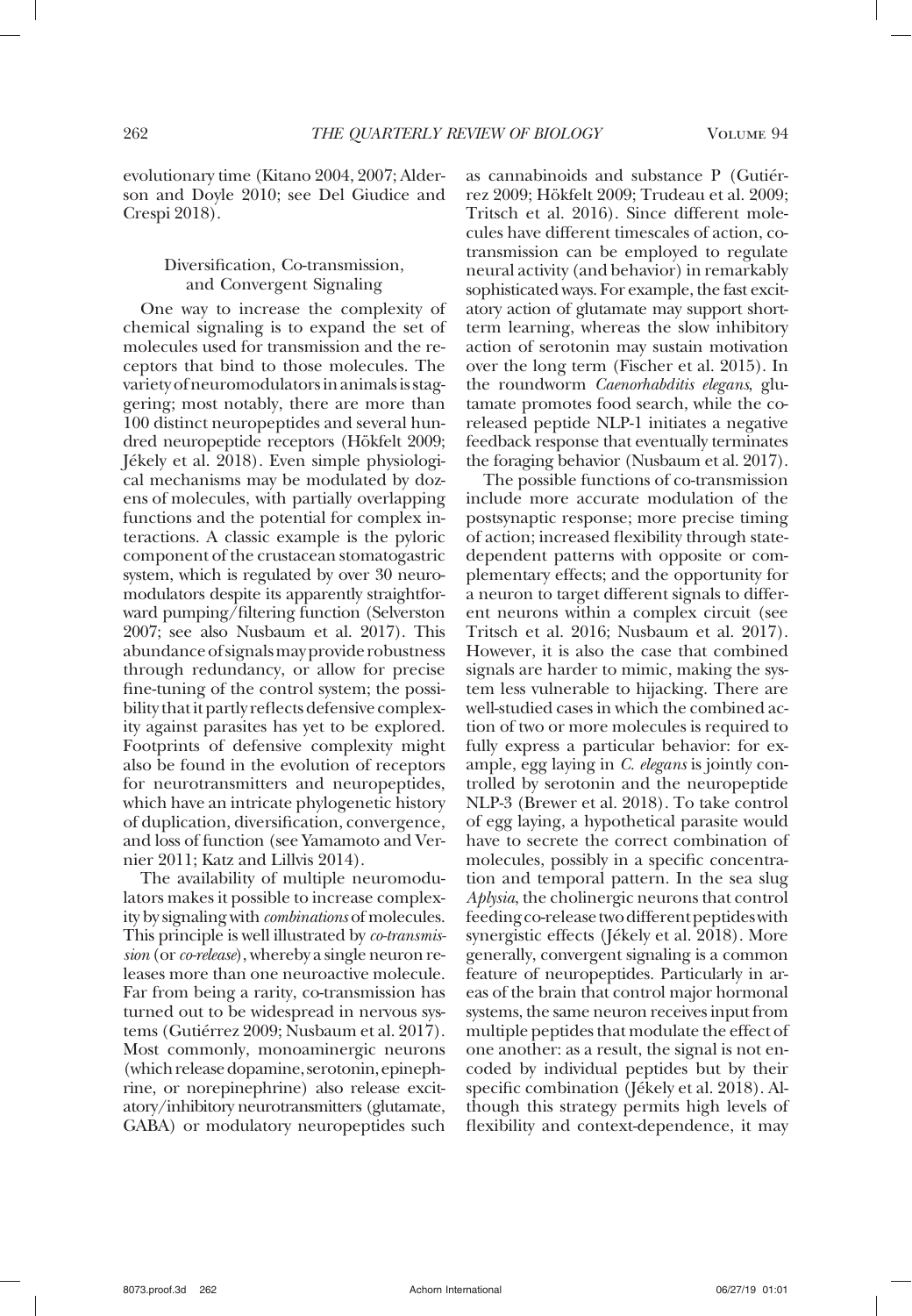evolutionary time (Kitano 2004, 2007; Alderson and Doyle 2010; see Del Giudice and Crespi 2018).

# Diversification, Co-transmission, and Convergent Signaling

One way to increase the complexity of chemical signaling is to expand the set of molecules used for transmission and the receptors that bind to those molecules. The variety of neuromodulators in animals is staggering; most notably, there are more than 100 distinct neuropeptides and several hundred neuropeptide receptors (Hökfelt 2009; Jékely et al. 2018). Even simple physiological mechanisms may be modulated by dozens of molecules, with partially overlapping functions and the potential for complex interactions. A classic example is the pyloric component of the crustacean stomatogastric system, which is regulated by over 30 neuromodulators despite its apparently straightforward pumping/filtering function (Selverston 2007; see also Nusbaum et al. 2017). This abundance of signalsmay provide robustness through redundancy, or allow for precise fine-tuning of the control system; the possibility that it partly reflects defensive complexity against parasites has yet to be explored. Footprints of defensive complexity might also be found in the evolution of receptors for neurotransmitters and neuropeptides, which have an intricate phylogenetic history of duplication, diversification, convergence, and loss of function (see Yamamoto and Vernier 2011; Katz and Lillvis 2014).

The availability of multiple neuromodulators makes it possible to increase complexity by signaling with combinations of molecules. This principle is well illustrated by *co-transmis*sion (or co-release), whereby a single neuron releases more than one neuroactive molecule. Far from being a rarity, co-transmission has turned out to be widespread in nervous systems (Gutiérrez 2009; Nusbaum et al. 2017). Most commonly, monoaminergic neurons (which releasedopamine, serotonin, epinephrine, or norepinephrine) also release excitatory/inhibitory neurotransmitters (glutamate, GABA) or modulatory neuropeptides such

as cannabinoids and substance P (Gutiérrez 2009; Hökfelt 2009; Trudeau et al. 2009; Tritsch et al. 2016). Since different molecules have different timescales of action, cotransmission can be employed to regulate neural activity (and behavior) in remarkably sophisticated ways. For example, the fast excitatory action of glutamate may support shortterm learning, whereas the slow inhibitory action of serotonin may sustain motivation over the long term (Fischer et al. 2015). In the roundworm Caenorhabditis elegans, glutamate promotes food search, while the coreleased peptide NLP-1 initiates a negative feedback response that eventually terminates the foraging behavior (Nusbaum et al. 2017).

The possible functions of co-transmission include more accurate modulation of the postsynaptic response; more precise timing of action; increased flexibility through statedependent patterns with opposite or complementary effects; and the opportunity for a neuron to target different signals to different neurons within a complex circuit (see Tritsch et al. 2016; Nusbaum et al. 2017). However, it is also the case that combined signals are harder to mimic, making the system less vulnerable to hijacking. There are well-studied cases in which the combined action of two or more molecules is required to fully express a particular behavior: for example, egg laying in *C. elegans* is jointly controlled by serotonin and the neuropeptide NLP-3 (Brewer et al. 2018). To take control of egg laying, a hypothetical parasite would have to secrete the correct combination of molecules, possibly in a specific concentration and temporal pattern. In the sea slug Aplysia, the cholinergic neurons that control feedingco-release twodifferentpeptideswith synergistic effects (Jékely et al. 2018). More generally, convergent signaling is a common feature of neuropeptides. Particularly in areas of the brain that control major hormonal systems, the same neuron receives input from multiple peptides that modulate the effect of one another: as a result, the signal is not encoded by individual peptides but by their specific combination (Jékely et al. 2018). Although this strategy permits high levels of flexibility and context-dependence, it may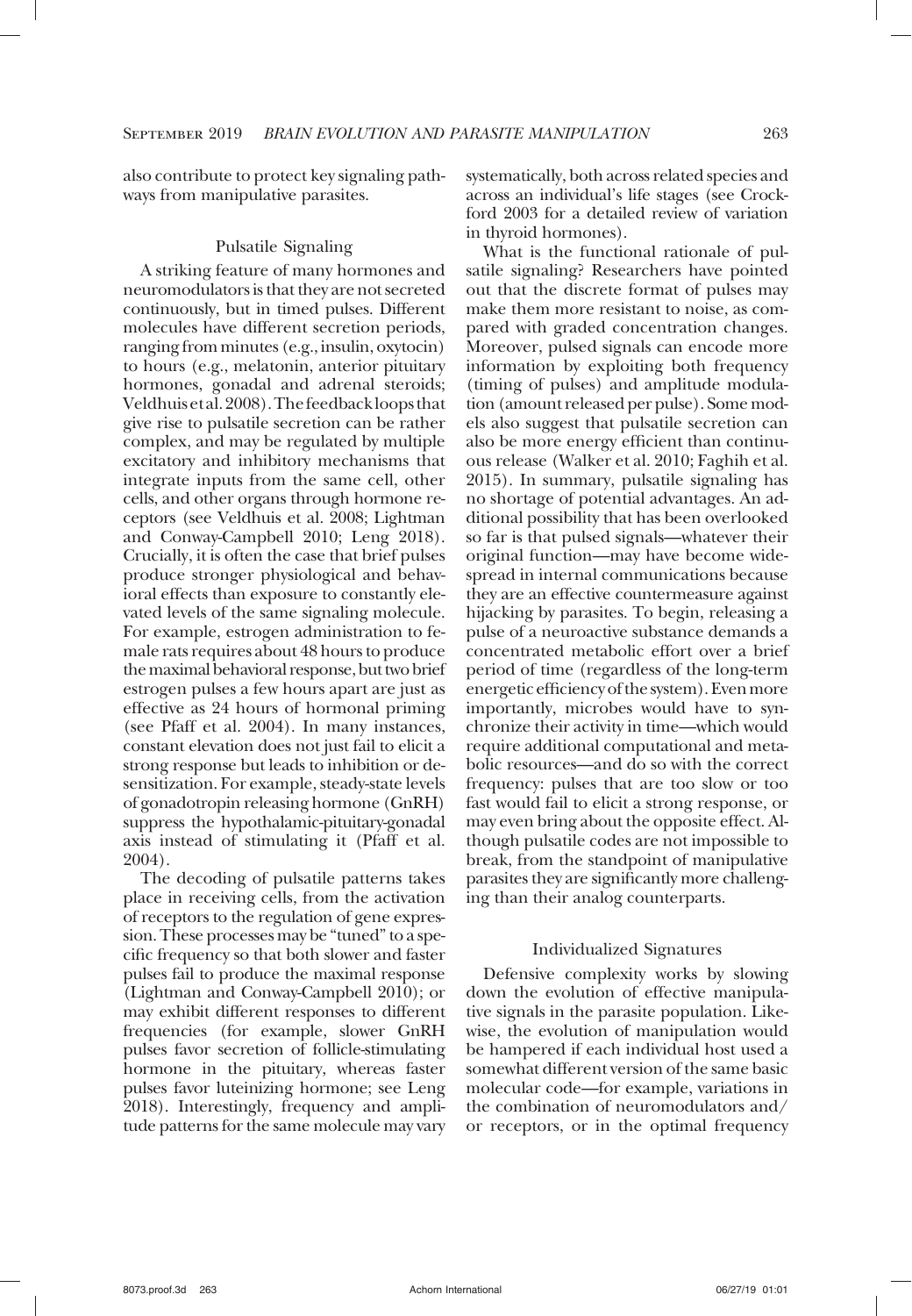also contribute to protect key signaling pathways from manipulative parasites.

## Pulsatile Signaling

A striking feature of many hormones and neuromodulators is that they are not secreted continuously, but in timed pulses. Different molecules have different secretion periods, ranging from minutes (e.g., insulin, oxytocin) to hours (e.g., melatonin, anterior pituitary hormones, gonadal and adrenal steroids; Veldhuis etal. 2008).The feedbackloops that give rise to pulsatile secretion can be rather complex, and may be regulated by multiple excitatory and inhibitory mechanisms that integrate inputs from the same cell, other cells, and other organs through hormone receptors (see Veldhuis et al. 2008; Lightman and Conway-Campbell 2010; Leng 2018). Crucially, it is often the case that brief pulses produce stronger physiological and behavioral effects than exposure to constantly elevated levels of the same signaling molecule. For example, estrogen administration to female rats requires about 48 hours to produce the maximal behavioral response, but two brief estrogen pulses a few hours apart are just as effective as 24 hours of hormonal priming (see Pfaff et al. 2004). In many instances, constant elevation does not just fail to elicit a strong response but leads to inhibition or desensitization. For example, steady-state levels of gonadotropin releasing hormone (GnRH) suppress the hypothalamic-pituitary-gonadal axis instead of stimulating it (Pfaff et al. 2004).

The decoding of pulsatile patterns takes place in receiving cells, from the activation of receptors to the regulation of gene expression. These processes may be "tuned" to a specific frequency so that both slower and faster pulses fail to produce the maximal response (Lightman and Conway-Campbell 2010); or may exhibit different responses to different frequencies (for example, slower GnRH pulses favor secretion of follicle-stimulating hormone in the pituitary, whereas faster pulses favor luteinizing hormone; see Leng 2018). Interestingly, frequency and amplitude patterns for the same molecule may vary systematically, both across related species and across an individual's life stages (see Crockford 2003 for a detailed review of variation in thyroid hormones).

What is the functional rationale of pulsatile signaling? Researchers have pointed out that the discrete format of pulses may make them more resistant to noise, as compared with graded concentration changes. Moreover, pulsed signals can encode more information by exploiting both frequency (timing of pulses) and amplitude modulation (amount released per pulse). Some models also suggest that pulsatile secretion can also be more energy efficient than continuous release (Walker et al. 2010; Faghih et al. 2015). In summary, pulsatile signaling has no shortage of potential advantages. An additional possibility that has been overlooked so far is that pulsed signals—whatever their original function—may have become widespread in internal communications because they are an effective countermeasure against hijacking by parasites. To begin, releasing a pulse of a neuroactive substance demands a concentrated metabolic effort over a brief period of time (regardless of the long-term energetic efficiency of the system). Evenmore importantly, microbes would have to synchronize their activity in time—which would require additional computational and metabolic resources—and do so with the correct frequency: pulses that are too slow or too fast would fail to elicit a strong response, or may even bring about the opposite effect. Although pulsatile codes are not impossible to break, from the standpoint of manipulative parasites they are significantly more challenging than their analog counterparts.

#### Individualized Signatures

Defensive complexity works by slowing down the evolution of effective manipulative signals in the parasite population. Likewise, the evolution of manipulation would be hampered if each individual host used a somewhat different version of the same basic molecular code—for example, variations in the combination of neuromodulators and/ or receptors, or in the optimal frequency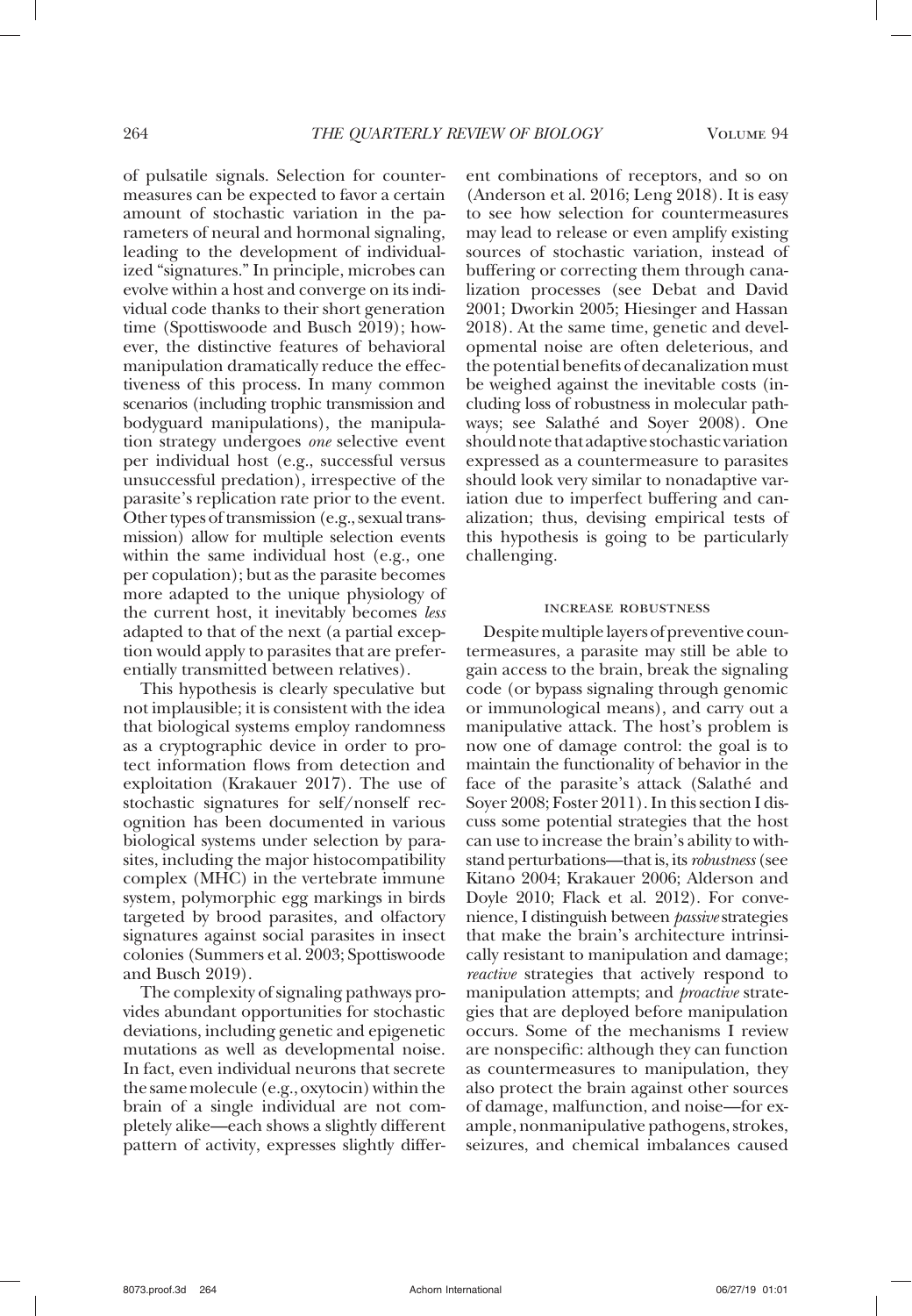of pulsatile signals. Selection for countermeasures can be expected to favor a certain amount of stochastic variation in the parameters of neural and hormonal signaling, leading to the development of individualized "signatures." In principle, microbes can evolve within a host and converge on its individual code thanks to their short generation time (Spottiswoode and Busch 2019); however, the distinctive features of behavioral manipulation dramatically reduce the effectiveness of this process. In many common scenarios (including trophic transmission and bodyguard manipulations), the manipulation strategy undergoes one selective event per individual host (e.g., successful versus unsuccessful predation), irrespective of the parasite's replication rate prior to the event. Other types of transmission (e.g., sexual transmission) allow for multiple selection events within the same individual host (e.g., one per copulation); but as the parasite becomes more adapted to the unique physiology of the current host, it inevitably becomes less adapted to that of the next (a partial exception would apply to parasites that are preferentially transmitted between relatives).

This hypothesis is clearly speculative but not implausible; it is consistent with the idea that biological systems employ randomness as a cryptographic device in order to protect information flows from detection and exploitation (Krakauer 2017). The use of stochastic signatures for self/nonself recognition has been documented in various biological systems under selection by parasites, including the major histocompatibility complex (MHC) in the vertebrate immune system, polymorphic egg markings in birds targeted by brood parasites, and olfactory signatures against social parasites in insect colonies (Summers et al. 2003; Spottiswoode and Busch 2019).

The complexity of signaling pathways provides abundant opportunities for stochastic deviations, including genetic and epigenetic mutations as well as developmental noise. In fact, even individual neurons that secrete the samemolecule (e.g., oxytocin) within the brain of a single individual are not completely alike—each shows a slightly different pattern of activity, expresses slightly different combinations of receptors, and so on (Anderson et al. 2016; Leng 2018). It is easy to see how selection for countermeasures may lead to release or even amplify existing sources of stochastic variation, instead of buffering or correcting them through canalization processes (see Debat and David 2001; Dworkin 2005; Hiesinger and Hassan 2018). At the same time, genetic and developmental noise are often deleterious, and the potential benefits of decanalization must be weighed against the inevitable costs (including loss of robustness in molecular pathways; see Salathé and Soyer 2008). One should note thatadaptive stochastic variation expressed as a countermeasure to parasites should look very similar to nonadaptive variation due to imperfect buffering and canalization; thus, devising empirical tests of this hypothesis is going to be particularly challenging.

#### increase robustness

Despitemultiplelayers of preventive countermeasures, a parasite may still be able to gain access to the brain, break the signaling code (or bypass signaling through genomic or immunological means), and carry out a manipulative attack. The host's problem is now one of damage control: the goal is to maintain the functionality of behavior in the face of the parasite's attack (Salathé and Soyer 2008; Foster 2011). In this section I discuss some potential strategies that the host can use to increase the brain's ability to withstand perturbations—that is, its *robustness* (see Kitano 2004; Krakauer 2006; Alderson and Doyle 2010; Flack et al. 2012). For convenience, I distinguish between passive strategies that make the brain's architecture intrinsically resistant to manipulation and damage; reactive strategies that actively respond to manipulation attempts; and *proactive* strategies that are deployed before manipulation occurs. Some of the mechanisms I review are nonspecific: although they can function as countermeasures to manipulation, they also protect the brain against other sources of damage, malfunction, and noise—for example, nonmanipulative pathogens, strokes, seizures, and chemical imbalances caused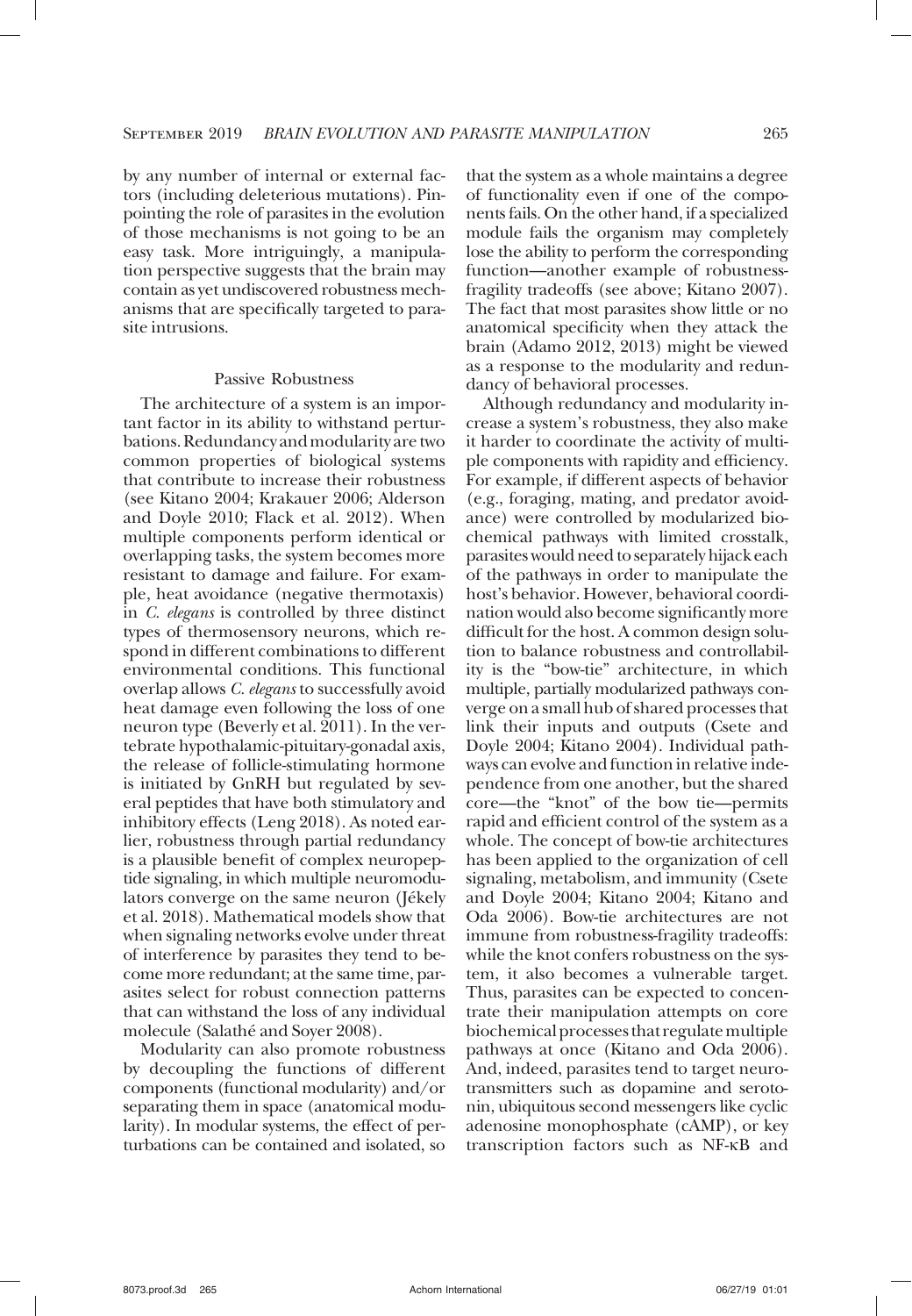by any number of internal or external factors (including deleterious mutations). Pinpointing the role of parasites in the evolution of those mechanisms is not going to be an easy task. More intriguingly, a manipulation perspective suggests that the brain may contain as yet undiscovered robustness mechanisms that are specifically targeted to parasite intrusions.

#### Passive Robustness

The architecture of a system is an important factor in its ability to withstand perturbations. Redundancy and modularity are two common properties of biological systems that contribute to increase their robustness (see Kitano 2004; Krakauer 2006; Alderson and Doyle 2010; Flack et al. 2012). When multiple components perform identical or overlapping tasks, the system becomes more resistant to damage and failure. For example, heat avoidance (negative thermotaxis) in C. elegans is controlled by three distinct types of thermosensory neurons, which respond in different combinations to different environmental conditions. This functional overlap allows C. elegans to successfully avoid heat damage even following the loss of one neuron type (Beverly et al. 2011). In the vertebrate hypothalamic-pituitary-gonadal axis, the release of follicle-stimulating hormone is initiated by GnRH but regulated by several peptides that have both stimulatory and inhibitory effects (Leng 2018). As noted earlier, robustness through partial redundancy is a plausible benefit of complex neuropeptide signaling, in which multiple neuromodulators converge on the same neuron (Jékely et al. 2018). Mathematical models show that when signaling networks evolve under threat of interference by parasites they tend to become more redundant; at the same time, parasites select for robust connection patterns that can withstand the loss of any individual molecule (Salathé and Soyer 2008).

Modularity can also promote robustness by decoupling the functions of different components (functional modularity) and/or separating them in space (anatomical modularity). In modular systems, the effect of perturbations can be contained and isolated, so that the system as a whole maintains a degree of functionality even if one of the components fails. On the other hand, if a specialized module fails the organism may completely lose the ability to perform the corresponding function—another example of robustnessfragility tradeoffs (see above; Kitano 2007). The fact that most parasites show little or no anatomical specificity when they attack the brain (Adamo 2012, 2013) might be viewed as a response to the modularity and redundancy of behavioral processes.

Although redundancy and modularity increase a system's robustness, they also make it harder to coordinate the activity of multiple components with rapidity and efficiency. For example, if different aspects of behavior (e.g., foraging, mating, and predator avoidance) were controlled by modularized biochemical pathways with limited crosstalk, parasites would need to separately hijack each of the pathways in order to manipulate the host's behavior. However, behavioral coordination would also become significantly more difficult for the host. A common design solution to balance robustness and controllability is the "bow-tie" architecture, in which multiple, partially modularized pathways converge on a small hub of shared processes that link their inputs and outputs (Csete and Doyle 2004; Kitano 2004). Individual pathways can evolve and function in relative independence from one another, but the shared core—the "knot" of the bow tie—permits rapid and efficient control of the system as a whole. The concept of bow-tie architectures has been applied to the organization of cell signaling, metabolism, and immunity (Csete and Doyle 2004; Kitano 2004; Kitano and Oda 2006). Bow-tie architectures are not immune from robustness-fragility tradeoffs: while the knot confers robustness on the system, it also becomes a vulnerable target. Thus, parasites can be expected to concentrate their manipulation attempts on core biochemical processes that regulatemultiple pathways at once (Kitano and Oda 2006). And, indeed, parasites tend to target neurotransmitters such as dopamine and serotonin, ubiquitous second messengers like cyclic adenosine monophosphate (cAMP), or key transcription factors such as NF-KB and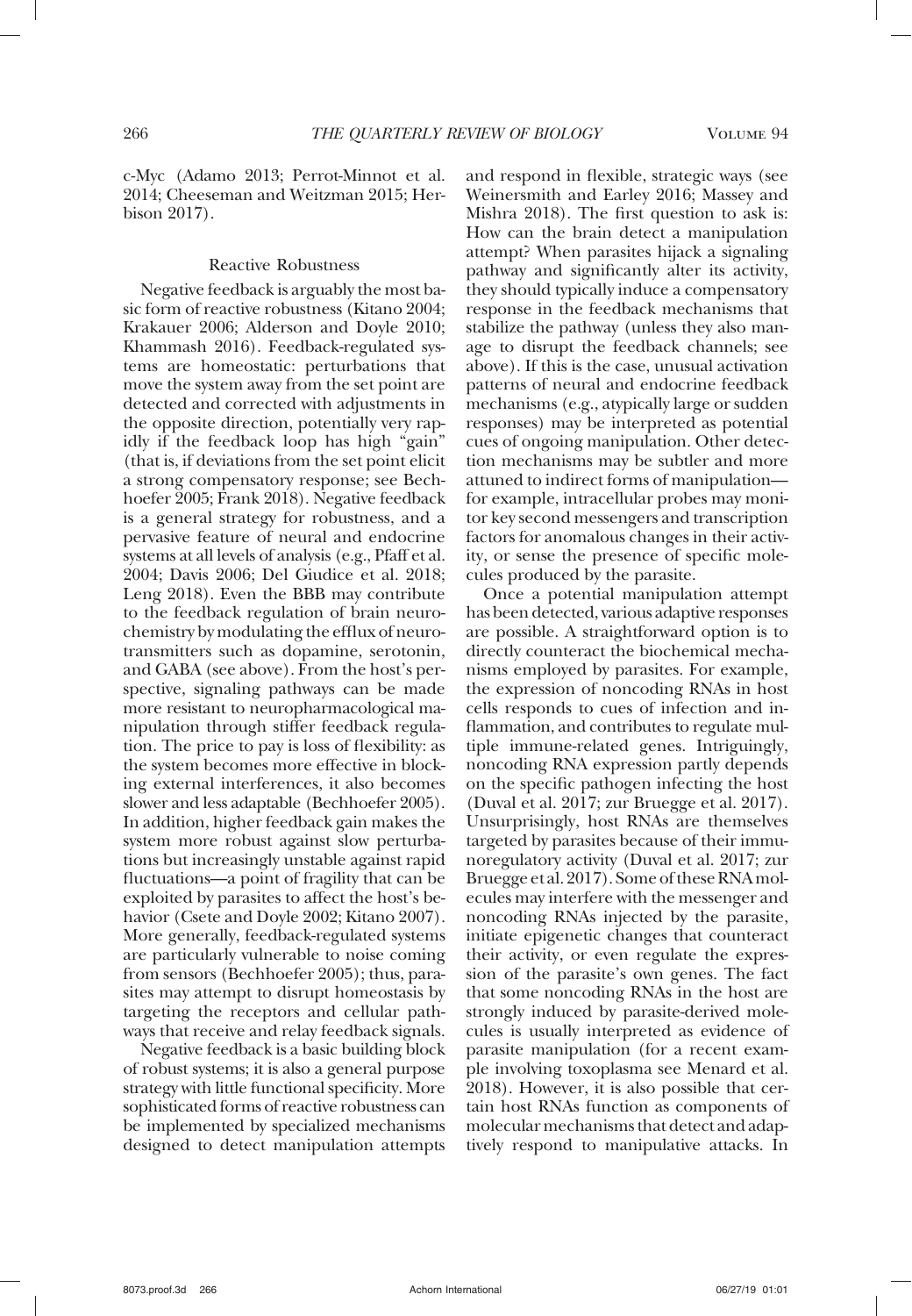c-Myc (Adamo 2013; Perrot-Minnot et al. 2014; Cheeseman and Weitzman 2015; Herbison 2017).

#### Reactive Robustness

Negative feedback is arguably the most basic form of reactive robustness (Kitano 2004; Krakauer 2006; Alderson and Doyle 2010; Khammash 2016). Feedback-regulated systems are homeostatic: perturbations that move the system away from the set point are detected and corrected with adjustments in the opposite direction, potentially very rapidly if the feedback loop has high "gain" (that is, if deviations from the set point elicit a strong compensatory response; see Bechhoefer 2005; Frank 2018). Negative feedback is a general strategy for robustness, and a pervasive feature of neural and endocrine systems at all levels of analysis (e.g., Pfaff et al. 2004; Davis 2006; Del Giudice et al. 2018; Leng 2018). Even the BBB may contribute to the feedback regulation of brain neurochemistry by modulating the efflux of neurotransmitters such as dopamine, serotonin, and GABA (see above). From the host's perspective, signaling pathways can be made more resistant to neuropharmacological manipulation through stiffer feedback regulation. The price to pay is loss of flexibility: as the system becomes more effective in blocking external interferences, it also becomes slower and less adaptable (Bechhoefer 2005). In addition, higher feedback gain makes the system more robust against slow perturbations but increasingly unstable against rapid fluctuations—a point of fragility that can be exploited by parasites to affect the host's behavior (Csete and Doyle 2002; Kitano 2007). More generally, feedback-regulated systems are particularly vulnerable to noise coming from sensors (Bechhoefer 2005); thus, parasites may attempt to disrupt homeostasis by targeting the receptors and cellular pathways that receive and relay feedback signals.

Negative feedback is a basic building block of robust systems; it is also a general purpose strategy with little functional specificity. More sophisticated forms of reactive robustness can be implemented by specialized mechanisms designed to detect manipulation attempts and respond in flexible, strategic ways (see Weinersmith and Earley 2016; Massey and Mishra 2018). The first question to ask is: How can the brain detect a manipulation attempt? When parasites hijack a signaling pathway and significantly alter its activity, they should typically induce a compensatory response in the feedback mechanisms that stabilize the pathway (unless they also manage to disrupt the feedback channels; see above). If this is the case, unusual activation patterns of neural and endocrine feedback mechanisms (e.g., atypically large or sudden responses) may be interpreted as potential cues of ongoing manipulation. Other detection mechanisms may be subtler and more attuned to indirect forms of manipulation for example, intracellular probes may monitor key second messengers and transcription factors for anomalous changes in their activity, or sense the presence of specific molecules produced by the parasite.

Once a potential manipulation attempt has been detected, various adaptive responses are possible. A straightforward option is to directly counteract the biochemical mechanisms employed by parasites. For example, the expression of noncoding RNAs in host cells responds to cues of infection and inflammation, and contributes to regulate multiple immune-related genes. Intriguingly, noncoding RNA expression partly depends on the specific pathogen infecting the host (Duval et al. 2017; zur Bruegge et al. 2017). Unsurprisingly, host RNAs are themselves targeted by parasites because of their immunoregulatory activity (Duval et al. 2017; zur Bruegge et al. 2017). Some of these RNAmolecules may interfere with the messenger and noncoding RNAs injected by the parasite, initiate epigenetic changes that counteract their activity, or even regulate the expression of the parasite's own genes. The fact that some noncoding RNAs in the host are strongly induced by parasite-derived molecules is usually interpreted as evidence of parasite manipulation (for a recent example involving toxoplasma see Menard et al. 2018). However, it is also possible that certain host RNAs function as components of molecular mechanisms that detect and adaptively respond to manipulative attacks. In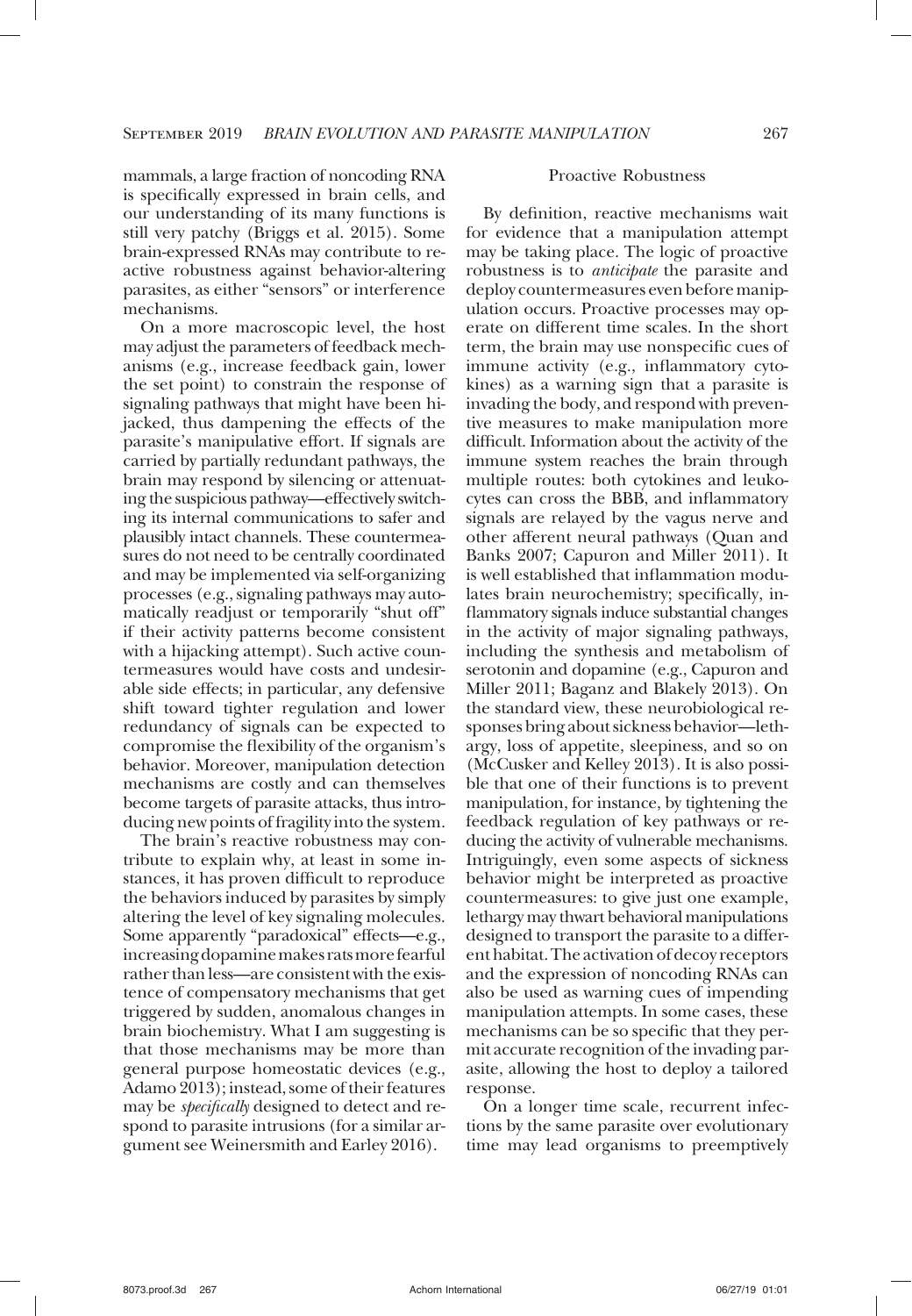mammals, a large fraction of noncoding RNA is specifically expressed in brain cells, and our understanding of its many functions is still very patchy (Briggs et al. 2015). Some brain-expressed RNAs may contribute to reactive robustness against behavior-altering parasites, as either "sensors" or interference mechanisms.

On a more macroscopic level, the host may adjust the parameters of feedback mechanisms (e.g., increase feedback gain, lower the set point) to constrain the response of signaling pathways that might have been hijacked, thus dampening the effects of the parasite's manipulative effort. If signals are carried by partially redundant pathways, the brain may respond by silencing or attenuating the suspicious pathway—effectively switching its internal communications to safer and plausibly intact channels. These countermeasures do not need to be centrally coordinated and may be implemented via self-organizing processes (e.g., signaling pathways may automatically readjust or temporarily "shut off" if their activity patterns become consistent with a hijacking attempt). Such active countermeasures would have costs and undesirable side effects; in particular, any defensive shift toward tighter regulation and lower redundancy of signals can be expected to compromise the flexibility of the organism's behavior. Moreover, manipulation detection mechanisms are costly and can themselves become targets of parasite attacks, thus introducing new points of fragility into the system.

The brain's reactive robustness may contribute to explain why, at least in some instances, it has proven difficult to reproduce the behaviors induced by parasites by simply altering the level of key signaling molecules. Some apparently "paradoxical" effects—e.g., increasingdopaminemakes ratsmore fearful rather than less—are consistent with the existence of compensatory mechanisms that get triggered by sudden, anomalous changes in brain biochemistry. What I am suggesting is that those mechanisms may be more than general purpose homeostatic devices (e.g., Adamo 2013); instead, some of their features may be specifically designed to detect and respond to parasite intrusions (for a similar argument see Weinersmith and Earley 2016).

#### Proactive Robustness

By definition, reactive mechanisms wait for evidence that a manipulation attempt may be taking place. The logic of proactive robustness is to anticipate the parasite and deploy countermeasures even beforemanipulation occurs. Proactive processes may operate on different time scales. In the short term, the brain may use nonspecific cues of immune activity (e.g., inflammatory cytokines) as a warning sign that a parasite is invading the body, and respond with preventive measures to make manipulation more difficult. Information about the activity of the immune system reaches the brain through multiple routes: both cytokines and leukocytes can cross the BBB, and inflammatory signals are relayed by the vagus nerve and other afferent neural pathways (Quan and Banks 2007; Capuron and Miller 2011). It is well established that inflammation modulates brain neurochemistry; specifically, inflammatory signals induce substantial changes in the activity of major signaling pathways, including the synthesis and metabolism of serotonin and dopamine (e.g., Capuron and Miller 2011; Baganz and Blakely 2013). On the standard view, these neurobiological responses bring about sickness behavior—lethargy, loss of appetite, sleepiness, and so on (McCusker and Kelley 2013). It is also possible that one of their functions is to prevent manipulation, for instance, by tightening the feedback regulation of key pathways or reducing the activity of vulnerable mechanisms. Intriguingly, even some aspects of sickness behavior might be interpreted as proactive countermeasures: to give just one example, lethargy may thwart behavioral manipulations designed to transport the parasite to a different habitat. The activation of decoy receptors and the expression of noncoding RNAs can also be used as warning cues of impending manipulation attempts. In some cases, these mechanisms can be so specific that they permit accurate recognition of the invading parasite, allowing the host to deploy a tailored response.

On a longer time scale, recurrent infections by the same parasite over evolutionary time may lead organisms to preemptively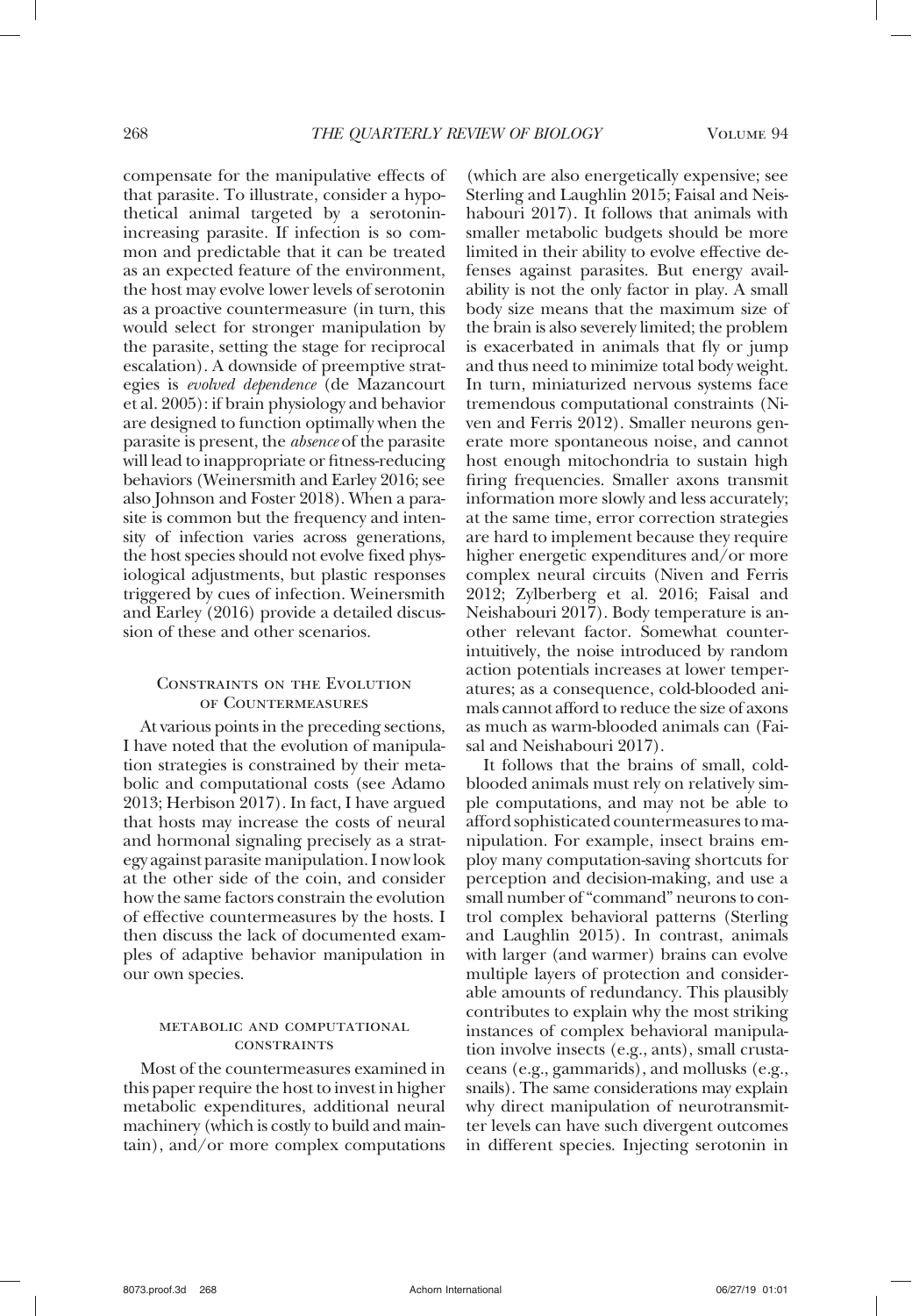compensate for the manipulative effects of that parasite. To illustrate, consider a hypothetical animal targeted by a serotoninincreasing parasite. If infection is so common and predictable that it can be treated as an expected feature of the environment, the host may evolve lower levels of serotonin as a proactive countermeasure (in turn, this would select for stronger manipulation by the parasite, setting the stage for reciprocal escalation). A downside of preemptive strategies is evolved dependence (de Mazancourt et al. 2005): if brain physiology and behavior are designed to function optimally when the parasite is present, the absence of the parasite will lead to inappropriate or fitness-reducing behaviors (Weinersmith and Earley 2016; see also Johnson and Foster 2018). When a parasite is common but the frequency and intensity of infection varies across generations, the host species should not evolve fixed physiological adjustments, but plastic responses triggered by cues of infection. Weinersmith and Earley (2016) provide a detailed discussion of these and other scenarios.

# Constraints on the Evolution of Countermeasures

At various points in the preceding sections, I have noted that the evolution of manipulation strategies is constrained by their metabolic and computational costs (see Adamo 2013; Herbison 2017). In fact, I have argued that hosts may increase the costs of neural and hormonal signaling precisely as a strategy against parasite manipulation. I now look at the other side of the coin, and consider how the same factors constrain the evolution of effective countermeasures by the hosts. I then discuss the lack of documented examples of adaptive behavior manipulation in our own species.

#### metabolic and computational **CONSTRAINTS**

Most of the countermeasures examined in this paper require the host to invest in higher metabolic expenditures, additional neural machinery (which is costly to build and maintain), and/or more complex computations

(which are also energetically expensive; see Sterling and Laughlin 2015; Faisal and Neishabouri 2017). It follows that animals with smaller metabolic budgets should be more limited in their ability to evolve effective defenses against parasites. But energy availability is not the only factor in play. A small body size means that the maximum size of the brain is also severely limited; the problem is exacerbated in animals that fly or jump and thus need to minimize total body weight. In turn, miniaturized nervous systems face tremendous computational constraints (Niven and Ferris 2012). Smaller neurons generate more spontaneous noise, and cannot host enough mitochondria to sustain high firing frequencies. Smaller axons transmit information more slowly and less accurately; at the same time, error correction strategies are hard to implement because they require higher energetic expenditures and/or more complex neural circuits (Niven and Ferris 2012; Zylberberg et al. 2016; Faisal and Neishabouri 2017). Body temperature is another relevant factor. Somewhat counterintuitively, the noise introduced by random action potentials increases at lower temperatures; as a consequence, cold-blooded animals cannot afford to reduce the size of axons as much as warm-blooded animals can (Faisal and Neishabouri 2017).

It follows that the brains of small, coldblooded animals must rely on relatively simple computations, and may not be able to afford sophisticated countermeasures to manipulation. For example, insect brains employ many computation-saving shortcuts for perception and decision-making, and use a small number of "command" neurons to control complex behavioral patterns (Sterling and Laughlin 2015). In contrast, animals with larger (and warmer) brains can evolve multiple layers of protection and considerable amounts of redundancy. This plausibly contributes to explain why the most striking instances of complex behavioral manipulation involve insects (e.g., ants), small crustaceans (e.g., gammarids), and mollusks (e.g., snails). The same considerations may explain why direct manipulation of neurotransmitter levels can have such divergent outcomes in different species. Injecting serotonin in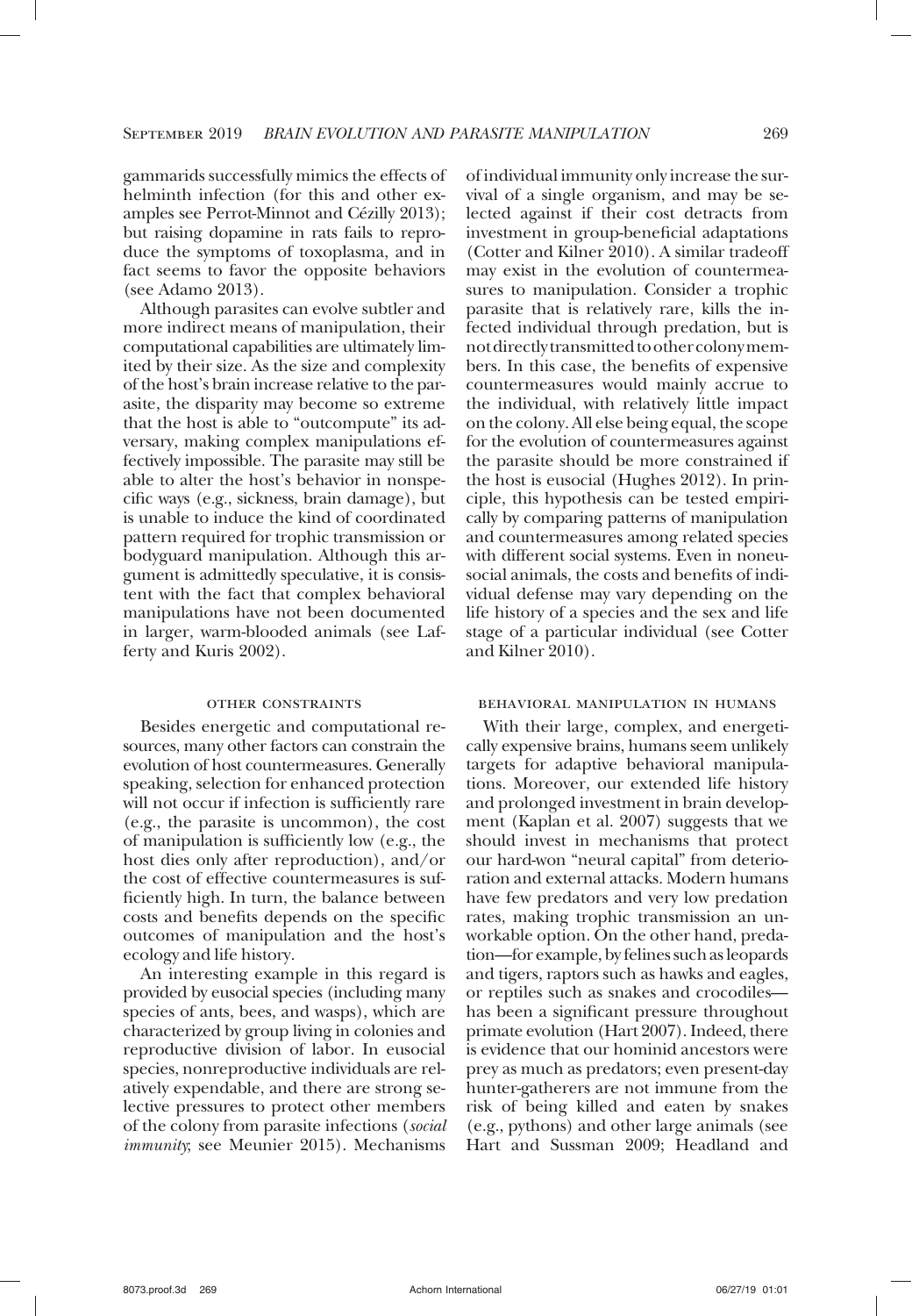gammarids successfully mimics the effects of helminth infection (for this and other examples see Perrot-Minnot and Cézilly 2013); but raising dopamine in rats fails to reproduce the symptoms of toxoplasma, and in fact seems to favor the opposite behaviors (see Adamo 2013).

Although parasites can evolve subtler and more indirect means of manipulation, their computational capabilities are ultimately limited by their size. As the size and complexity of the host's brain increase relative to the parasite, the disparity may become so extreme that the host is able to "outcompute" its adversary, making complex manipulations effectively impossible. The parasite may still be able to alter the host's behavior in nonspecific ways (e.g., sickness, brain damage), but is unable to induce the kind of coordinated pattern required for trophic transmission or bodyguard manipulation. Although this argument is admittedly speculative, it is consistent with the fact that complex behavioral manipulations have not been documented in larger, warm-blooded animals (see Lafferty and Kuris 2002).

#### other constraints

Besides energetic and computational resources, many other factors can constrain the evolution of host countermeasures. Generally speaking, selection for enhanced protection will not occur if infection is sufficiently rare (e.g., the parasite is uncommon), the cost of manipulation is sufficiently low (e.g., the host dies only after reproduction), and/or the cost of effective countermeasures is sufficiently high. In turn, the balance between costs and benefits depends on the specific outcomes of manipulation and the host's ecology and life history.

An interesting example in this regard is provided by eusocial species (including many species of ants, bees, and wasps), which are characterized by group living in colonies and reproductive division of labor. In eusocial species, nonreproductive individuals are relatively expendable, and there are strong selective pressures to protect other members of the colony from parasite infections (social immunity; see Meunier 2015). Mechanisms

of individual immunity only increase the survival of a single organism, and may be selected against if their cost detracts from investment in group-beneficial adaptations (Cotter and Kilner 2010). A similar tradeoff may exist in the evolution of countermeasures to manipulation. Consider a trophic parasite that is relatively rare, kills the infected individual through predation, but is notdirectly transmitted to othercolonymembers. In this case, the benefits of expensive countermeasures would mainly accrue to the individual, with relatively little impact on the colony. All else being equal, the scope for the evolution of countermeasures against the parasite should be more constrained if the host is eusocial (Hughes 2012). In principle, this hypothesis can be tested empirically by comparing patterns of manipulation and countermeasures among related species with different social systems. Even in noneusocial animals, the costs and benefits of individual defense may vary depending on the life history of a species and the sex and life stage of a particular individual (see Cotter and Kilner 2010).

#### behavioral manipulation in humans

With their large, complex, and energetically expensive brains, humans seem unlikely targets for adaptive behavioral manipulations. Moreover, our extended life history and prolonged investment in brain development (Kaplan et al. 2007) suggests that we should invest in mechanisms that protect our hard-won "neural capital" from deterioration and external attacks. Modern humans have few predators and very low predation rates, making trophic transmission an unworkable option. On the other hand, predation—for example, by felines such as leopards and tigers, raptors such as hawks and eagles, or reptiles such as snakes and crocodiles has been a significant pressure throughout primate evolution (Hart 2007). Indeed, there is evidence that our hominid ancestors were prey as much as predators; even present-day hunter-gatherers are not immune from the risk of being killed and eaten by snakes (e.g., pythons) and other large animals (see Hart and Sussman 2009; Headland and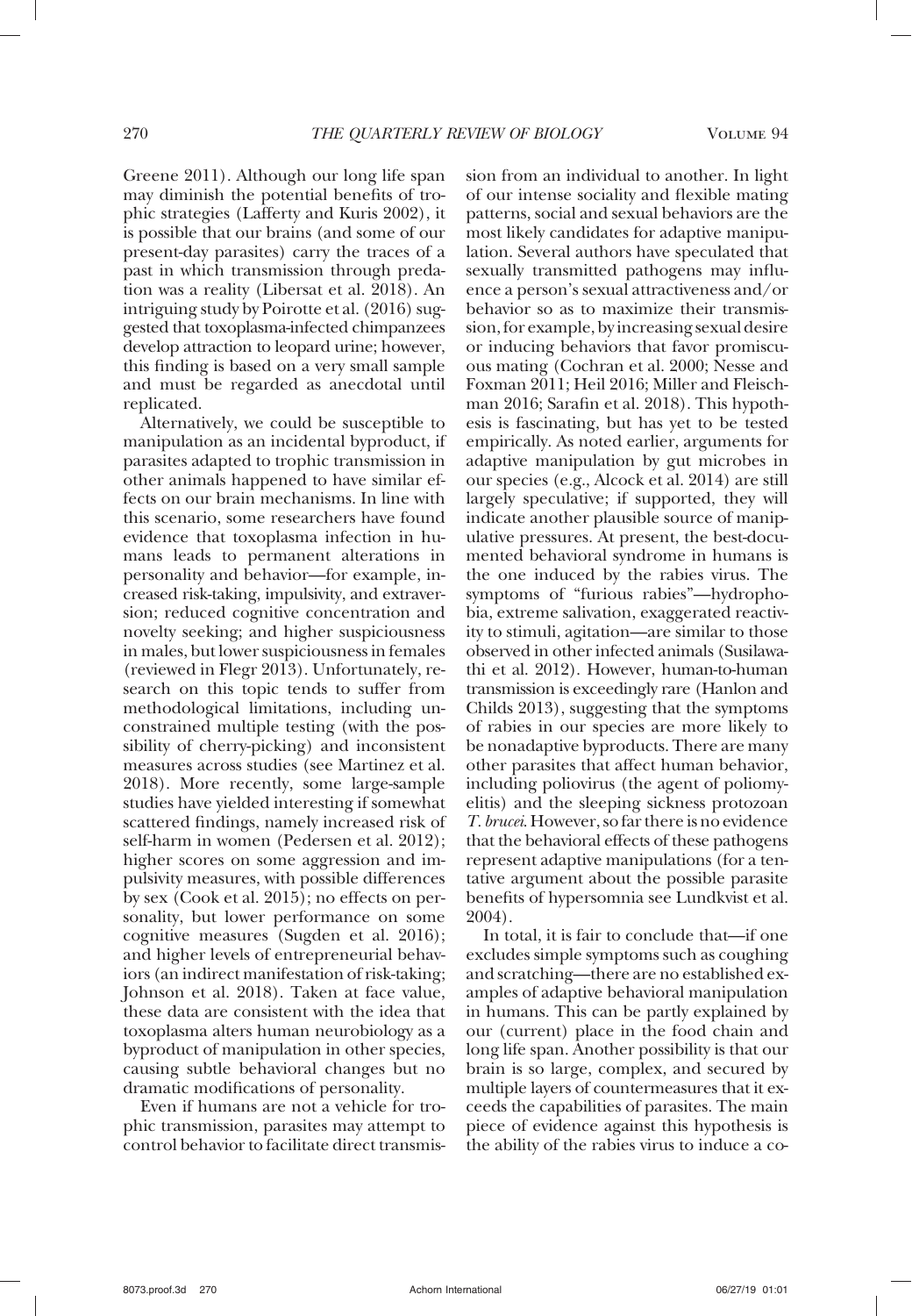Greene 2011). Although our long life span may diminish the potential benefits of trophic strategies (Lafferty and Kuris 2002), it is possible that our brains (and some of our present-day parasites) carry the traces of a past in which transmission through predation was a reality (Libersat et al. 2018). An intriguing study by Poirotte et al. (2016) suggested that toxoplasma-infected chimpanzees develop attraction to leopard urine; however, this finding is based on a very small sample and must be regarded as anecdotal until replicated.

Alternatively, we could be susceptible to manipulation as an incidental byproduct, if parasites adapted to trophic transmission in other animals happened to have similar effects on our brain mechanisms. In line with this scenario, some researchers have found evidence that toxoplasma infection in humans leads to permanent alterations in personality and behavior—for example, increased risk-taking, impulsivity, and extraversion; reduced cognitive concentration and novelty seeking; and higher suspiciousness in males, but lower suspiciousness in females (reviewed in Flegr 2013). Unfortunately, research on this topic tends to suffer from methodological limitations, including unconstrained multiple testing (with the possibility of cherry-picking) and inconsistent measures across studies (see Martinez et al. 2018). More recently, some large-sample studies have yielded interesting if somewhat scattered findings, namely increased risk of self-harm in women (Pedersen et al. 2012); higher scores on some aggression and impulsivity measures, with possible differences by sex (Cook et al. 2015); no effects on personality, but lower performance on some cognitive measures (Sugden et al. 2016); and higher levels of entrepreneurial behaviors (an indirect manifestation of risk-taking; Johnson et al. 2018). Taken at face value, these data are consistent with the idea that toxoplasma alters human neurobiology as a byproduct of manipulation in other species, causing subtle behavioral changes but no dramatic modifications of personality.

Even if humans are not a vehicle for trophic transmission, parasites may attempt to control behavior to facilitate direct transmission from an individual to another. In light of our intense sociality and flexible mating patterns, social and sexual behaviors are the most likely candidates for adaptive manipulation. Several authors have speculated that sexually transmitted pathogens may influence a person's sexual attractiveness and/or behavior so as to maximize their transmission, for example, by increasing sexual desire or inducing behaviors that favor promiscuous mating (Cochran et al. 2000; Nesse and Foxman 2011; Heil 2016; Miller and Fleischman 2016; Sarafin et al. 2018). This hypothesis is fascinating, but has yet to be tested empirically. As noted earlier, arguments for adaptive manipulation by gut microbes in our species (e.g., Alcock et al. 2014) are still largely speculative; if supported, they will indicate another plausible source of manipulative pressures. At present, the best-documented behavioral syndrome in humans is the one induced by the rabies virus. The symptoms of "furious rabies"—hydrophobia, extreme salivation, exaggerated reactivity to stimuli, agitation—are similar to those observed in other infected animals (Susilawathi et al. 2012). However, human-to-human transmission is exceedingly rare (Hanlon and Childs 2013), suggesting that the symptoms of rabies in our species are more likely to be nonadaptive byproducts. There are many other parasites that affect human behavior, including poliovirus (the agent of poliomyelitis) and the sleeping sickness protozoan T. brucei. However, so far there is no evidence that the behavioral effects of these pathogens represent adaptive manipulations (for a tentative argument about the possible parasite benefits of hypersomnia see Lundkvist et al. 2004).

In total, it is fair to conclude that—if one excludes simple symptoms such as coughing and scratching—there are no established examples of adaptive behavioral manipulation in humans. This can be partly explained by our (current) place in the food chain and long life span. Another possibility is that our brain is so large, complex, and secured by multiple layers of countermeasures that it exceeds the capabilities of parasites. The main piece of evidence against this hypothesis is the ability of the rabies virus to induce a co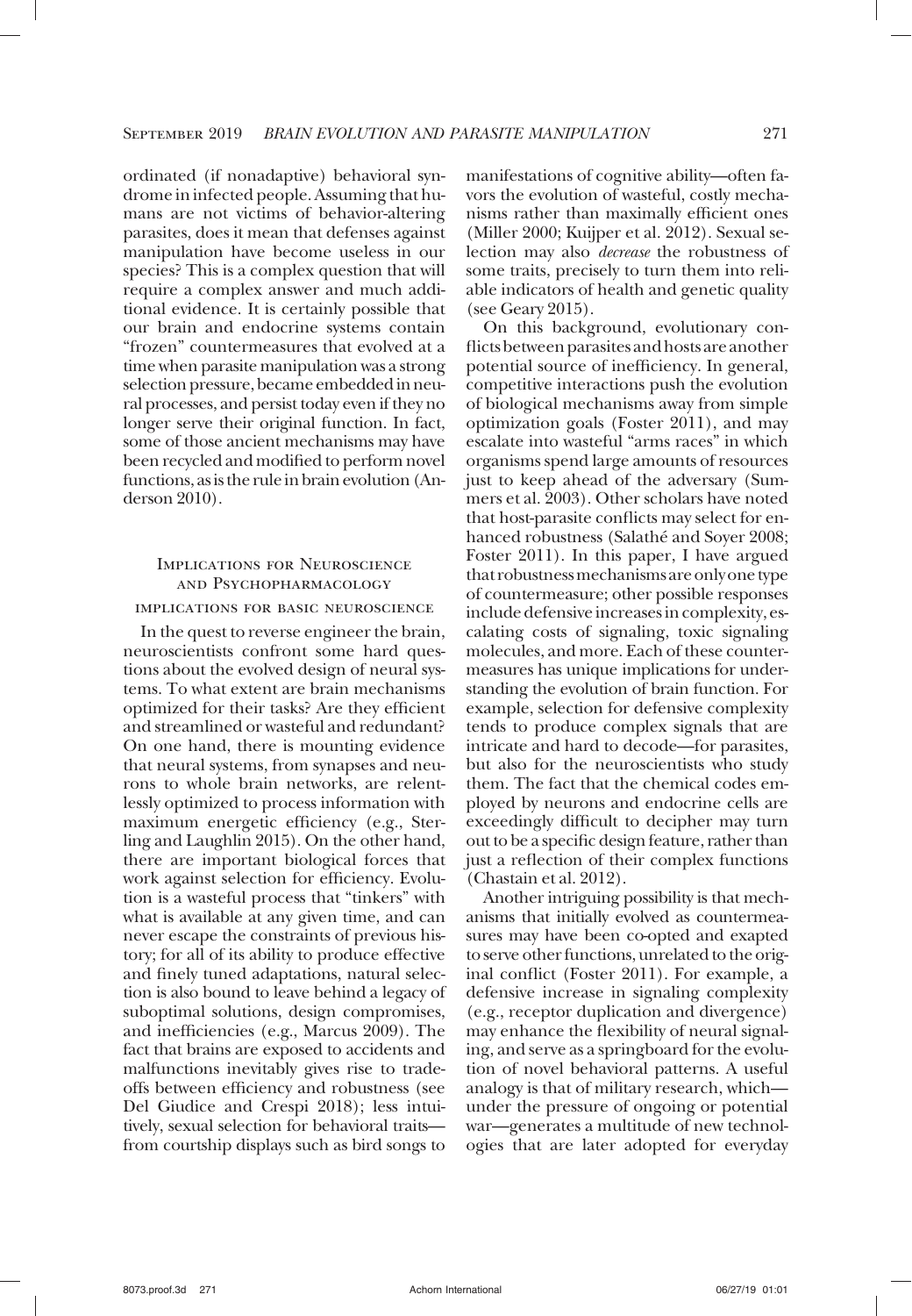ordinated (if nonadaptive) behavioral syndrome in infected people. Assuming that humans are not victims of behavior-altering parasites, does it mean that defenses against manipulation have become useless in our species? This is a complex question that will require a complex answer and much additional evidence. It is certainly possible that our brain and endocrine systems contain "frozen" countermeasures that evolved at a time when parasite manipulation was a strong selection pressure, became embedded in neural processes, and persist today even if they no longer serve their original function. In fact, some of those ancient mechanisms may have been recycled and modified to perform novel functions, as is the rule in brain evolution (Anderson 2010).

## Implications for Neuroscience and Psychopharmacology

implications for basic neuroscience

In the quest to reverse engineer the brain, neuroscientists confront some hard questions about the evolved design of neural systems. To what extent are brain mechanisms optimized for their tasks? Are they efficient and streamlined or wasteful and redundant? On one hand, there is mounting evidence that neural systems, from synapses and neurons to whole brain networks, are relentlessly optimized to process information with maximum energetic efficiency (e.g., Sterling and Laughlin 2015). On the other hand, there are important biological forces that work against selection for efficiency. Evolution is a wasteful process that "tinkers" with what is available at any given time, and can never escape the constraints of previous history; for all of its ability to produce effective and finely tuned adaptations, natural selection is also bound to leave behind a legacy of suboptimal solutions, design compromises, and inefficiencies (e.g., Marcus 2009). The fact that brains are exposed to accidents and malfunctions inevitably gives rise to tradeoffs between efficiency and robustness (see Del Giudice and Crespi 2018); less intuitively, sexual selection for behavioral traits from courtship displays such as bird songs to

manifestations of cognitive ability—often favors the evolution of wasteful, costly mechanisms rather than maximally efficient ones (Miller 2000; Kuijper et al. 2012). Sexual selection may also decrease the robustness of some traits, precisely to turn them into reliable indicators of health and genetic quality (see Geary 2015).

On this background, evolutionary conflicts between parasites and hosts are another potential source of inefficiency. In general, competitive interactions push the evolution of biological mechanisms away from simple optimization goals (Foster 2011), and may escalate into wasteful "arms races" in which organisms spend large amounts of resources just to keep ahead of the adversary (Summers et al. 2003). Other scholars have noted that host-parasite conflicts may select for enhanced robustness (Salathé and Soyer 2008; Foster 2011). In this paper, I have argued that robustnessmechanismsare only one type of countermeasure; other possible responses include defensive increases in complexity, escalating costs of signaling, toxic signaling molecules, and more. Each of these countermeasures has unique implications for understanding the evolution of brain function. For example, selection for defensive complexity tends to produce complex signals that are intricate and hard to decode—for parasites, but also for the neuroscientists who study them. The fact that the chemical codes employed by neurons and endocrine cells are exceedingly difficult to decipher may turn out to be a specific design feature, rather than just a reflection of their complex functions (Chastain et al. 2012).

Another intriguing possibility is that mechanisms that initially evolved as countermeasures may have been co-opted and exapted to serve other functions, unrelated to the original conflict (Foster 2011). For example, a defensive increase in signaling complexity (e.g., receptor duplication and divergence) may enhance the flexibility of neural signaling, and serve as a springboard for the evolution of novel behavioral patterns. A useful analogy is that of military research, which under the pressure of ongoing or potential war—generates a multitude of new technologies that are later adopted for everyday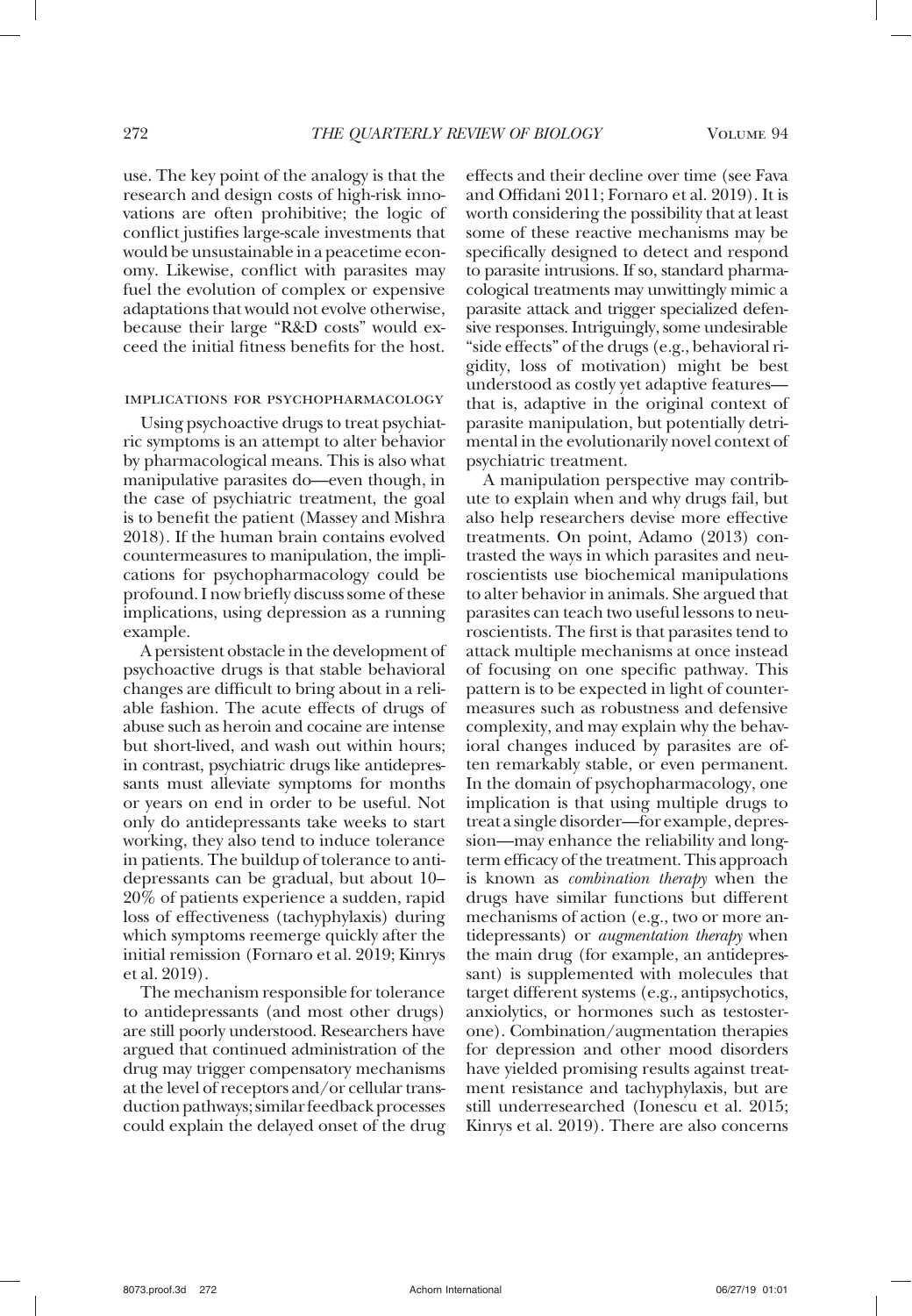use. The key point of the analogy is that the research and design costs of high-risk innovations are often prohibitive; the logic of conflict justifies large-scale investments that would be unsustainable in a peacetime economy. Likewise, conflict with parasites may fuel the evolution of complex or expensive adaptations that would not evolve otherwise, because their large "R&D costs" would exceed the initial fitness benefits for the host.

#### implications for psychopharmacology

Using psychoactive drugs to treat psychiatric symptoms is an attempt to alter behavior by pharmacological means. This is also what manipulative parasites do—even though, in the case of psychiatric treatment, the goal is to benefit the patient (Massey and Mishra 2018). If the human brain contains evolved countermeasures to manipulation, the implications for psychopharmacology could be profound. I now briefly discuss some of these implications, using depression as a running example.

A persistent obstacle in the development of psychoactive drugs is that stable behavioral changes are difficult to bring about in a reliable fashion. The acute effects of drugs of abuse such as heroin and cocaine are intense but short-lived, and wash out within hours; in contrast, psychiatric drugs like antidepressants must alleviate symptoms for months or years on end in order to be useful. Not only do antidepressants take weeks to start working, they also tend to induce tolerance in patients. The buildup of tolerance to antidepressants can be gradual, but about 10– 20% of patients experience a sudden, rapid loss of effectiveness (tachyphylaxis) during which symptoms reemerge quickly after the initial remission (Fornaro et al. 2019; Kinrys et al. 2019).

The mechanism responsible for tolerance to antidepressants (and most other drugs) are still poorly understood. Researchers have argued that continued administration of the drug may trigger compensatory mechanisms at the level of receptors and/or cellular transduction pathways; similar feedback processes could explain the delayed onset of the drug effects and their decline over time (see Fava and Offidani 2011; Fornaro et al. 2019). It is worth considering the possibility that at least some of these reactive mechanisms may be specifically designed to detect and respond to parasite intrusions. If so, standard pharmacological treatments may unwittingly mimic a parasite attack and trigger specialized defensive responses. Intriguingly, some undesirable "side effects" of the drugs (e.g., behavioral rigidity, loss of motivation) might be best understood as costly yet adaptive features that is, adaptive in the original context of parasite manipulation, but potentially detrimental in the evolutionarily novel context of psychiatric treatment.

A manipulation perspective may contribute to explain when and why drugs fail, but also help researchers devise more effective treatments. On point, Adamo (2013) contrasted the ways in which parasites and neuroscientists use biochemical manipulations to alter behavior in animals. She argued that parasites can teach two useful lessons to neuroscientists. The first is that parasites tend to attack multiple mechanisms at once instead of focusing on one specific pathway. This pattern is to be expected in light of countermeasures such as robustness and defensive complexity, and may explain why the behavioral changes induced by parasites are often remarkably stable, or even permanent. In the domain of psychopharmacology, one implication is that using multiple drugs to treat a single disorder—for example, depression—may enhance the reliability and longterm efficacy of the treatment. This approach is known as combination therapy when the drugs have similar functions but different mechanisms of action (e.g., two or more antidepressants) or *augmentation therapy* when the main drug (for example, an antidepressant) is supplemented with molecules that target different systems (e.g., antipsychotics, anxiolytics, or hormones such as testosterone). Combination/augmentation therapies for depression and other mood disorders have yielded promising results against treatment resistance and tachyphylaxis, but are still underresearched (Ionescu et al. 2015; Kinrys et al. 2019). There are also concerns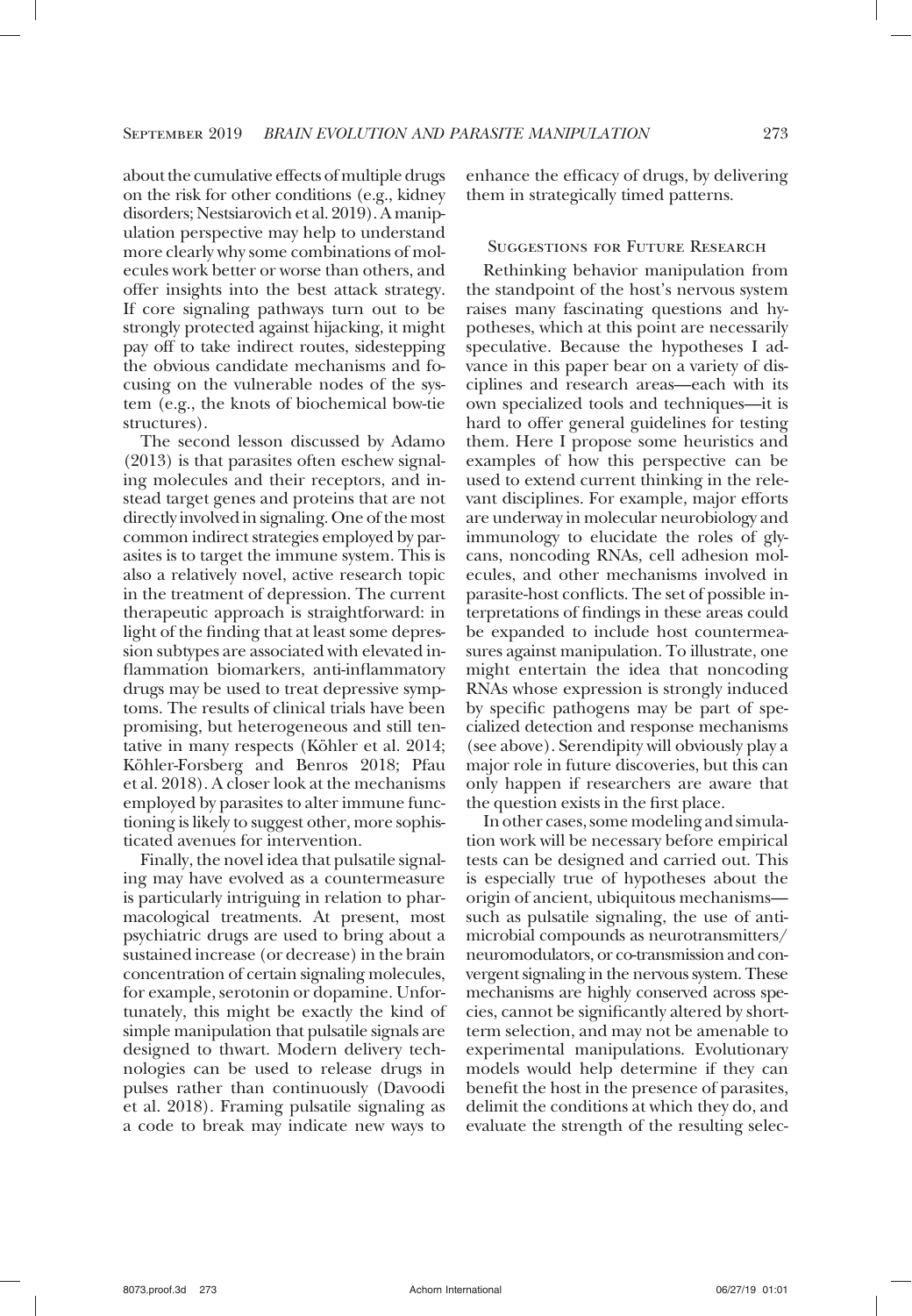about the cumulative effects of multiple drugs on the risk for other conditions (e.g., kidney disorders; Nestsiarovich et al. 2019). A manipulation perspective may help to understand more clearly why some combinations of molecules work better or worse than others, and offer insights into the best attack strategy. If core signaling pathways turn out to be strongly protected against hijacking, it might pay off to take indirect routes, sidestepping the obvious candidate mechanisms and focusing on the vulnerable nodes of the system (e.g., the knots of biochemical bow-tie structures).

The second lesson discussed by Adamo (2013) is that parasites often eschew signaling molecules and their receptors, and instead target genes and proteins that are not directly involved in signaling. One of the most common indirect strategies employed by parasites is to target the immune system. This is also a relatively novel, active research topic in the treatment of depression. The current therapeutic approach is straightforward: in light of the finding that at least some depression subtypes are associated with elevated inflammation biomarkers, anti-inflammatory drugs may be used to treat depressive symptoms. The results of clinical trials have been promising, but heterogeneous and still tentative in many respects (Köhler et al. 2014; Köhler-Forsberg and Benros 2018; Pfau et al. 2018). A closer look at the mechanisms employed by parasites to alter immune functioning is likely to suggest other, more sophisticated avenues for intervention.

Finally, the novel idea that pulsatile signaling may have evolved as a countermeasure is particularly intriguing in relation to pharmacological treatments. At present, most psychiatric drugs are used to bring about a sustained increase (or decrease) in the brain concentration of certain signaling molecules, for example, serotonin or dopamine. Unfortunately, this might be exactly the kind of simple manipulation that pulsatile signals are designed to thwart. Modern delivery technologies can be used to release drugs in pulses rather than continuously (Davoodi et al. 2018). Framing pulsatile signaling as a code to break may indicate new ways to

enhance the efficacy of drugs, by delivering them in strategically timed patterns.

Suggestions for Future Research

Rethinking behavior manipulation from the standpoint of the host's nervous system raises many fascinating questions and hypotheses, which at this point are necessarily speculative. Because the hypotheses I advance in this paper bear on a variety of disciplines and research areas—each with its own specialized tools and techniques—it is hard to offer general guidelines for testing them. Here I propose some heuristics and examples of how this perspective can be used to extend current thinking in the relevant disciplines. For example, major efforts are underway in molecular neurobiology and immunology to elucidate the roles of glycans, noncoding RNAs, cell adhesion molecules, and other mechanisms involved in parasite-host conflicts. The set of possible interpretations of findings in these areas could be expanded to include host countermeasures against manipulation. To illustrate, one might entertain the idea that noncoding RNAs whose expression is strongly induced by specific pathogens may be part of specialized detection and response mechanisms (see above). Serendipity will obviously play a major role in future discoveries, but this can only happen if researchers are aware that the question exists in the first place.

In other cases, some modeling and simulation work will be necessary before empirical tests can be designed and carried out. This is especially true of hypotheses about the origin of ancient, ubiquitous mechanisms such as pulsatile signaling, the use of antimicrobial compounds as neurotransmitters/ neuromodulators, or co-transmission and convergent signaling in the nervous system. These mechanisms are highly conserved across species, cannot be significantly altered by shortterm selection, and may not be amenable to experimental manipulations. Evolutionary models would help determine if they can benefit the host in the presence of parasites, delimit the conditions at which they do, and evaluate the strength of the resulting selec-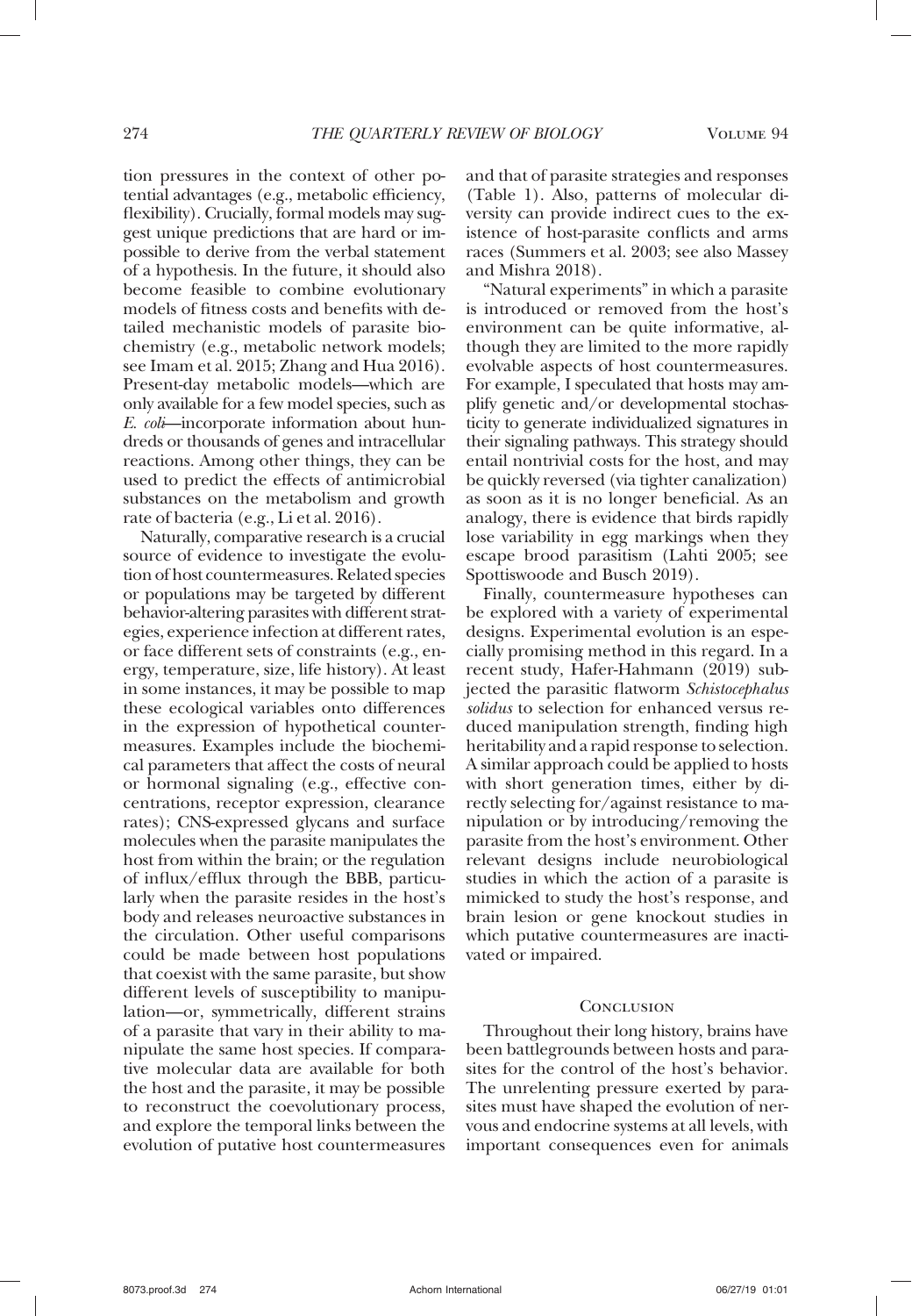tion pressures in the context of other potential advantages (e.g., metabolic efficiency, flexibility). Crucially, formal models may suggest unique predictions that are hard or impossible to derive from the verbal statement of a hypothesis. In the future, it should also become feasible to combine evolutionary models of fitness costs and benefits with detailed mechanistic models of parasite biochemistry (e.g., metabolic network models; see Imam et al. 2015; Zhang and Hua 2016). Present-day metabolic models—which are only available for a few model species, such as E. coli—incorporate information about hundreds or thousands of genes and intracellular reactions. Among other things, they can be used to predict the effects of antimicrobial substances on the metabolism and growth rate of bacteria (e.g., Li et al. 2016).

Naturally, comparative research is a crucial source of evidence to investigate the evolution of host countermeasures. Related species or populations may be targeted by different behavior-altering parasites with different strategies, experience infection at different rates, or face different sets of constraints (e.g., energy, temperature, size, life history). At least in some instances, it may be possible to map these ecological variables onto differences in the expression of hypothetical countermeasures. Examples include the biochemical parameters that affect the costs of neural or hormonal signaling (e.g., effective concentrations, receptor expression, clearance rates); CNS-expressed glycans and surface molecules when the parasite manipulates the host from within the brain; or the regulation of influx/efflux through the BBB, particularly when the parasite resides in the host's body and releases neuroactive substances in the circulation. Other useful comparisons could be made between host populations that coexist with the same parasite, but show different levels of susceptibility to manipulation—or, symmetrically, different strains of a parasite that vary in their ability to manipulate the same host species. If comparative molecular data are available for both the host and the parasite, it may be possible to reconstruct the coevolutionary process, and explore the temporal links between the evolution of putative host countermeasures

and that of parasite strategies and responses (Table 1). Also, patterns of molecular diversity can provide indirect cues to the existence of host-parasite conflicts and arms races (Summers et al. 2003; see also Massey and Mishra 2018).

"Natural experiments" in which a parasite is introduced or removed from the host's environment can be quite informative, although they are limited to the more rapidly evolvable aspects of host countermeasures. For example, I speculated that hosts may amplify genetic and/or developmental stochasticity to generate individualized signatures in their signaling pathways. This strategy should entail nontrivial costs for the host, and may be quickly reversed (via tighter canalization) as soon as it is no longer beneficial. As an analogy, there is evidence that birds rapidly lose variability in egg markings when they escape brood parasitism (Lahti 2005; see Spottiswoode and Busch 2019).

Finally, countermeasure hypotheses can be explored with a variety of experimental designs. Experimental evolution is an especially promising method in this regard. In a recent study, Hafer-Hahmann (2019) subjected the parasitic flatworm Schistocephalus solidus to selection for enhanced versus reduced manipulation strength, finding high heritability and a rapid response to selection. A similar approach could be applied to hosts with short generation times, either by directly selecting for/against resistance to manipulation or by introducing/removing the parasite from the host's environment. Other relevant designs include neurobiological studies in which the action of a parasite is mimicked to study the host's response, and brain lesion or gene knockout studies in which putative countermeasures are inactivated or impaired.

#### **CONCLUSION**

Throughout their long history, brains have been battlegrounds between hosts and parasites for the control of the host's behavior. The unrelenting pressure exerted by parasites must have shaped the evolution of nervous and endocrine systems at all levels, with important consequences even for animals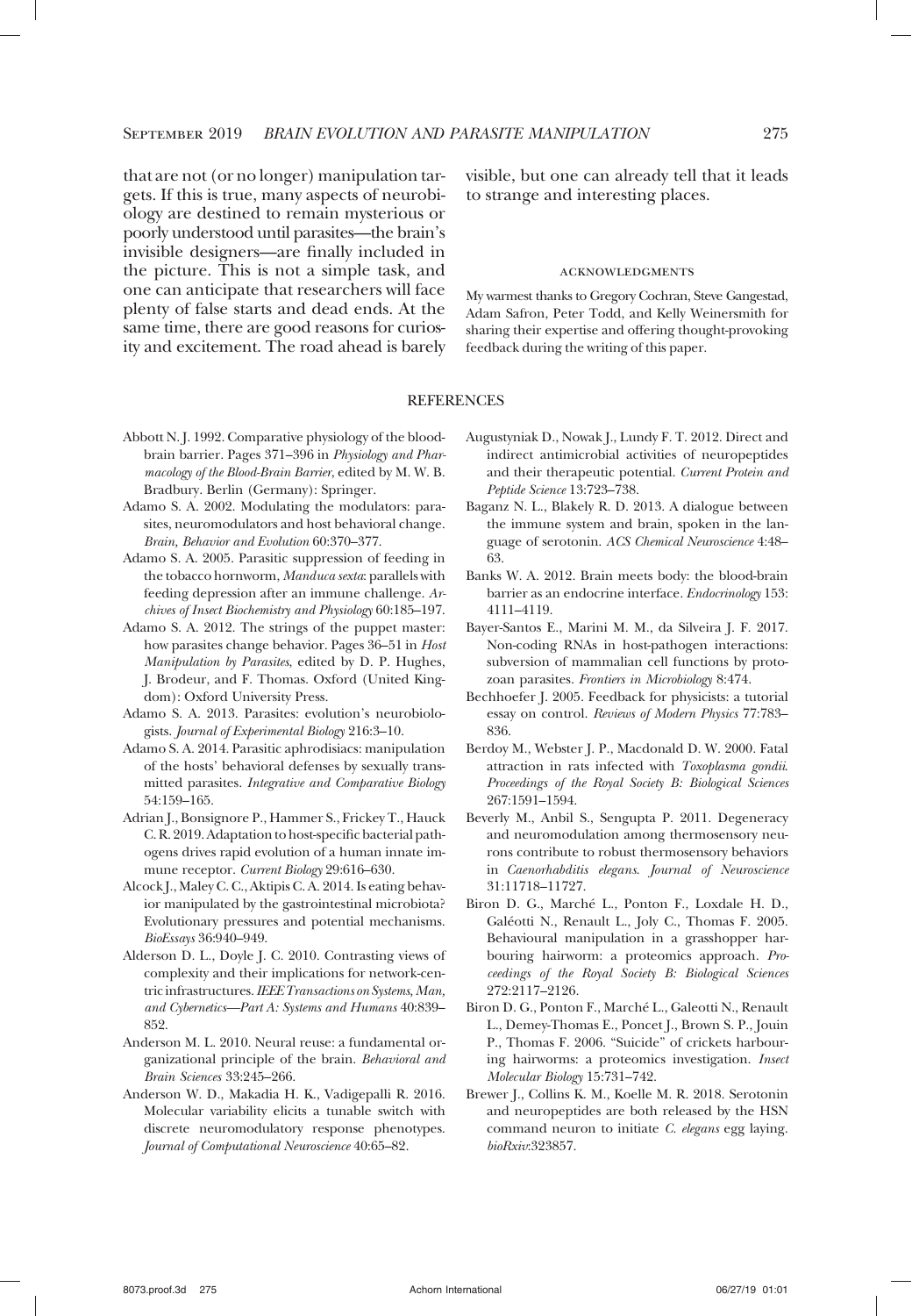that are not (or no longer) manipulation targets. If this is true, many aspects of neurobiology are destined to remain mysterious or poorly understood until parasites—the brain's invisible designers—are finally included in the picture. This is not a simple task, and one can anticipate that researchers will face plenty of false starts and dead ends. At the same time, there are good reasons for curiosity and excitement. The road ahead is barely visible, but one can already tell that it leads to strange and interesting places.

#### acknowledgments

My warmest thanks to Gregory Cochran, Steve Gangestad, Adam Safron, Peter Todd, and Kelly Weinersmith for sharing their expertise and offering thought-provoking feedback during the writing of this paper.

#### **REFERENCES**

- Abbott N. J. 1992. Comparative physiology of the bloodbrain barrier. Pages 371–396 in Physiology and Pharmacology of the Blood-Brain Barrier, edited by M. W. B. Bradbury. Berlin (Germany): Springer.
- Adamo S. A. 2002. Modulating the modulators: parasites, neuromodulators and host behavioral change. Brain, Behavior and Evolution 60:370–377.
- Adamo S. A. 2005. Parasitic suppression of feeding in the tobacco hornworm, Manduca sexta: parallels with feeding depression after an immune challenge. Archives of Insect Biochemistry and Physiology 60:185–197.
- Adamo S. A. 2012. The strings of the puppet master: how parasites change behavior. Pages 36–51 in Host Manipulation by Parasites, edited by D. P. Hughes, J. Brodeur, and F. Thomas. Oxford (United Kingdom): Oxford University Press.
- Adamo S. A. 2013. Parasites: evolution's neurobiologists. Journal of Experimental Biology 216:3–10.
- Adamo S. A. 2014. Parasitic aphrodisiacs: manipulation of the hosts' behavioral defenses by sexually transmitted parasites. Integrative and Comparative Biology 54:159–165.
- Adrian J., Bonsignore P., Hammer S., Frickey T., Hauck C. R. 2019. Adaptation to host-specific bacterial pathogens drives rapid evolution of a human innate immune receptor. Current Biology 29:616–630.
- Alcock J., Maley C. C., Aktipis C. A. 2014. Is eating behavior manipulated by the gastrointestinal microbiota? Evolutionary pressures and potential mechanisms. BioEssays 36:940–949.
- Alderson D. L., Doyle J. C. 2010. Contrasting views of complexity and their implications for network-centric infrastructures. IEEE Transactions on Systems, Man, and Cybernetics—Part A: Systems and Humans 40:839– 852.
- Anderson M. L. 2010. Neural reuse: a fundamental organizational principle of the brain. Behavioral and Brain Sciences 33:245–266.
- Anderson W. D., Makadia H. K., Vadigepalli R. 2016. Molecular variability elicits a tunable switch with discrete neuromodulatory response phenotypes. Journal of Computational Neuroscience 40:65–82.
- Augustyniak D., Nowak J., Lundy F. T. 2012. Direct and indirect antimicrobial activities of neuropeptides and their therapeutic potential. Current Protein and Peptide Science 13:723–738.
- Baganz N. L., Blakely R. D. 2013. A dialogue between the immune system and brain, spoken in the language of serotonin. ACS Chemical Neuroscience 4:48– 63.
- Banks W. A. 2012. Brain meets body: the blood-brain barrier as an endocrine interface. Endocrinology 153: 4111–4119.
- Bayer-Santos E., Marini M. M., da Silveira J. F. 2017. Non-coding RNAs in host-pathogen interactions: subversion of mammalian cell functions by protozoan parasites. Frontiers in Microbiology 8:474.
- Bechhoefer J. 2005. Feedback for physicists: a tutorial essay on control. Reviews of Modern Physics 77:783– 836.
- Berdoy M., Webster J. P., Macdonald D. W. 2000. Fatal attraction in rats infected with Toxoplasma gondii. Proceedings of the Royal Society B: Biological Sciences 267:1591–1594.
- Beverly M., Anbil S., Sengupta P. 2011. Degeneracy and neuromodulation among thermosensory neurons contribute to robust thermosensory behaviors in Caenorhabditis elegans. Journal of Neuroscience 31:11718–11727.
- Biron D. G., Marché L., Ponton F., Loxdale H. D., Galéotti N., Renault L., Joly C., Thomas F. 2005. Behavioural manipulation in a grasshopper harbouring hairworm: a proteomics approach. Proceedings of the Royal Society B: Biological Sciences 272:2117–2126.
- Biron D. G., Ponton F., Marché L., Galeotti N., Renault L., Demey-Thomas E., Poncet J., Brown S. P., Jouin P., Thomas F. 2006. "Suicide" of crickets harbouring hairworms: a proteomics investigation. Insect Molecular Biology 15:731–742.
- Brewer J., Collins K. M., Koelle M. R. 2018. Serotonin and neuropeptides are both released by the HSN command neuron to initiate C. elegans egg laying. bioRxiv:323857.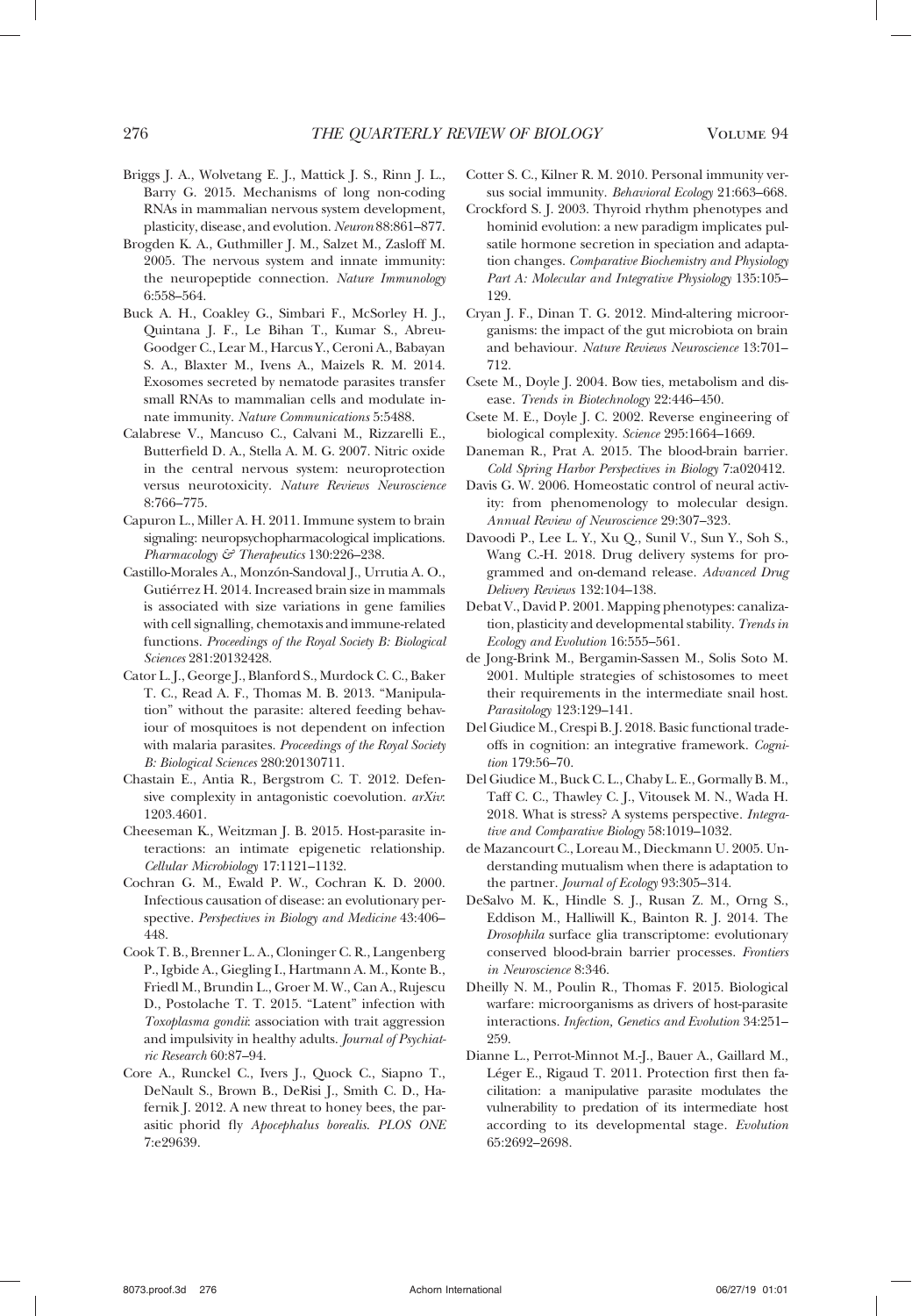- Briggs J. A., Wolvetang E. J., Mattick J. S., Rinn J. L., Barry G. 2015. Mechanisms of long non-coding RNAs in mammalian nervous system development, plasticity, disease, and evolution. Neuron 88:861–877.
- Brogden K. A., Guthmiller J. M., Salzet M., Zasloff M. 2005. The nervous system and innate immunity: the neuropeptide connection. Nature Immunology 6:558–564.
- Buck A. H., Coakley G., Simbari F., McSorley H. J., Quintana J. F., Le Bihan T., Kumar S., Abreu-Goodger C., Lear M., Harcus Y., Ceroni A., Babayan S. A., Blaxter M., Ivens A., Maizels R. M. 2014. Exosomes secreted by nematode parasites transfer small RNAs to mammalian cells and modulate innate immunity. Nature Communications 5:5488.
- Calabrese V., Mancuso C., Calvani M., Rizzarelli E., Butterfield D. A., Stella A. M. G. 2007. Nitric oxide in the central nervous system: neuroprotection versus neurotoxicity. Nature Reviews Neuroscience 8:766–775.
- Capuron L., Miller A. H. 2011. Immune system to brain signaling: neuropsychopharmacological implications. Pharmacology & Therapeutics 130:226–238.
- Castillo-Morales A., Monzón-Sandoval J., Urrutia A. O., Gutiérrez H. 2014. Increased brain size in mammals is associated with size variations in gene families with cell signalling, chemotaxis and immune-related functions. Proceedings of the Royal Society B: Biological Sciences 281:20132428.
- Cator L. J., George J., Blanford S., Murdock C. C., Baker T. C., Read A. F., Thomas M. B. 2013. "Manipulation" without the parasite: altered feeding behaviour of mosquitoes is not dependent on infection with malaria parasites. Proceedings of the Royal Society B: Biological Sciences 280:20130711.
- Chastain E., Antia R., Bergstrom C. T. 2012. Defensive complexity in antagonistic coevolution. arXiv: 1203.4601.
- Cheeseman K., Weitzman J. B. 2015. Host-parasite interactions: an intimate epigenetic relationship. Cellular Microbiology 17:1121–1132.
- Cochran G. M., Ewald P. W., Cochran K. D. 2000. Infectious causation of disease: an evolutionary perspective. Perspectives in Biology and Medicine 43:406– 448.
- Cook T. B., Brenner L. A., Cloninger C. R., Langenberg P., Igbide A., Giegling I., Hartmann A. M., Konte B., Friedl M., Brundin L., Groer M. W., Can A., Rujescu D., Postolache T. T. 2015. "Latent" infection with Toxoplasma gondii: association with trait aggression and impulsivity in healthy adults. Journal of Psychiatric Research 60:87–94.
- Core A., Runckel C., Ivers J., Quock C., Siapno T., DeNault S., Brown B., DeRisi J., Smith C. D., Hafernik J. 2012. A new threat to honey bees, the parasitic phorid fly Apocephalus borealis. PLOS ONE 7:e29639.
- Cotter S. C., Kilner R. M. 2010. Personal immunity versus social immunity. Behavioral Ecology 21:663–668.
- Crockford S. J. 2003. Thyroid rhythm phenotypes and hominid evolution: a new paradigm implicates pulsatile hormone secretion in speciation and adaptation changes. Comparative Biochemistry and Physiology Part A: Molecular and Integrative Physiology 135:105– 129.
- Cryan J. F., Dinan T. G. 2012. Mind-altering microorganisms: the impact of the gut microbiota on brain and behaviour. Nature Reviews Neuroscience 13:701– 712.
- Csete M., Doyle J. 2004. Bow ties, metabolism and disease. Trends in Biotechnology 22:446–450.
- Csete M. E., Doyle J. C. 2002. Reverse engineering of biological complexity. Science 295:1664–1669.
- Daneman R., Prat A. 2015. The blood-brain barrier. Cold Spring Harbor Perspectives in Biology 7:a020412.
- Davis G. W. 2006. Homeostatic control of neural activity: from phenomenology to molecular design. Annual Review of Neuroscience 29:307–323.
- Davoodi P., Lee L. Y., Xu Q., Sunil V., Sun Y., Soh S., Wang C.-H. 2018. Drug delivery systems for programmed and on-demand release. Advanced Drug Delivery Reviews 132:104–138.
- Debat V., David P. 2001. Mapping phenotypes: canalization, plasticity and developmental stability. Trends in Ecology and Evolution 16:555–561.
- de Jong-Brink M., Bergamin-Sassen M., Solis Soto M. 2001. Multiple strategies of schistosomes to meet their requirements in the intermediate snail host. Parasitology 123:129-141.
- Del Giudice M., Crespi B. J. 2018. Basic functional tradeoffs in cognition: an integrative framework. Cognition 179:56–70.
- Del Giudice M., Buck C. L., Chaby L. E., Gormally B. M., Taff C. C., Thawley C. J., Vitousek M. N., Wada H. 2018. What is stress? A systems perspective. Integrative and Comparative Biology 58:1019–1032.
- de Mazancourt C., Loreau M., Dieckmann U. 2005. Understanding mutualism when there is adaptation to the partner. Journal of Ecology 93:305–314.
- DeSalvo M. K., Hindle S. J., Rusan Z. M., Orng S., Eddison M., Halliwill K., Bainton R. J. 2014. The Drosophila surface glia transcriptome: evolutionary conserved blood-brain barrier processes. Frontiers in Neuroscience 8:346.
- Dheilly N. M., Poulin R., Thomas F. 2015. Biological warfare: microorganisms as drivers of host-parasite interactions. Infection, Genetics and Evolution 34:251– 259.
- Dianne L., Perrot-Minnot M.-J., Bauer A., Gaillard M., Léger E., Rigaud T. 2011. Protection first then facilitation: a manipulative parasite modulates the vulnerability to predation of its intermediate host according to its developmental stage. Evolution 65:2692–2698.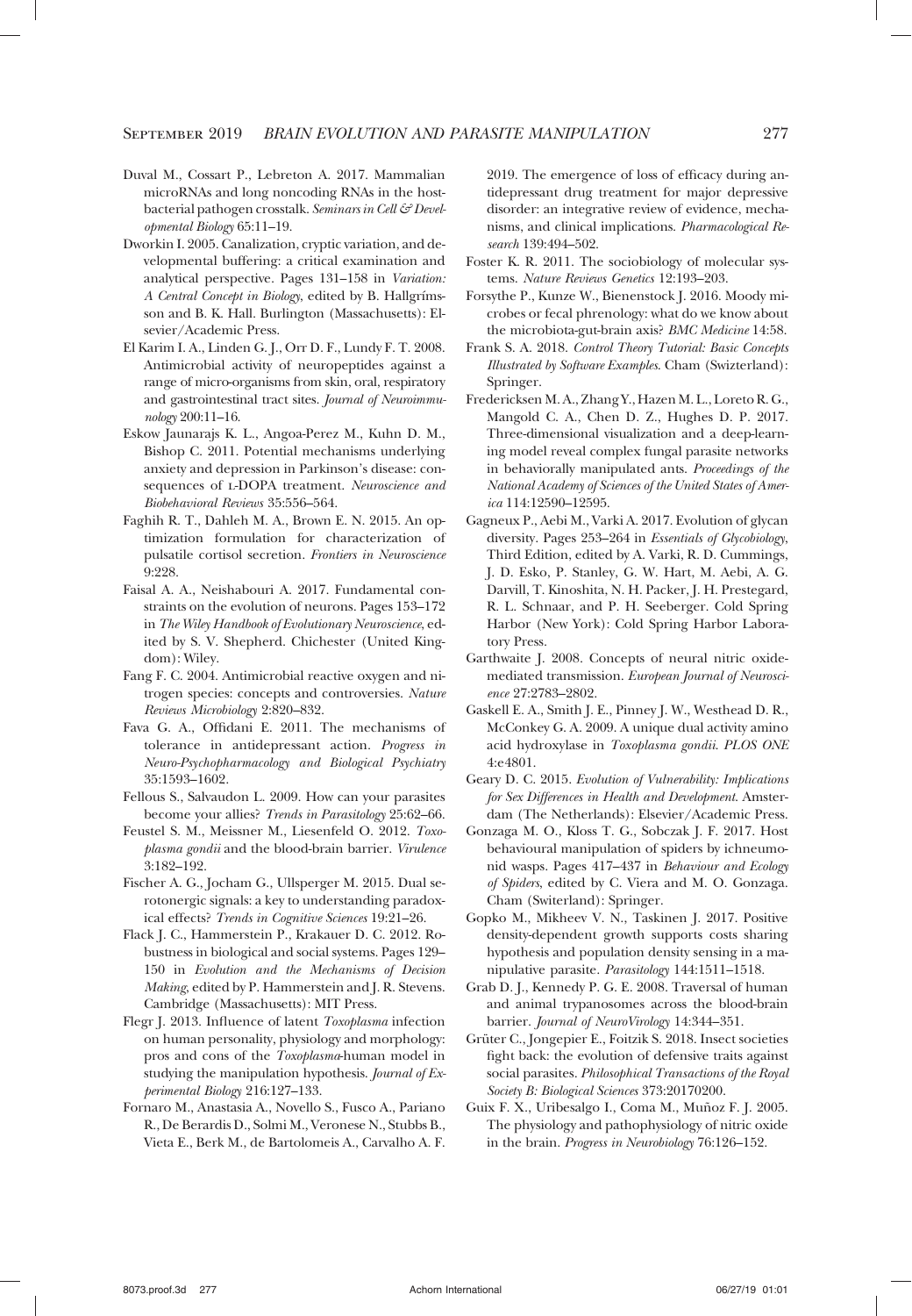- Duval M., Cossart P., Lebreton A. 2017. Mammalian microRNAs and long noncoding RNAs in the hostbacterial pathogen crosstalk. Seminars in Cell & Developmental Biology 65:11–19.
- Dworkin I. 2005. Canalization, cryptic variation, and developmental buffering: a critical examination and analytical perspective. Pages 131–158 in Variation: A Central Concept in Biology, edited by B. Hallgrímsson and B. K. Hall. Burlington (Massachusetts): Elsevier/Academic Press.
- El Karim I. A., Linden G. J., Orr D. F., Lundy F. T. 2008. Antimicrobial activity of neuropeptides against a range of micro-organisms from skin, oral, respiratory and gastrointestinal tract sites. Journal of Neuroimmunology 200:11–16.
- Eskow Jaunarajs K. L., Angoa-Perez M., Kuhn D. M., Bishop C. 2011. Potential mechanisms underlying anxiety and depression in Parkinson's disease: consequences of L-DOPA treatment. Neuroscience and Biobehavioral Reviews 35:556–564.
- Faghih R. T., Dahleh M. A., Brown E. N. 2015. An optimization formulation for characterization of pulsatile cortisol secretion. Frontiers in Neuroscience 9:228.
- Faisal A. A., Neishabouri A. 2017. Fundamental constraints on the evolution of neurons. Pages 153–172 in The Wiley Handbook of Evolutionary Neuroscience, edited by S. V. Shepherd. Chichester (United Kingdom): Wiley.
- Fang F. C. 2004. Antimicrobial reactive oxygen and nitrogen species: concepts and controversies. Nature Reviews Microbiology 2:820–832.
- Fava G. A., Offidani E. 2011. The mechanisms of tolerance in antidepressant action. Progress in Neuro-Psychopharmacology and Biological Psychiatry 35:1593–1602.
- Fellous S., Salvaudon L. 2009. How can your parasites become your allies? Trends in Parasitology 25:62–66.
- Feustel S. M., Meissner M., Liesenfeld O. 2012. Toxoplasma gondii and the blood-brain barrier. Virulence 3:182–192.
- Fischer A. G., Jocham G., Ullsperger M. 2015. Dual serotonergic signals: a key to understanding paradoxical effects? Trends in Cognitive Sciences 19:21–26.
- Flack J. C., Hammerstein P., Krakauer D. C. 2012. Robustness in biological and social systems. Pages 129– 150 in Evolution and the Mechanisms of Decision Making, edited by P. Hammerstein and J. R. Stevens. Cambridge (Massachusetts): MIT Press.
- Flegr J. 2013. Influence of latent Toxoplasma infection on human personality, physiology and morphology: pros and cons of the Toxoplasma-human model in studying the manipulation hypothesis. Journal of Experimental Biology 216:127–133.
- Fornaro M., Anastasia A., Novello S., Fusco A., Pariano R., De Berardis D., Solmi M., Veronese N., Stubbs B., Vieta E., Berk M., de Bartolomeis A., Carvalho A. F.

2019. The emergence of loss of efficacy during antidepressant drug treatment for major depressive disorder: an integrative review of evidence, mechanisms, and clinical implications. Pharmacological Research 139:494–502.

- Foster K. R. 2011. The sociobiology of molecular systems. Nature Reviews Genetics 12:193–203.
- Forsythe P., Kunze W., Bienenstock J. 2016. Moody microbes or fecal phrenology: what do we know about the microbiota-gut-brain axis? BMC Medicine 14:58.
- Frank S. A. 2018. Control Theory Tutorial: Basic Concepts Illustrated by Software Examples. Cham (Swizterland): Springer.
- Fredericksen M. A., Zhang Y., Hazen M. L., Loreto R. G., Mangold C. A., Chen D. Z., Hughes D. P. 2017. Three-dimensional visualization and a deep-learning model reveal complex fungal parasite networks in behaviorally manipulated ants. Proceedings of the National Academy of Sciences of the United States of America 114:12590–12595.
- Gagneux P., Aebi M., Varki A. 2017. Evolution of glycan diversity. Pages 253–264 in Essentials of Glycobiology, Third Edition, edited by A. Varki, R. D. Cummings, J. D. Esko, P. Stanley, G. W. Hart, M. Aebi, A. G. Darvill, T. Kinoshita, N. H. Packer, J. H. Prestegard, R. L. Schnaar, and P. H. Seeberger. Cold Spring Harbor (New York): Cold Spring Harbor Laboratory Press.
- Garthwaite J. 2008. Concepts of neural nitric oxidemediated transmission. European Journal of Neuroscience 27:2783–2802.
- Gaskell E. A., Smith J. E., Pinney J. W., Westhead D. R., McConkey G. A. 2009. A unique dual activity amino acid hydroxylase in Toxoplasma gondii. PLOS ONE 4:e4801.
- Geary D. C. 2015. Evolution of Vulnerability: Implications for Sex Differences in Health and Development. Amsterdam (The Netherlands): Elsevier/Academic Press.
- Gonzaga M. O., Kloss T. G., Sobczak J. F. 2017. Host behavioural manipulation of spiders by ichneumonid wasps. Pages 417–437 in Behaviour and Ecology of Spiders, edited by C. Viera and M. O. Gonzaga. Cham (Switerland): Springer.
- Gopko M., Mikheev V. N., Taskinen J. 2017. Positive density-dependent growth supports costs sharing hypothesis and population density sensing in a manipulative parasite. Parasitology 144:1511–1518.
- Grab D. J., Kennedy P. G. E. 2008. Traversal of human and animal trypanosomes across the blood-brain barrier. Journal of NeuroVirology 14:344–351.
- Grüter C., Jongepier E., Foitzik S. 2018. Insect societies fight back: the evolution of defensive traits against social parasites. Philosophical Transactions of the Royal Society B: Biological Sciences 373:20170200.
- Guix F. X., Uribesalgo I., Coma M., Muñoz F. J. 2005. The physiology and pathophysiology of nitric oxide in the brain. Progress in Neurobiology 76:126–152.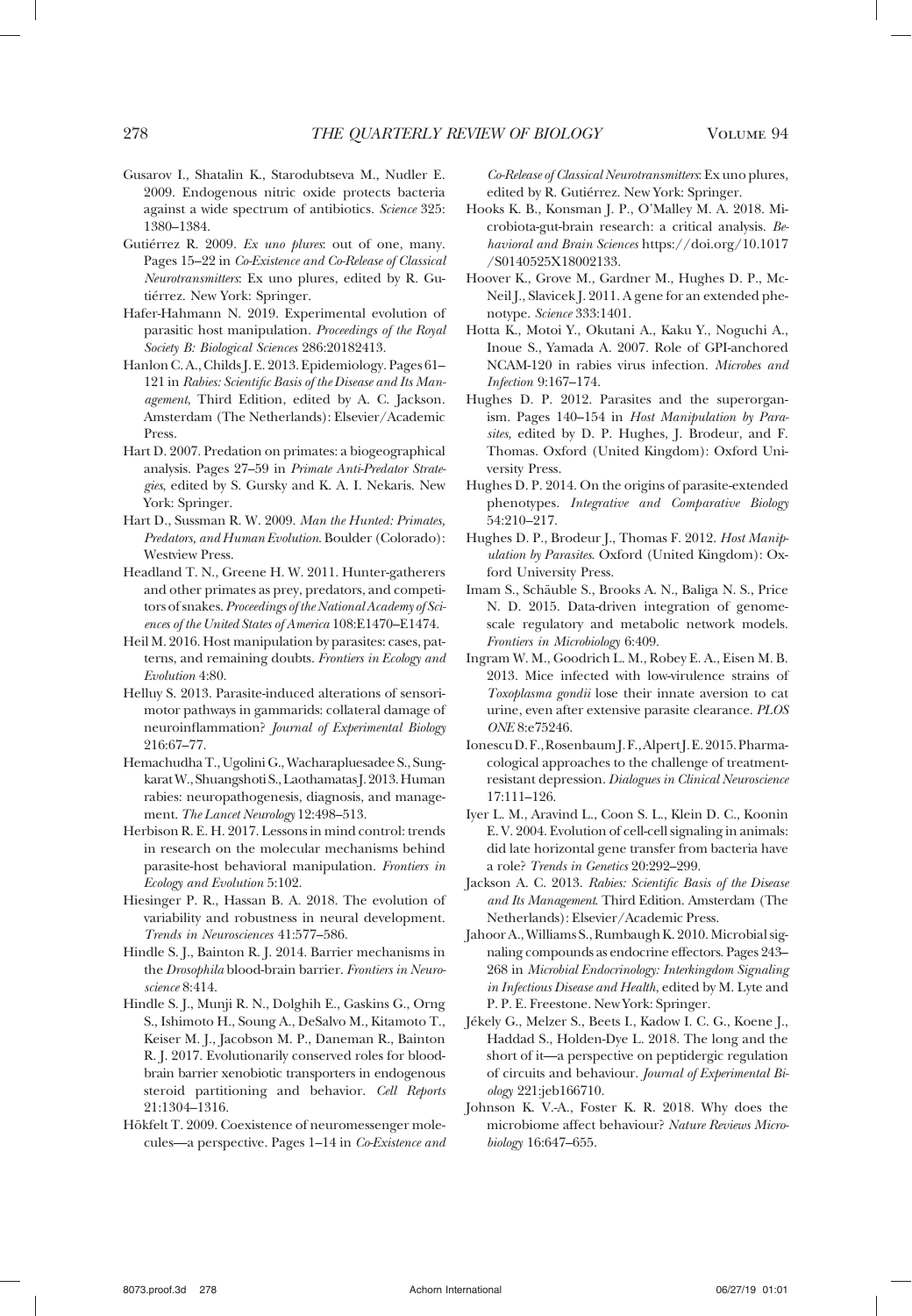- Gusarov I., Shatalin K., Starodubtseva M., Nudler E. 2009. Endogenous nitric oxide protects bacteria against a wide spectrum of antibiotics. Science 325: 1380–1384.
- Gutiérrez R. 2009. Ex uno plures: out of one, many. Pages 15–22 in Co-Existence and Co-Release of Classical Neurotransmitters: Ex uno plures, edited by R. Gutiérrez. New York: Springer.
- Hafer-Hahmann N. 2019. Experimental evolution of parasitic host manipulation. Proceedings of the Royal Society B: Biological Sciences 286:20182413.
- Hanlon C. A., Childs J. E. 2013. Epidemiology. Pages 61– 121 in Rabies: Scientific Basis of the Disease and Its Management, Third Edition, edited by A. C. Jackson. Amsterdam (The Netherlands): Elsevier/Academic Press.
- Hart D. 2007. Predation on primates: a biogeographical analysis. Pages 27–59 in Primate Anti-Predator Strategies, edited by S. Gursky and K. A. I. Nekaris. New York: Springer.
- Hart D., Sussman R. W. 2009. Man the Hunted: Primates, Predators, and Human Evolution. Boulder (Colorado): Westview Press.
- Headland T. N., Greene H. W. 2011. Hunter-gatherers and other primates as prey, predators, and competitors of snakes. Proceedings of the National Academy of Sciences of the United States of America 108:E1470–E1474.
- Heil M. 2016. Host manipulation by parasites: cases, patterns, and remaining doubts. Frontiers in Ecology and Evolution 4:80.
- Helluy S. 2013. Parasite-induced alterations of sensorimotor pathways in gammarids: collateral damage of neuroinflammation? Journal of Experimental Biology 216:67–77.
- Hemachudha T., Ugolini G., Wacharapluesadee S., SungkaratW., Shuangshoti S., Laothamatas J. 2013.Human rabies: neuropathogenesis, diagnosis, and management. The Lancet Neurology 12:498–513.
- Herbison R. E. H. 2017. Lessons in mind control: trends in research on the molecular mechanisms behind parasite-host behavioral manipulation. Frontiers in Ecology and Evolution 5:102.
- Hiesinger P. R., Hassan B. A. 2018. The evolution of variability and robustness in neural development. Trends in Neurosciences 41:577–586.
- Hindle S. J., Bainton R. J. 2014. Barrier mechanisms in the Drosophila blood-brain barrier. Frontiers in Neuroscience 8:414.
- Hindle S. J., Munji R. N., Dolghih E., Gaskins G., Orng S., Ishimoto H., Soung A., DeSalvo M., Kitamoto T., Keiser M. J., Jacobson M. P., Daneman R., Bainton R. J. 2017. Evolutionarily conserved roles for bloodbrain barrier xenobiotic transporters in endogenous steroid partitioning and behavior. Cell Reports 21:1304–1316.
- Hökfelt T. 2009. Coexistence of neuromessenger molecules—a perspective. Pages 1–14 in Co-Existence and

Co-Release of Classical Neurotransmitters: Ex uno plures, edited by R. Gutiérrez. New York: Springer.

- Hooks K. B., Konsman J. P., O'Malley M. A. 2018. Microbiota-gut-brain research: a critical analysis. Behavioral and Brain Sciences https://doi.org/10.1017 /S0140525X18002133.
- Hoover K., Grove M., Gardner M., Hughes D. P., Mc-Neil J., Slavicek J. 2011. A gene for an extended phenotype. Science 333:1401.
- Hotta K., Motoi Y., Okutani A., Kaku Y., Noguchi A., Inoue S., Yamada A. 2007. Role of GPI-anchored NCAM-120 in rabies virus infection. Microbes and Infection 9:167–174.
- Hughes D. P. 2012. Parasites and the superorganism. Pages 140–154 in Host Manipulation by Parasites, edited by D. P. Hughes, J. Brodeur, and F. Thomas. Oxford (United Kingdom): Oxford University Press.
- Hughes D. P. 2014. On the origins of parasite-extended phenotypes. Integrative and Comparative Biology 54:210–217.
- Hughes D. P., Brodeur J., Thomas F. 2012. Host Manipulation by Parasites. Oxford (United Kingdom): Oxford University Press.
- Imam S., Schäuble S., Brooks A. N., Baliga N. S., Price N. D. 2015. Data-driven integration of genomescale regulatory and metabolic network models. Frontiers in Microbiology 6:409.
- Ingram W. M., Goodrich L. M., Robey E. A., Eisen M. B. 2013. Mice infected with low-virulence strains of Toxoplasma gondii lose their innate aversion to cat urine, even after extensive parasite clearance. PLOS ONE 8:e75246.
- IonescuD. F.,Rosenbaum J. F.,Alpert J.E. 2015. Pharmacological approaches to the challenge of treatmentresistant depression. Dialogues in Clinical Neuroscience 17:111–126.
- Iyer L. M., Aravind L., Coon S. L., Klein D. C., Koonin E. V. 2004. Evolution of cell-cell signaling in animals: did late horizontal gene transfer from bacteria have a role? Trends in Genetics 20:292–299.
- Jackson A. C. 2013. Rabies: Scientific Basis of the Disease and Its Management. Third Edition. Amsterdam (The Netherlands): Elsevier/Academic Press.
- Jahoor A.,Williams S., Rumbaugh K. 2010. Microbial signaling compounds as endocrine effectors. Pages 243– 268 in Microbial Endocrinology: Interkingdom Signaling in Infectious Disease and Health, edited by M. Lyte and P. P. E. Freestone. New York: Springer.
- Jékely G., Melzer S., Beets I., Kadow I. C. G., Koene J., Haddad S., Holden-Dye L. 2018. The long and the short of it—a perspective on peptidergic regulation of circuits and behaviour. Journal of Experimental Biology 221:jeb166710.
- Johnson K. V.-A., Foster K. R. 2018. Why does the microbiome affect behaviour? Nature Reviews Microbiology 16:647–655.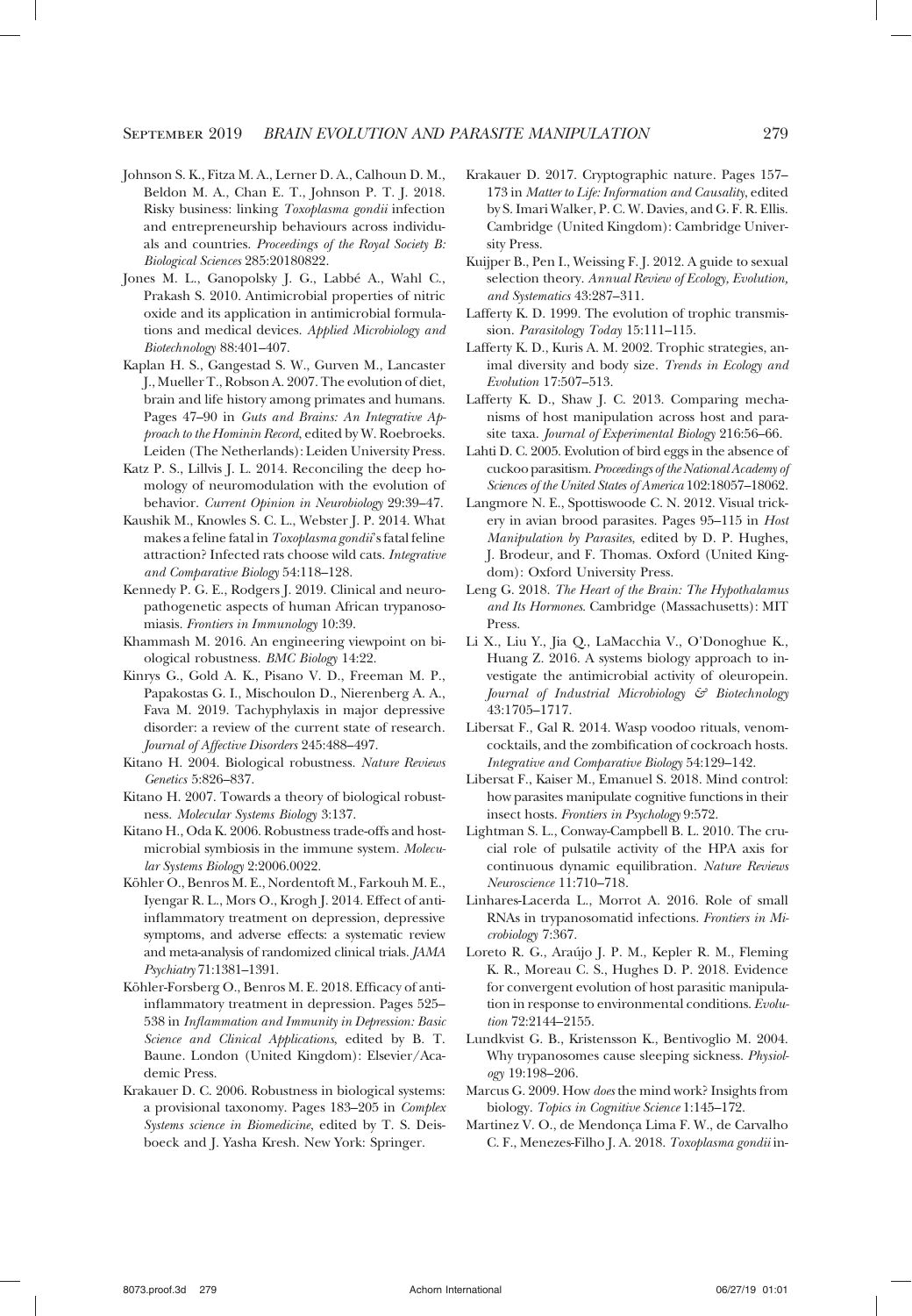- Johnson S. K., Fitza M. A., Lerner D. A., Calhoun D. M., Beldon M. A., Chan E. T., Johnson P. T. J. 2018. Risky business: linking Toxoplasma gondii infection and entrepreneurship behaviours across individuals and countries. Proceedings of the Royal Society B: Biological Sciences 285:20180822.
- Jones M. L., Ganopolsky J. G., Labbé A., Wahl C., Prakash S. 2010. Antimicrobial properties of nitric oxide and its application in antimicrobial formulations and medical devices. Applied Microbiology and Biotechnology 88:401–407.
- Kaplan H. S., Gangestad S. W., Gurven M., Lancaster J., Mueller T., Robson A. 2007. The evolution of diet, brain and life history among primates and humans. Pages 47–90 in Guts and Brains: An Integrative Approach to the Hominin Record, edited by W. Roebroeks. Leiden (The Netherlands): Leiden University Press.
- Katz P. S., Lillvis J. L. 2014. Reconciling the deep homology of neuromodulation with the evolution of behavior. Current Opinion in Neurobiology 29:39–47.
- Kaushik M., Knowles S. C. L., Webster J. P. 2014. What makes a feline fatal in Toxoplasma gondii's fatal feline attraction? Infected rats choose wild cats. Integrative and Comparative Biology 54:118–128.
- Kennedy P. G. E., Rodgers J. 2019. Clinical and neuropathogenetic aspects of human African trypanosomiasis. Frontiers in Immunology 10:39.
- Khammash M. 2016. An engineering viewpoint on biological robustness. BMC Biology 14:22.
- Kinrys G., Gold A. K., Pisano V. D., Freeman M. P., Papakostas G. I., Mischoulon D., Nierenberg A. A., Fava M. 2019. Tachyphylaxis in major depressive disorder: a review of the current state of research. Journal of Affective Disorders 245:488–497.
- Kitano H. 2004. Biological robustness. Nature Reviews Genetics 5:826–837.
- Kitano H. 2007. Towards a theory of biological robustness. Molecular Systems Biology 3:137.
- Kitano H., Oda K. 2006. Robustness trade-offs and hostmicrobial symbiosis in the immune system. Molecular Systems Biology 2:2006.0022.
- Köhler O., Benros M. E., Nordentoft M., Farkouh M. E., Iyengar R. L., Mors O., Krogh J. 2014. Effect of antiinflammatory treatment on depression, depressive symptoms, and adverse effects: a systematic review and meta-analysis of randomized clinical trials. JAMA Psychiatry 71:1381–1391.
- Köhler-Forsberg O., Benros M. E. 2018. Efficacy of antiinflammatory treatment in depression. Pages 525– 538 in Inflammation and Immunity in Depression: Basic Science and Clinical Applications, edited by B. T. Baune. London (United Kingdom): Elsevier/Academic Press.
- Krakauer D. C. 2006. Robustness in biological systems: a provisional taxonomy. Pages 183–205 in Complex Systems science in Biomedicine, edited by T. S. Deisboeck and J. Yasha Kresh. New York: Springer.
- Krakauer D. 2017. Cryptographic nature. Pages 157– 173 in Matter to Life: Information and Causality, edited by S. Imari Walker, P. C. W. Davies, and G. F. R. Ellis. Cambridge (United Kingdom): Cambridge University Press.
- Kuijper B., Pen I., Weissing F. J. 2012. A guide to sexual selection theory. Annual Review of Ecology, Evolution, and Systematics 43:287–311.
- Lafferty K. D. 1999. The evolution of trophic transmission. Parasitology Today 15:111-115.
- Lafferty K. D., Kuris A. M. 2002. Trophic strategies, animal diversity and body size. Trends in Ecology and Evolution 17:507–513.
- Lafferty K. D., Shaw J. C. 2013. Comparing mechanisms of host manipulation across host and parasite taxa. Journal of Experimental Biology 216:56–66.
- Lahti D. C. 2005. Evolution of bird eggs in the absence of cuckoo parasitism. Proceedings of the National Academy of Sciences of the United States of America 102:18057–18062.
- Langmore N. E., Spottiswoode C. N. 2012. Visual trickery in avian brood parasites. Pages 95–115 in Host Manipulation by Parasites, edited by D. P. Hughes, J. Brodeur, and F. Thomas. Oxford (United Kingdom): Oxford University Press.
- Leng G. 2018. The Heart of the Brain: The Hypothalamus and Its Hormones. Cambridge (Massachusetts): MIT Press.
- Li X., Liu Y., Jia Q., LaMacchia V., O'Donoghue K., Huang Z. 2016. A systems biology approach to investigate the antimicrobial activity of oleuropein. Journal of Industrial Microbiology & Biotechnology 43:1705–1717.
- Libersat F., Gal R. 2014. Wasp voodoo rituals, venomcocktails, and the zombification of cockroach hosts. Integrative and Comparative Biology 54:129–142.
- Libersat F., Kaiser M., Emanuel S. 2018. Mind control: how parasites manipulate cognitive functions in their insect hosts. Frontiers in Psychology 9:572.
- Lightman S. L., Conway-Campbell B. L. 2010. The crucial role of pulsatile activity of the HPA axis for continuous dynamic equilibration. Nature Reviews Neuroscience 11:710–718.
- Linhares-Lacerda L., Morrot A. 2016. Role of small RNAs in trypanosomatid infections. Frontiers in Microbiology 7:367.
- Loreto R. G., Araújo J. P. M., Kepler R. M., Fleming K. R., Moreau C. S., Hughes D. P. 2018. Evidence for convergent evolution of host parasitic manipulation in response to environmental conditions. Evolution 72:2144–2155.
- Lundkvist G. B., Kristensson K., Bentivoglio M. 2004. Why trypanosomes cause sleeping sickness. Physiology 19:198–206.
- Marcus G. 2009. How does the mind work? Insights from biology. Topics in Cognitive Science 1:145–172.
- Martinez V. O., de Mendonça Lima F. W., de Carvalho C. F., Menezes-Filho J. A. 2018. Toxoplasma gondii in-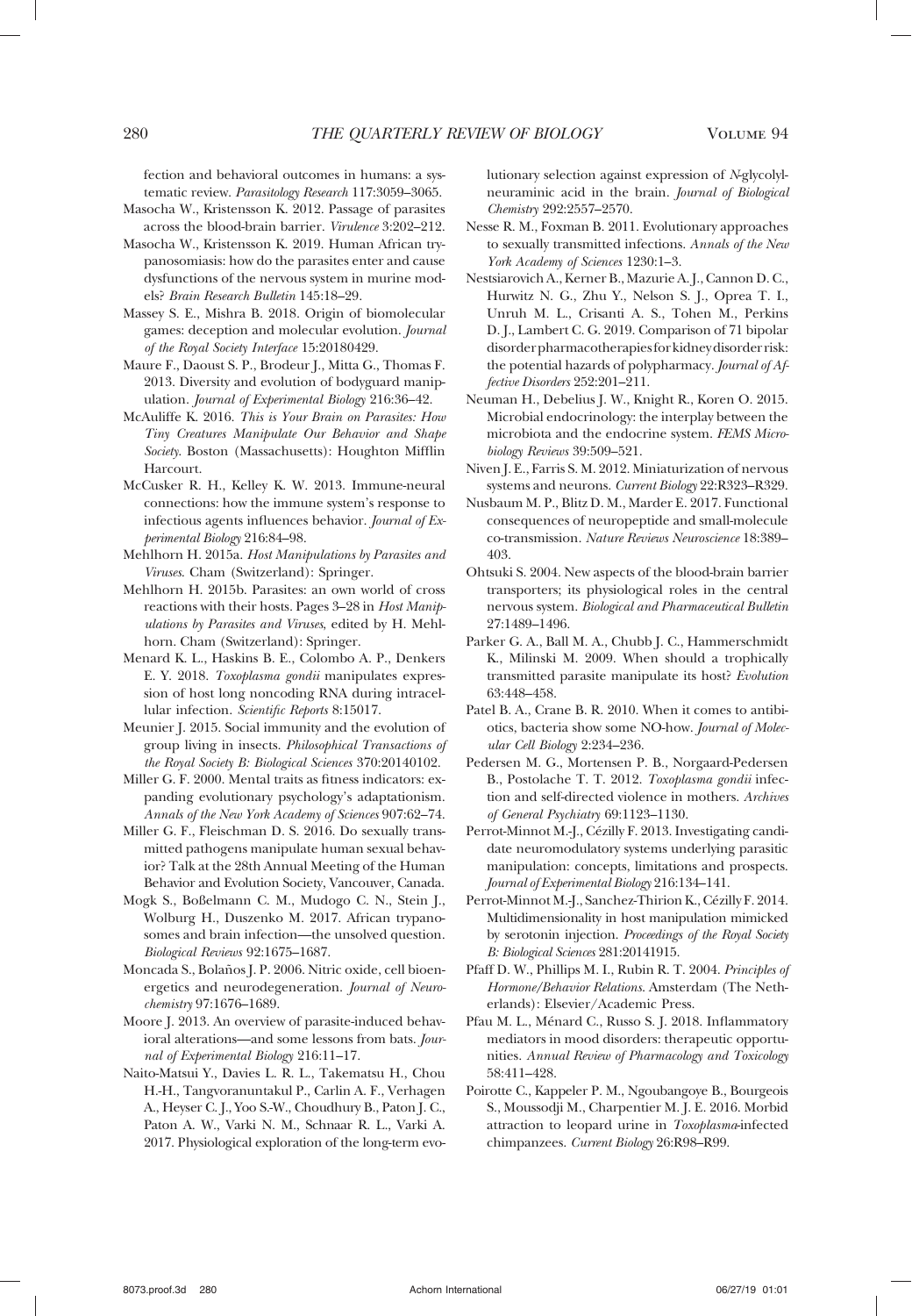fection and behavioral outcomes in humans: a systematic review. Parasitology Research 117:3059–3065. Masocha W., Kristensson K. 2012. Passage of parasites

across the blood-brain barrier. Virulence 3:202–212.

- Masocha W., Kristensson K. 2019. Human African trypanosomiasis: how do the parasites enter and cause dysfunctions of the nervous system in murine models? Brain Research Bulletin 145:18–29.
- Massey S. E., Mishra B. 2018. Origin of biomolecular games: deception and molecular evolution. Journal of the Royal Society Interface 15:20180429.
- Maure F., Daoust S. P., Brodeur J., Mitta G., Thomas F. 2013. Diversity and evolution of bodyguard manipulation. Journal of Experimental Biology 216:36–42.
- McAuliffe K. 2016. This is Your Brain on Parasites: How Tiny Creatures Manipulate Our Behavior and Shape Society. Boston (Massachusetts): Houghton Mifflin Harcourt.
- McCusker R. H., Kelley K. W. 2013. Immune-neural connections: how the immune system's response to infectious agents influences behavior. Journal of Experimental Biology 216:84–98.
- Mehlhorn H. 2015a. Host Manipulations by Parasites and Viruses. Cham (Switzerland): Springer.
- Mehlhorn H. 2015b. Parasites: an own world of cross reactions with their hosts. Pages 3–28 in Host Manipulations by Parasites and Viruses, edited by H. Mehlhorn. Cham (Switzerland): Springer.
- Menard K. L., Haskins B. E., Colombo A. P., Denkers E. Y. 2018. Toxoplasma gondii manipulates expression of host long noncoding RNA during intracellular infection. Scientific Reports 8:15017.
- Meunier J. 2015. Social immunity and the evolution of group living in insects. Philosophical Transactions of the Royal Society B: Biological Sciences 370:20140102.
- Miller G. F. 2000. Mental traits as fitness indicators: expanding evolutionary psychology's adaptationism. Annals of the New York Academy of Sciences 907:62–74.
- Miller G. F., Fleischman D. S. 2016. Do sexually transmitted pathogens manipulate human sexual behavior? Talk at the 28th Annual Meeting of the Human Behavior and Evolution Society, Vancouver, Canada.
- Mogk S., Boßelmann C. M., Mudogo C. N., Stein J., Wolburg H., Duszenko M. 2017. African trypanosomes and brain infection—the unsolved question. Biological Reviews 92:1675–1687.
- Moncada S., Bolaños J. P. 2006. Nitric oxide, cell bioenergetics and neurodegeneration. Journal of Neurochemistry 97:1676–1689.
- Moore J. 2013. An overview of parasite-induced behavioral alterations—and some lessons from bats. Journal of Experimental Biology 216:11–17.
- Naito-Matsui Y., Davies L. R. L., Takematsu H., Chou H.-H., Tangvoranuntakul P., Carlin A. F., Verhagen A., Heyser C. J., Yoo S.-W., Choudhury B., Paton J. C., Paton A. W., Varki N. M., Schnaar R. L., Varki A. 2017. Physiological exploration of the long-term evo-

lutionary selection against expression of N-glycolylneuraminic acid in the brain. Journal of Biological Chemistry 292:2557–2570.

- Nesse R. M., Foxman B. 2011. Evolutionary approaches to sexually transmitted infections. Annals of the New York Academy of Sciences 1230:1–3.
- Nestsiarovich A., Kerner B., Mazurie A. J., Cannon D. C., Hurwitz N. G., Zhu Y., Nelson S. J., Oprea T. I., Unruh M. L., Crisanti A. S., Tohen M., Perkins D. J., Lambert C. G. 2019. Comparison of 71 bipolar disorderpharmacotherapies forkidneydisorder risk: the potential hazards of polypharmacy. Journal of Affective Disorders 252:201–211.
- Neuman H., Debelius J. W., Knight R., Koren O. 2015. Microbial endocrinology: the interplay between the microbiota and the endocrine system. FEMS Microbiology Reviews 39:509–521.
- Niven J. E., Farris S. M. 2012. Miniaturization of nervous systems and neurons. Current Biology 22:R323–R329.
- Nusbaum M. P., Blitz D. M., Marder E. 2017. Functional consequences of neuropeptide and small-molecule co-transmission. Nature Reviews Neuroscience 18:389– 403.
- Ohtsuki S. 2004. New aspects of the blood-brain barrier transporters; its physiological roles in the central nervous system. Biological and Pharmaceutical Bulletin 27:1489–1496.
- Parker G. A., Ball M. A., Chubb J. C., Hammerschmidt K., Milinski M. 2009. When should a trophically transmitted parasite manipulate its host? Evolution 63:448–458.
- Patel B. A., Crane B. R. 2010. When it comes to antibiotics, bacteria show some NO-how. Journal of Molecular Cell Biology 2:234–236.
- Pedersen M. G., Mortensen P. B., Norgaard-Pedersen B., Postolache T. T. 2012. Toxoplasma gondii infection and self-directed violence in mothers. Archives of General Psychiatry 69:1123–1130.
- Perrot-Minnot M.-J., Cézilly F. 2013. Investigating candidate neuromodulatory systems underlying parasitic manipulation: concepts, limitations and prospects. Journal of Experimental Biology 216:134–141.
- Perrot-Minnot M.-J., Sanchez-Thirion K., Cézilly F. 2014. Multidimensionality in host manipulation mimicked by serotonin injection. Proceedings of the Royal Society B: Biological Sciences 281:20141915.
- Pfaff D. W., Phillips M. I., Rubin R. T. 2004. Principles of Hormone/Behavior Relations. Amsterdam (The Netherlands): Elsevier/Academic Press.
- Pfau M. L., Ménard C., Russo S. J. 2018. Inflammatory mediators in mood disorders: therapeutic opportunities. Annual Review of Pharmacology and Toxicology 58:411–428.
- Poirotte C., Kappeler P. M., Ngoubangoye B., Bourgeois S., Moussodji M., Charpentier M. J. E. 2016. Morbid attraction to leopard urine in Toxoplasma-infected chimpanzees. Current Biology 26:R98–R99.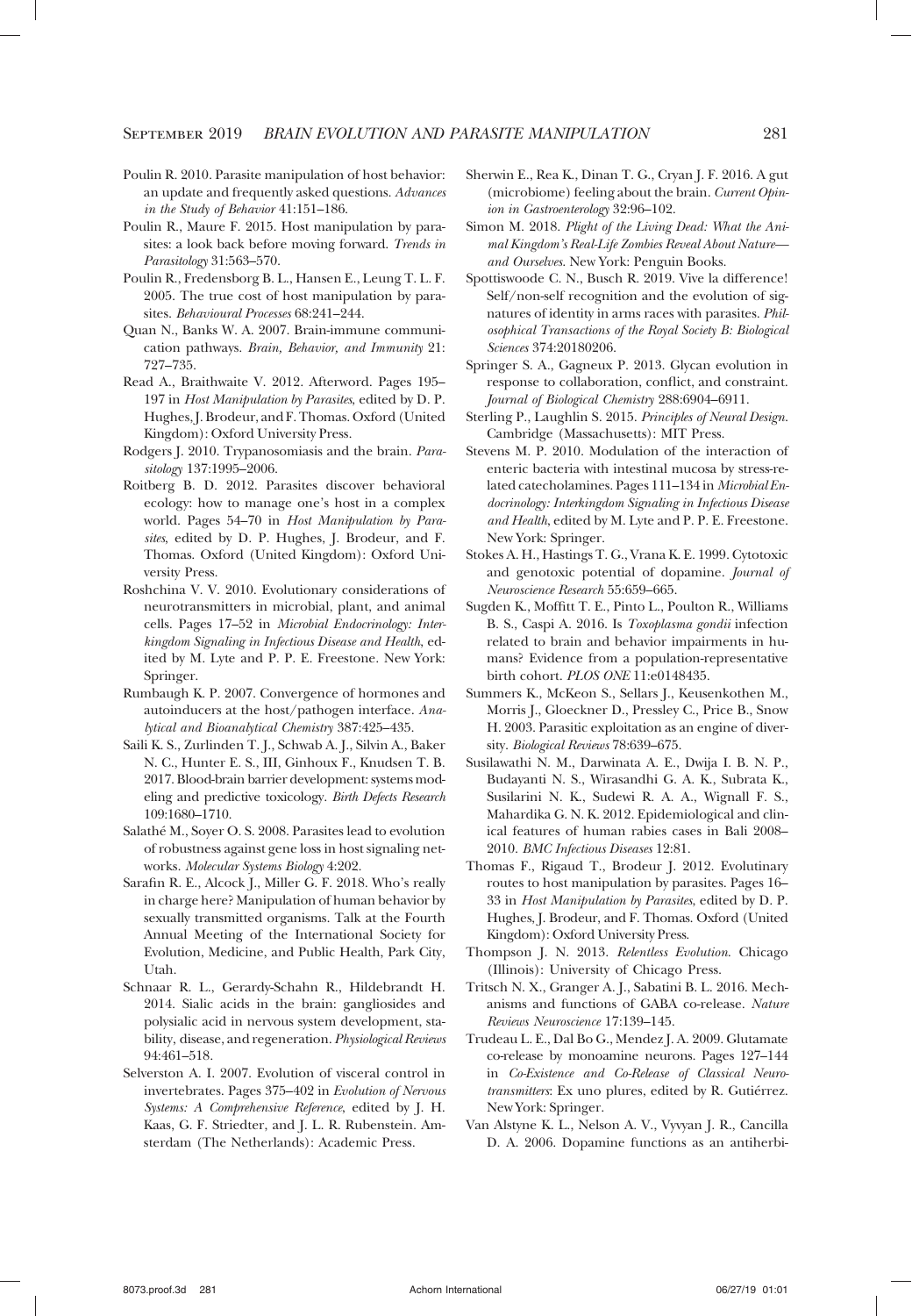- Poulin R. 2010. Parasite manipulation of host behavior: an update and frequently asked questions. Advances in the Study of Behavior 41:151–186.
- Poulin R., Maure F. 2015. Host manipulation by parasites: a look back before moving forward. Trends in Parasitology 31:563–570.
- Poulin R., Fredensborg B. L., Hansen E., Leung T. L. F. 2005. The true cost of host manipulation by parasites. Behavioural Processes 68:241–244.
- Quan N., Banks W. A. 2007. Brain-immune communication pathways. Brain, Behavior, and Immunity 21: 727–735.
- Read A., Braithwaite V. 2012. Afterword. Pages 195– 197 in Host Manipulation by Parasites, edited by D. P. Hughes, J. Brodeur, and F. Thomas. Oxford (United Kingdom): Oxford University Press.
- Rodgers J. 2010. Trypanosomiasis and the brain. Parasitology 137:1995–2006.
- Roitberg B. D. 2012. Parasites discover behavioral ecology: how to manage one's host in a complex world. Pages 54–70 in Host Manipulation by Parasites, edited by D. P. Hughes, J. Brodeur, and F. Thomas. Oxford (United Kingdom): Oxford University Press.
- Roshchina V. V. 2010. Evolutionary considerations of neurotransmitters in microbial, plant, and animal cells. Pages 17–52 in Microbial Endocrinology: Interkingdom Signaling in Infectious Disease and Health, edited by M. Lyte and P. P. E. Freestone. New York: Springer.
- Rumbaugh K. P. 2007. Convergence of hormones and autoinducers at the host/pathogen interface. Analytical and Bioanalytical Chemistry 387:425–435.
- Saili K. S., Zurlinden T. J., Schwab A. J., Silvin A., Baker N. C., Hunter E. S., III, Ginhoux F., Knudsen T. B. 2017. Blood-brain barrier development: systems modeling and predictive toxicology. Birth Defects Research 109:1680–1710.
- Salathé M., Soyer O. S. 2008. Parasites lead to evolution of robustness against gene loss in host signaling networks. Molecular Systems Biology 4:202.
- Sarafin R. E., Alcock J., Miller G. F. 2018. Who's really in charge here? Manipulation of human behavior by sexually transmitted organisms. Talk at the Fourth Annual Meeting of the International Society for Evolution, Medicine, and Public Health, Park City, Utah.
- Schnaar R. L., Gerardy-Schahn R., Hildebrandt H. 2014. Sialic acids in the brain: gangliosides and polysialic acid in nervous system development, stability, disease, and regeneration. Physiological Reviews 94:461–518.
- Selverston A. I. 2007. Evolution of visceral control in invertebrates. Pages 375–402 in Evolution of Nervous Systems: A Comprehensive Reference, edited by J. H. Kaas, G. F. Striedter, and J. L. R. Rubenstein. Amsterdam (The Netherlands): Academic Press.
- Sherwin E., Rea K., Dinan T. G., Cryan J. F. 2016. A gut (microbiome) feeling about the brain. Current Opinion in Gastroenterology 32:96–102.
- Simon M. 2018. Plight of the Living Dead: What the Animal Kingdom's Real-Life Zombies Reveal About Nature and Ourselves. New York: Penguin Books.
- Spottiswoode C. N., Busch R. 2019. Vive la difference! Self/non-self recognition and the evolution of signatures of identity in arms races with parasites. Philosophical Transactions of the Royal Society B: Biological Sciences 374:20180206.
- Springer S. A., Gagneux P. 2013. Glycan evolution in response to collaboration, conflict, and constraint. Journal of Biological Chemistry 288:6904–6911.
- Sterling P., Laughlin S. 2015. Principles of Neural Design. Cambridge (Massachusetts): MIT Press.
- Stevens M. P. 2010. Modulation of the interaction of enteric bacteria with intestinal mucosa by stress-related catecholamines. Pages 111–134 in Microbial Endocrinology: Interkingdom Signaling in Infectious Disease and Health, edited by M. Lyte and P. P. E. Freestone. New York: Springer.
- Stokes A. H., Hastings T. G., Vrana K. E. 1999. Cytotoxic and genotoxic potential of dopamine. Journal of Neuroscience Research 55:659–665.
- Sugden K., Moffitt T. E., Pinto L., Poulton R., Williams B. S., Caspi A. 2016. Is Toxoplasma gondii infection related to brain and behavior impairments in humans? Evidence from a population-representative birth cohort. PLOS ONE 11:e0148435.
- Summers K., McKeon S., Sellars J., Keusenkothen M., Morris J., Gloeckner D., Pressley C., Price B., Snow H. 2003. Parasitic exploitation as an engine of diversity. Biological Reviews 78:639–675.
- Susilawathi N. M., Darwinata A. E., Dwija I. B. N. P., Budayanti N. S., Wirasandhi G. A. K., Subrata K., Susilarini N. K., Sudewi R. A. A., Wignall F. S., Mahardika G. N. K. 2012. Epidemiological and clinical features of human rabies cases in Bali 2008– 2010. BMC Infectious Diseases 12:81.
- Thomas F., Rigaud T., Brodeur J. 2012. Evolutinary routes to host manipulation by parasites. Pages 16– 33 in Host Manipulation by Parasites, edited by D. P. Hughes, J. Brodeur, and F. Thomas. Oxford (United Kingdom): Oxford University Press.
- Thompson J. N. 2013. Relentless Evolution. Chicago (Illinois): University of Chicago Press.
- Tritsch N. X., Granger A. J., Sabatini B. L. 2016. Mechanisms and functions of GABA co-release. Nature Reviews Neuroscience 17:139–145.
- Trudeau L. E., Dal Bo G., Mendez J. A. 2009. Glutamate co-release by monoamine neurons. Pages 127–144 in Co-Existence and Co-Release of Classical Neurotransmitters: Ex uno plures, edited by R. Gutiérrez. New York: Springer.
- Van Alstyne K. L., Nelson A. V., Vyvyan J. R., Cancilla D. A. 2006. Dopamine functions as an antiherbi-